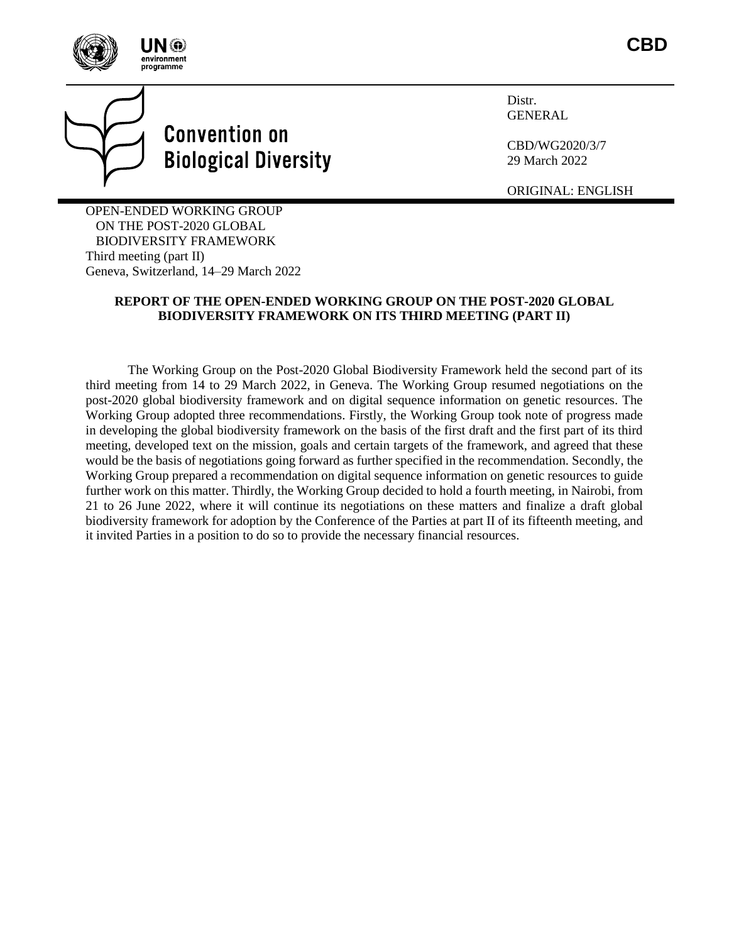



Distr. **GENERAL** 

CBD/WG2020/3/7 29 March 2022

ORIGINAL: ENGLISH

OPEN-ENDED WORKING GROUP ON THE POST-2020 GLOBAL BIODIVERSITY FRAMEWORK Third meeting (part II) Geneva, Switzerland, 14–29 March 2022

# **REPORT OF THE OPEN-ENDED WORKING GROUP ON THE POST-2020 GLOBAL BIODIVERSITY FRAMEWORK ON ITS THIRD MEETING (PART II)**

The Working Group on the Post-2020 Global Biodiversity Framework held the second part of its third meeting from 14 to 29 March 2022, in Geneva. The Working Group resumed negotiations on the post-2020 global biodiversity framework and on digital sequence information on genetic resources. The Working Group adopted three recommendations. Firstly, the Working Group took note of progress made in developing the global biodiversity framework on the basis of the first draft and the first part of its third meeting, developed text on the mission, goals and certain targets of the framework, and agreed that these would be the basis of negotiations going forward as further specified in the recommendation. Secondly, the Working Group prepared a recommendation on digital sequence information on genetic resources to guide further work on this matter. Thirdly, the Working Group decided to hold a fourth meeting, in Nairobi, from 21 to 26 June 2022, where it will continue its negotiations on these matters and finalize a draft global biodiversity framework for adoption by the Conference of the Parties at part II of its fifteenth meeting, and it invited Parties in a position to do so to provide the necessary financial resources.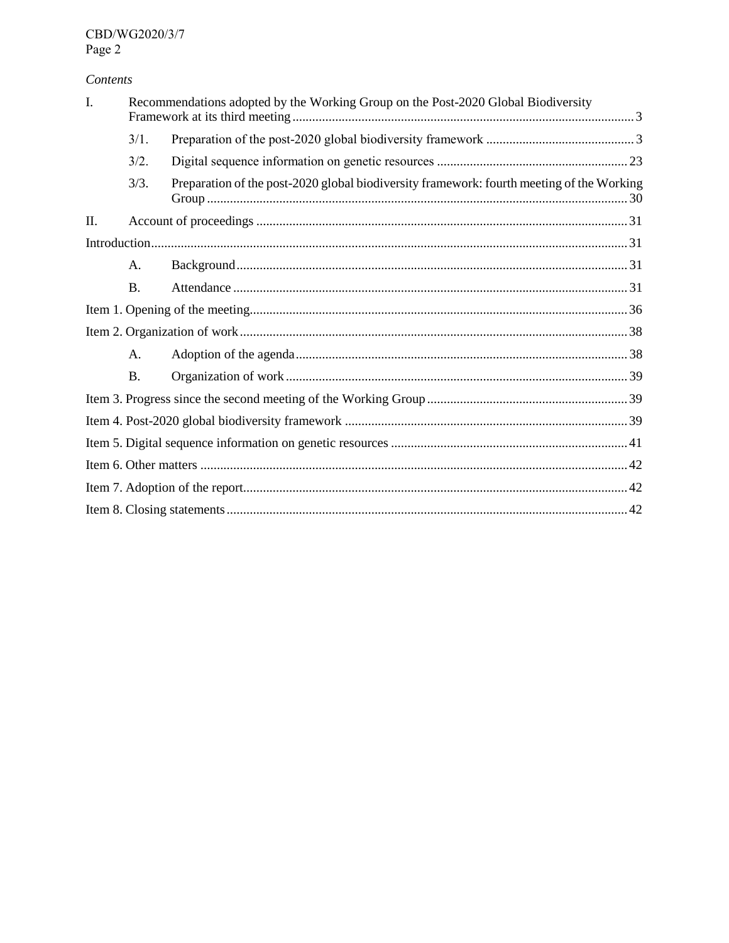# Contents

| I. | Recommendations adopted by the Working Group on the Post-2020 Global Biodiversity |                                                                                           |  |  |  |
|----|-----------------------------------------------------------------------------------|-------------------------------------------------------------------------------------------|--|--|--|
|    | 3/1.                                                                              |                                                                                           |  |  |  |
|    | 3/2.                                                                              |                                                                                           |  |  |  |
|    | 3/3.                                                                              | Preparation of the post-2020 global biodiversity framework: fourth meeting of the Working |  |  |  |
| Π. |                                                                                   |                                                                                           |  |  |  |
|    |                                                                                   |                                                                                           |  |  |  |
|    | A.                                                                                |                                                                                           |  |  |  |
|    | <b>B.</b>                                                                         |                                                                                           |  |  |  |
|    |                                                                                   |                                                                                           |  |  |  |
|    |                                                                                   |                                                                                           |  |  |  |
|    | $\mathsf{A}$ .                                                                    |                                                                                           |  |  |  |
|    | <b>B.</b>                                                                         |                                                                                           |  |  |  |
|    |                                                                                   |                                                                                           |  |  |  |
|    |                                                                                   |                                                                                           |  |  |  |
|    |                                                                                   |                                                                                           |  |  |  |
|    |                                                                                   |                                                                                           |  |  |  |
|    |                                                                                   |                                                                                           |  |  |  |
|    |                                                                                   |                                                                                           |  |  |  |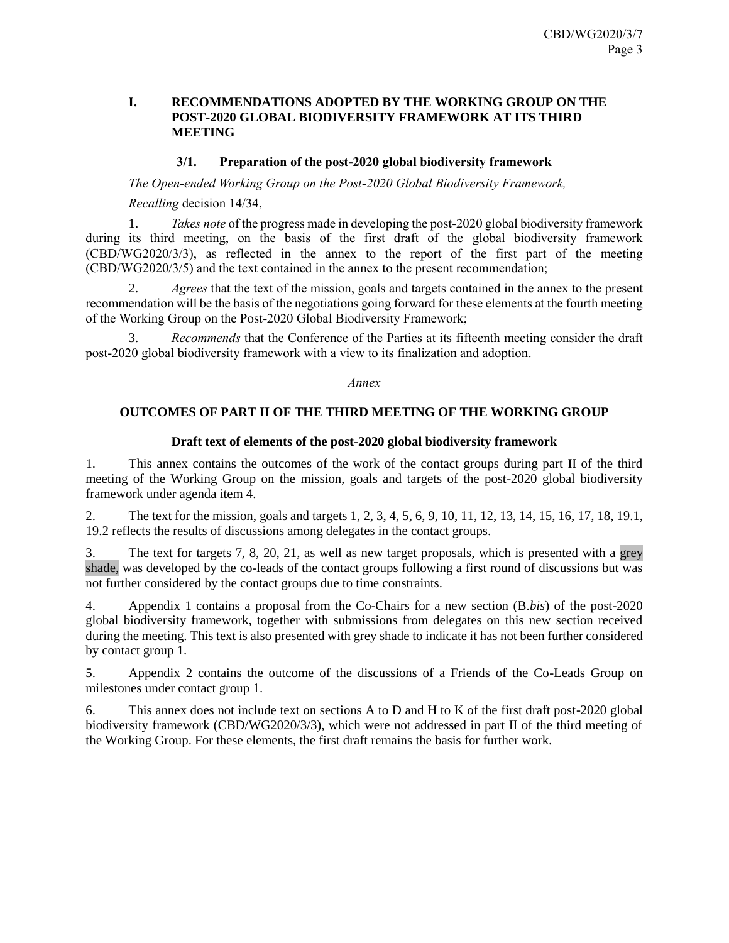# <span id="page-2-0"></span>**I. RECOMMENDATIONS ADOPTED BY THE WORKING GROUP ON THE POST-2020 GLOBAL BIODIVERSITY FRAMEWORK AT ITS THIRD MEETING**

# **3/1. Preparation of the post-2020 global biodiversity framework**

<span id="page-2-1"></span>*The Open-ended Working Group on the Post-2020 Global Biodiversity Framework,*

*Recalling* decision 14/34,

1. *Takes note* of the progress made in developing the post-2020 global biodiversity framework during its third meeting, on the basis of the first draft of the global biodiversity framework (CBD/WG2020/3/3), as reflected in the annex to the report of the first part of the meeting (CBD/WG2020/3/5) and the text contained in the annex to the present recommendation;

2. *Agrees* that the text of the mission, goals and targets contained in the annex to the present recommendation will be the basis of the negotiations going forward for these elements at the fourth meeting of the Working Group on the Post-2020 Global Biodiversity Framework;

3. *Recommends* that the Conference of the Parties at its fifteenth meeting consider the draft post-2020 global biodiversity framework with a view to its finalization and adoption.

*Annex*

# **OUTCOMES OF PART II OF THE THIRD MEETING OF THE WORKING GROUP**

### **Draft text of elements of the post-2020 global biodiversity framework**

1. This annex contains the outcomes of the work of the contact groups during part II of the third meeting of the Working Group on the mission, goals and targets of the post-2020 global biodiversity framework under agenda item 4.

2. The text for the mission, goals and targets 1, 2, 3, 4, 5, 6, 9, 10, 11, 12, 13, 14, 15, 16, 17, 18, 19.1, 19.2 reflects the results of discussions among delegates in the contact groups.

3. The text for targets 7, 8, 20, 21, as well as new target proposals, which is presented with a grey shade, was developed by the co-leads of the contact groups following a first round of discussions but was not further considered by the contact groups due to time constraints.

4. Appendix 1 contains a proposal from the Co-Chairs for a new section (B.*bis*) of the post-2020 global biodiversity framework, together with submissions from delegates on this new section received during the meeting. This text is also presented with grey shade to indicate it has not been further considered by contact group 1.

5. Appendix 2 contains the outcome of the discussions of a Friends of the Co-Leads Group on milestones under contact group 1.

6. This annex does not include text on sections A to D and H to K of the first draft post-2020 global biodiversity framework (CBD/WG2020/3/3), which were not addressed in part II of the third meeting of the Working Group. For these elements, the first draft remains the basis for further work.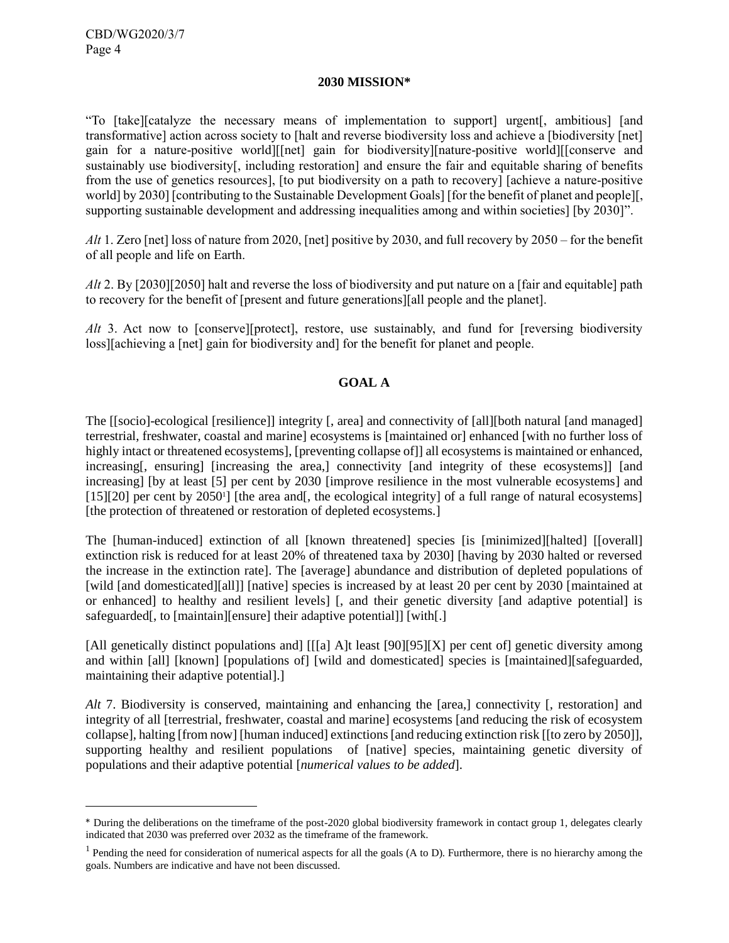l

#### **2030 MISSION\***

"To [take][catalyze the necessary means of implementation to support] urgent[, ambitious] [and transformative] action across society to [halt and reverse biodiversity loss and achieve a [biodiversity [net] gain for a nature-positive world][[net] gain for biodiversity][nature-positive world][[conserve and sustainably use biodiversity[, including restoration] and ensure the fair and equitable sharing of benefits from the use of genetics resources], [to put biodiversity on a path to recovery] [achieve a nature-positive world] by 2030] [contributing to the Sustainable Development Goals] [for the benefit of planet and people][, supporting sustainable development and addressing inequalities among and within societies] [by 2030]".

*Alt* 1. Zero [net] loss of nature from 2020, [net] positive by 2030, and full recovery by 2050 – for the benefit of all people and life on Earth.

*Alt* 2. By [2030][2050] halt and reverse the loss of biodiversity and put nature on a [fair and equitable] path to recovery for the benefit of [present and future generations][all people and the planet].

*Alt* 3. Act now to [conserve][protect], restore, use sustainably, and fund for [reversing biodiversity loss][achieving a [net] gain for biodiversity and] for the benefit for planet and people.

# **GOAL A**

The [[socio]-ecological [resilience]] integrity [, area] and connectivity of [all][both natural [and managed] terrestrial, freshwater, coastal and marine] ecosystems is [maintained or] enhanced [with no further loss of highly intact or threatened ecosystems], [preventing collapse of]] all ecosystems is maintained or enhanced, increasing, ensuring [increasing the area,] connectivity [and integrity of these ecosystems]] [and increasing] [by at least [5] per cent by 2030 [improve resilience in the most vulnerable ecosystems] and [15][20] per cent by 2050<sup>1</sup>] [the area and[, the ecological integrity] of a full range of natural ecosystems] [the protection of threatened or restoration of depleted ecosystems.]

The [human-induced] extinction of all [known threatened] species [is [minimized][halted] [[overall] extinction risk is reduced for at least 20% of threatened taxa by 2030] [having by 2030 halted or reversed the increase in the extinction rate]. The [average] abundance and distribution of depleted populations of [wild [and domesticated][all]] [native] species is increased by at least 20 per cent by 2030 [maintained at or enhanced] to healthy and resilient levels] [, and their genetic diversity [and adaptive potential] is safeguarded<sup>[, to [maintain][ensure] their adaptive potential]] [with[.]</sup>

[All genetically distinct populations and] [[[a] A]t least [90][95][X] per cent of] genetic diversity among and within [all] [known] [populations of] [wild and domesticated] species is [maintained][safeguarded, maintaining their adaptive potential].]

*Alt* 7. Biodiversity is conserved, maintaining and enhancing the [area,] connectivity [, restoration] and integrity of all [terrestrial, freshwater, coastal and marine] ecosystems [and reducing the risk of ecosystem collapse], halting [from now] [human induced] extinctions [and reducing extinction risk [[to zero by 2050]], supporting healthy and resilient populations of [native] species, maintaining genetic diversity of populations and their adaptive potential [*numerical values to be added*].

<sup>\*</sup> During the deliberations on the timeframe of the post-2020 global biodiversity framework in contact group 1, delegates clearly indicated that 2030 was preferred over 2032 as the timeframe of the framework.

<sup>&</sup>lt;sup>1</sup> Pending the need for consideration of numerical aspects for all the goals (A to D). Furthermore, there is no hierarchy among the goals. Numbers are indicative and have not been discussed.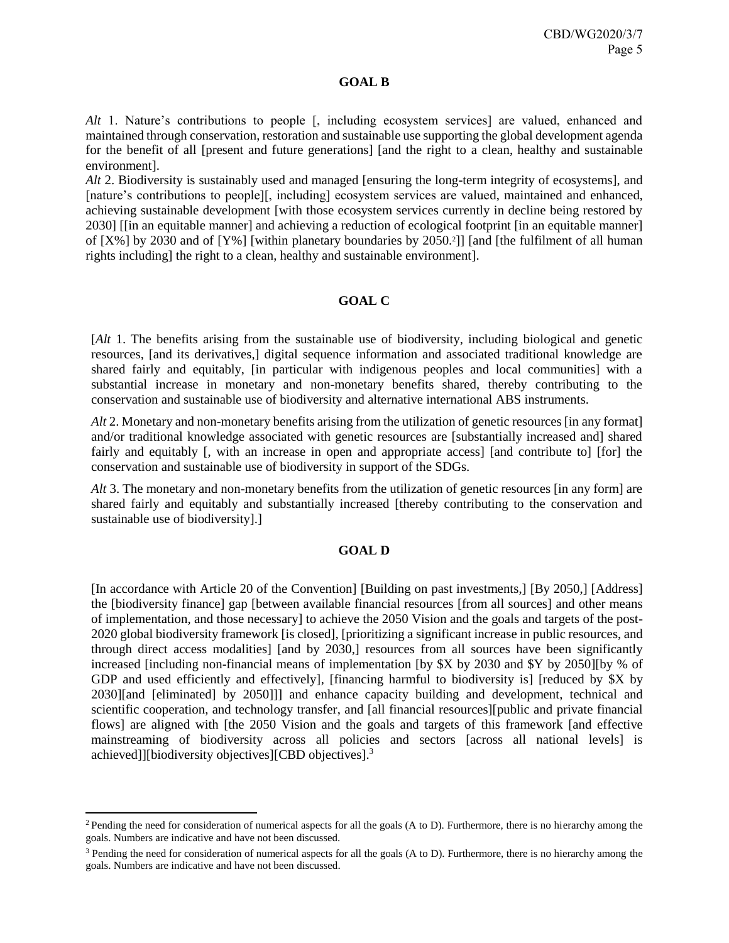#### **GOAL B**

*Alt* 1. Nature's contributions to people [, including ecosystem services] are valued, enhanced and maintained through conservation, restoration and sustainable use supporting the global development agenda for the benefit of all [present and future generations] [and the right to a clean, healthy and sustainable environment].

*Alt* 2. Biodiversity is sustainably used and managed [ensuring the long-term integrity of ecosystems], and [nature's contributions to people][, including] ecosystem services are valued, maintained and enhanced, achieving sustainable development [with those ecosystem services currently in decline being restored by 2030] [[in an equitable manner] and achieving a reduction of ecological footprint [in an equitable manner] of [X%] by 2030 and of [Y%] [within planetary boundaries by 2050.<sup>2</sup> ]] [and [the fulfilment of all human rights including] the right to a clean, healthy and sustainable environment].

# **GOAL C**

[*Alt* 1. The benefits arising from the sustainable use of biodiversity, including biological and genetic resources, [and its derivatives,] digital sequence information and associated traditional knowledge are shared fairly and equitably, [in particular with indigenous peoples and local communities] with a substantial increase in monetary and non-monetary benefits shared, thereby contributing to the conservation and sustainable use of biodiversity and alternative international ABS instruments.

*Alt* 2. Monetary and non-monetary benefits arising from the utilization of genetic resources [in any format] and/or traditional knowledge associated with genetic resources are [substantially increased and] shared fairly and equitably [, with an increase in open and appropriate access] [and contribute to] [for] the conservation and sustainable use of biodiversity in support of the SDGs.

*Alt* 3. The monetary and non-monetary benefits from the utilization of genetic resources [in any form] are shared fairly and equitably and substantially increased [thereby contributing to the conservation and sustainable use of biodiversity].]

# **GOAL D**

[In accordance with Article 20 of the Convention] [Building on past investments,] [By 2050,] [Address] the [biodiversity finance] gap [between available financial resources [from all sources] and other means of implementation, and those necessary] to achieve the 2050 Vision and the goals and targets of the post-2020 global biodiversity framework [is closed], [prioritizing a significant increase in public resources, and through direct access modalities] [and by 2030,] resources from all sources have been significantly increased [including non-financial means of implementation [by \$X by 2030 and \$Y by 2050][by % of GDP and used efficiently and effectively], [financing harmful to biodiversity is] [reduced by \$X by 2030][and [eliminated] by 2050]]] and enhance capacity building and development, technical and scientific cooperation, and technology transfer, and [all financial resources][public and private financial flows] are aligned with [the 2050 Vision and the goals and targets of this framework [and effective mainstreaming of biodiversity across all policies and sectors [across all national levels] is achieved]][biodiversity objectives][CBD objectives]. 3

l

<sup>&</sup>lt;sup>2</sup> Pending the need for consideration of numerical aspects for all the goals (A to D). Furthermore, there is no hierarchy among the goals. Numbers are indicative and have not been discussed.

<sup>&</sup>lt;sup>3</sup> Pending the need for consideration of numerical aspects for all the goals (A to D). Furthermore, there is no hierarchy among the goals. Numbers are indicative and have not been discussed.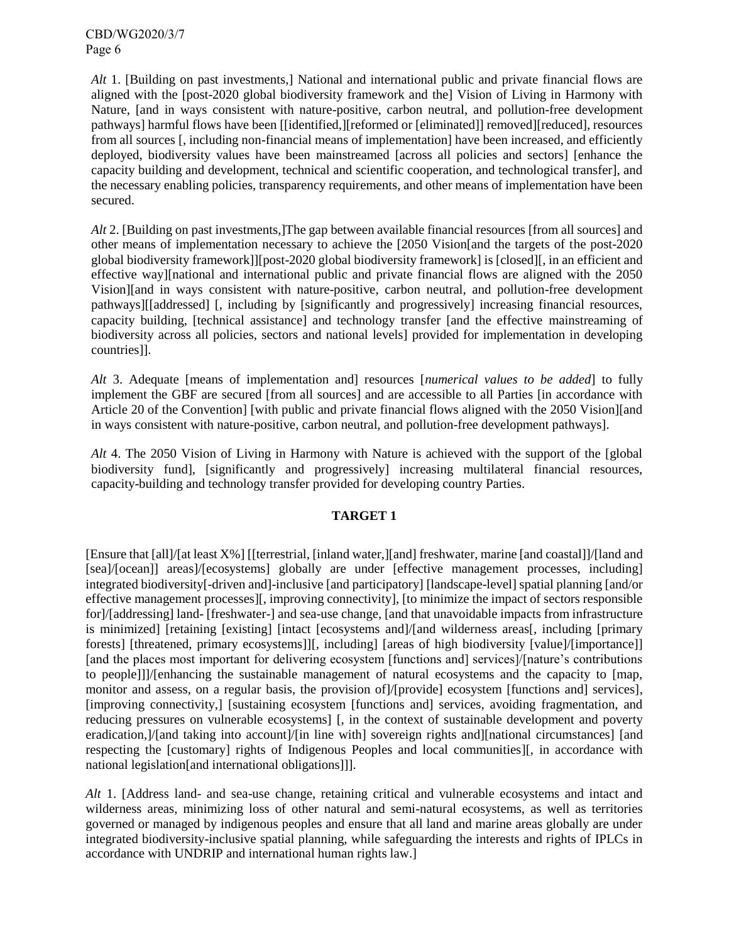*Alt* 1. [Building on past investments,] National and international public and private financial flows are aligned with the [post-2020 global biodiversity framework and the] Vision of Living in Harmony with Nature, [and in ways consistent with nature-positive, carbon neutral, and pollution-free development pathways] harmful flows have been [[identified,][reformed or [eliminated]] removed][reduced], resources from all sources [, including non-financial means of implementation] have been increased, and efficiently deployed, biodiversity values have been mainstreamed [across all policies and sectors] [enhance the capacity building and development, technical and scientific cooperation, and technological transfer], and the necessary enabling policies, transparency requirements, and other means of implementation have been secured.

*Alt* 2. [Building on past investments,]The gap between available financial resources [from all sources] and other means of implementation necessary to achieve the [2050 Vision[and the targets of the post-2020 global biodiversity framework]][post-2020 global biodiversity framework] is [closed][, in an efficient and effective way][national and international public and private financial flows are aligned with the 2050 Vision][and in ways consistent with nature-positive, carbon neutral, and pollution-free development pathways][[addressed] [, including by [significantly and progressively] increasing financial resources, capacity building, [technical assistance] and technology transfer [and the effective mainstreaming of biodiversity across all policies, sectors and national levels] provided for implementation in developing countries]].

*Alt* 3. Adequate [means of implementation and] resources [*numerical values to be added*] to fully implement the GBF are secured [from all sources] and are accessible to all Parties [in accordance with Article 20 of the Convention] [with public and private financial flows aligned with the 2050 Vision][and in ways consistent with nature-positive, carbon neutral, and pollution-free development pathways].

*Alt* 4. The 2050 Vision of Living in Harmony with Nature is achieved with the support of the [global biodiversity fund], [significantly and progressively] increasing multilateral financial resources, capacity-building and technology transfer provided for developing country Parties.

# **TARGET 1**

[Ensure that [all]/[at least X%] [[terrestrial, [inland water,][and] freshwater, marine [and coastal]]/[land and [sea]/[ocean]] areas]/[ecosystems] globally are under [effective management processes, including] integrated biodiversity[-driven and]-inclusive [and participatory] [landscape-level] spatial planning [and/or effective management processes][, improving connectivity], [to minimize the impact of sectors responsible for]/[addressing] land- [freshwater-] and sea-use change, [and that unavoidable impacts from infrastructure is minimized] [retaining [existing] [intact [ecosystems and]/[and wilderness areas[, including [primary forests] [threatened, primary ecosystems]][, including] [areas of high biodiversity [value]/[importance]] [and the places most important for delivering ecosystem [functions and] services]/[nature's contributions to people]]]/[enhancing the sustainable management of natural ecosystems and the capacity to [map, monitor and assess, on a regular basis, the provision of]/[provide] ecosystem [functions and] services], [improving connectivity,] [sustaining ecosystem [functions and] services, avoiding fragmentation, and reducing pressures on vulnerable ecosystems] [, in the context of sustainable development and poverty eradication,]/[and taking into account]/[in line with] sovereign rights and][national circumstances] [and respecting the [customary] rights of Indigenous Peoples and local communities][, in accordance with national legislation[and international obligations]]].

*Alt* 1. [Address land- and sea-use change, retaining critical and vulnerable ecosystems and intact and wilderness areas, minimizing loss of other natural and semi-natural ecosystems, as well as territories governed or managed by indigenous peoples and ensure that all land and marine areas globally are under integrated biodiversity-inclusive spatial planning, while safeguarding the interests and rights of IPLCs in accordance with UNDRIP and international human rights law.]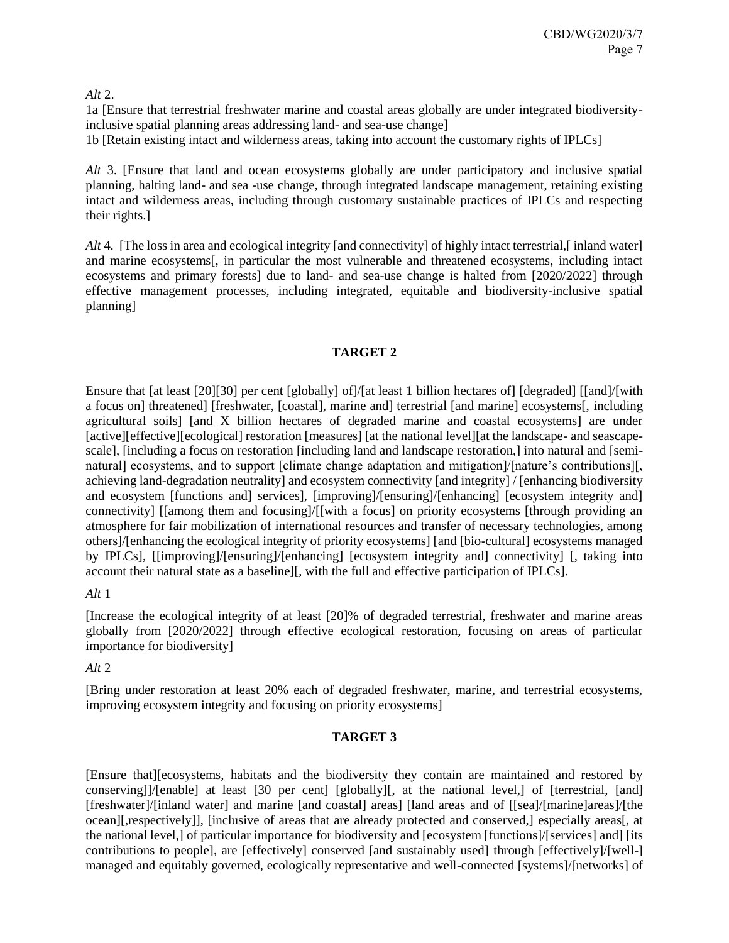*Alt* 2.

1a [Ensure that terrestrial freshwater marine and coastal areas globally are under integrated biodiversityinclusive spatial planning areas addressing land- and sea-use change] 1b [Retain existing intact and wilderness areas, taking into account the customary rights of IPLCs]

*Alt* 3. [Ensure that land and ocean ecosystems globally are under participatory and inclusive spatial planning, halting land- and sea -use change, through integrated landscape management, retaining existing intact and wilderness areas, including through customary sustainable practices of IPLCs and respecting their rights.]

*Alt* 4. [The loss in area and ecological integrity [and connectivity] of highly intact terrestrial,[ inland water] and marine ecosystems[, in particular the most vulnerable and threatened ecosystems, including intact ecosystems and primary forests] due to land- and sea-use change is halted from [2020/2022] through effective management processes, including integrated, equitable and biodiversity-inclusive spatial planning]

# **TARGET 2**

Ensure that [at least [20][30] per cent [globally] of]/[at least 1 billion hectares of] [degraded] [[and]/[with a focus on] threatened] [freshwater, [coastal], marine and] terrestrial [and marine] ecosystems[, including agricultural soils] [and X billion hectares of degraded marine and coastal ecosystems] are under [active][effective][ecological] restoration [measures] [at the national level][at the landscape- and seascapescale], [including a focus on restoration [including land and landscape restoration,] into natural and [seminatural] ecosystems, and to support [climate change adaptation and mitigation]/[nature's contributions][, achieving land-degradation neutrality] and ecosystem connectivity [and integrity] / [enhancing biodiversity and ecosystem [functions and] services], [improving]/[ensuring]/[enhancing] [ecosystem integrity and] connectivity] [[among them and focusing]/[[with a focus] on priority ecosystems [through providing an atmosphere for fair mobilization of international resources and transfer of necessary technologies, among others]/[enhancing the ecological integrity of priority ecosystems] [and [bio-cultural] ecosystems managed by IPLCs], [[improving]/[ensuring]/[enhancing] [ecosystem integrity and] connectivity] [, taking into account their natural state as a baseline][, with the full and effective participation of IPLCs].

# *Alt* 1

[Increase the ecological integrity of at least [20]% of degraded terrestrial, freshwater and marine areas globally from [2020/2022] through effective ecological restoration, focusing on areas of particular importance for biodiversity]

*Alt* 2

[Bring under restoration at least 20% each of degraded freshwater, marine, and terrestrial ecosystems, improving ecosystem integrity and focusing on priority ecosystems]

# **TARGET 3**

[Ensure that][ecosystems, habitats and the biodiversity they contain are maintained and restored by conserving]]/[enable] at least [30 per cent] [globally][, at the national level,] of [terrestrial, [and] [freshwater]/[inland water] and marine [and coastal] areas] [land areas and of [[sea]/[marine]areas]/[the ocean][,respectively]], [inclusive of areas that are already protected and conserved,] especially areas[, at the national level,] of particular importance for biodiversity and [ecosystem [functions]/[services] and] [its contributions to people], are [effectively] conserved [and sustainably used] through [effectively]/[well-] managed and equitably governed, ecologically representative and well-connected [systems]/[networks] of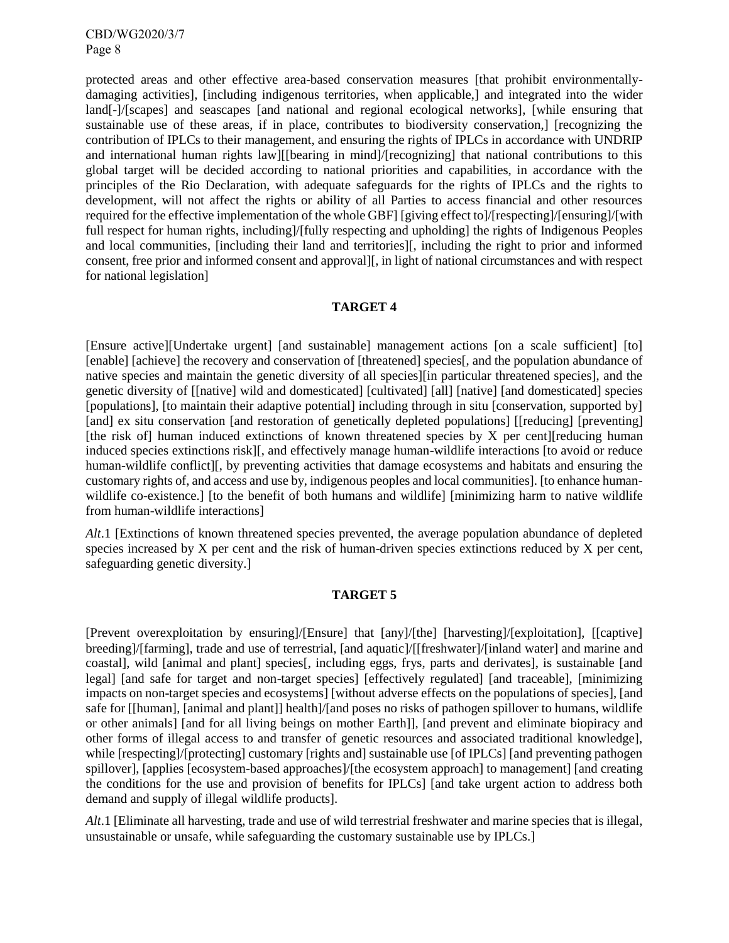protected areas and other effective area-based conservation measures [that prohibit environmentallydamaging activities], [including indigenous territories, when applicable,] and integrated into the wider land[-]/[scapes] and seascapes [and national and regional ecological networks], [while ensuring that sustainable use of these areas, if in place, contributes to biodiversity conservation,] [recognizing the contribution of IPLCs to their management, and ensuring the rights of IPLCs in accordance with UNDRIP and international human rights law][[bearing in mind]/[recognizing] that national contributions to this global target will be decided according to national priorities and capabilities, in accordance with the principles of the Rio Declaration, with adequate safeguards for the rights of IPLCs and the rights to development, will not affect the rights or ability of all Parties to access financial and other resources required for the effective implementation of the whole GBF] [giving effect to]/[respecting]/[ensuring]/[with full respect for human rights, including]/[fully respecting and upholding] the rights of Indigenous Peoples and local communities, [including their land and territories][, including the right to prior and informed consent, free prior and informed consent and approval][, in light of national circumstances and with respect for national legislation]

### **TARGET 4**

[Ensure active][Undertake urgent] [and sustainable] management actions [on a scale sufficient] [to] [enable] [achieve] the recovery and conservation of [threatened] species[, and the population abundance of native species and maintain the genetic diversity of all species][in particular threatened species], and the genetic diversity of [[native] wild and domesticated] [cultivated] [all] [native] [and domesticated] species [populations], [to maintain their adaptive potential] including through in situ [conservation, supported by] [and] ex situ conservation [and restoration of genetically depleted populations] [[reducing] [preventing] [the risk of] human induced extinctions of known threatened species by X per cent][reducing human induced species extinctions risk][, and effectively manage human-wildlife interactions [to avoid or reduce human-wildlife conflict][, by preventing activities that damage ecosystems and habitats and ensuring the customary rights of, and access and use by, indigenous peoples and local communities]. [to enhance humanwildlife co-existence.] [to the benefit of both humans and wildlife] [minimizing harm to native wildlife from human-wildlife interactions]

*Alt*.1 [Extinctions of known threatened species prevented, the average population abundance of depleted species increased by X per cent and the risk of human-driven species extinctions reduced by X per cent, safeguarding genetic diversity.]

#### **TARGET 5**

[Prevent overexploitation by ensuring]/[Ensure] that [any]/[the] [harvesting]/[exploitation], [[captive] breeding]/[farming], trade and use of terrestrial, [and aquatic]/[[freshwater]/[inland water] and marine and coastal], wild [animal and plant] species[, including eggs, frys, parts and derivates], is sustainable [and legal] [and safe for target and non-target species] [effectively regulated] [and traceable], [minimizing impacts on non-target species and ecosystems] [without adverse effects on the populations of species], [and safe for [[human], [animal and plant]] health]/[and poses no risks of pathogen spillover to humans, wildlife or other animals] [and for all living beings on mother Earth]], [and prevent and eliminate biopiracy and other forms of illegal access to and transfer of genetic resources and associated traditional knowledge], while [respecting]/[protecting] customary [rights and] sustainable use [of IPLCs] [and preventing pathogen spillover], [applies [ecosystem-based approaches]/[the ecosystem approach] to management] [and creating the conditions for the use and provision of benefits for IPLCs] [and take urgent action to address both demand and supply of illegal wildlife products].

*Alt*.1 [Eliminate all harvesting, trade and use of wild terrestrial freshwater and marine species that is illegal, unsustainable or unsafe, while safeguarding the customary sustainable use by IPLCs.]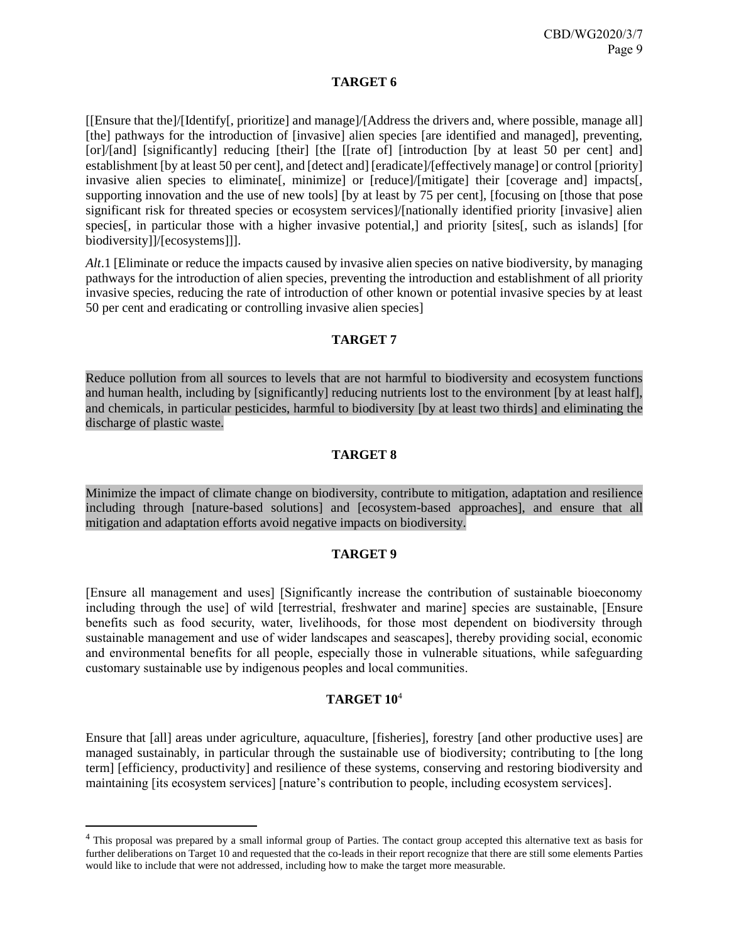# **TARGET 6**

[[Ensure that the]/[Identify[, prioritize] and manage]/[Address the drivers and, where possible, manage all] [the] pathways for the introduction of [invasive] alien species [are identified and managed], preventing, [or]/[and] [significantly] reducing [their] [the [[rate of] [introduction [by at least 50 per cent] and] establishment [by at least 50 per cent], and [detect and] [eradicate]/[effectively manage] or control [priority] invasive alien species to eliminate<sup>[</sup>, minimize] or [reduce]/[mitigate] their [coverage and] impacts<sup>[</sup>, supporting innovation and the use of new tools] [by at least by 75 per cent], [focusing on [those that pose significant risk for threated species or ecosystem services]/[nationally identified priority [invasive] alien species<sup>[, in particular those with a higher invasive potential,] and priority [sites<sup>[, such as islands]</sup> [for</sup> biodiversity]]/[ecosystems]]].

*Alt*.1 [Eliminate or reduce the impacts caused by invasive alien species on native biodiversity, by managing pathways for the introduction of alien species, preventing the introduction and establishment of all priority invasive species, reducing the rate of introduction of other known or potential invasive species by at least 50 per cent and eradicating or controlling invasive alien species]

### **TARGET 7**

Reduce pollution from all sources to levels that are not harmful to biodiversity and ecosystem functions and human health, including by [significantly] reducing nutrients lost to the environment [by at least half], and chemicals, in particular pesticides, harmful to biodiversity [by at least two thirds] and eliminating the discharge of plastic waste.

# **TARGET 8**

Minimize the impact of climate change on biodiversity, contribute to mitigation, adaptation and resilience including through [nature-based solutions] and [ecosystem-based approaches], and ensure that all mitigation and adaptation efforts avoid negative impacts on biodiversity.

# **TARGET 9**

[Ensure all management and uses] [Significantly increase the contribution of sustainable bioeconomy including through the use] of wild [terrestrial, freshwater and marine] species are sustainable, [Ensure benefits such as food security, water, livelihoods, for those most dependent on biodiversity through sustainable management and use of wider landscapes and seascapes], thereby providing social, economic and environmental benefits for all people, especially those in vulnerable situations, while safeguarding customary sustainable use by indigenous peoples and local communities.

### **TARGET 10**<sup>4</sup>

Ensure that [all] areas under agriculture, aquaculture, [fisheries], forestry [and other productive uses] are managed sustainably, in particular through the sustainable use of biodiversity; contributing to [the long term] [efficiency, productivity] and resilience of these systems, conserving and restoring biodiversity and maintaining [its ecosystem services] [nature's contribution to people, including ecosystem services].

l

<sup>&</sup>lt;sup>4</sup> This proposal was prepared by a small informal group of Parties. The contact group accepted this alternative text as basis for further deliberations on Target 10 and requested that the co-leads in their report recognize that there are still some elements Parties would like to include that were not addressed, including how to make the target more measurable.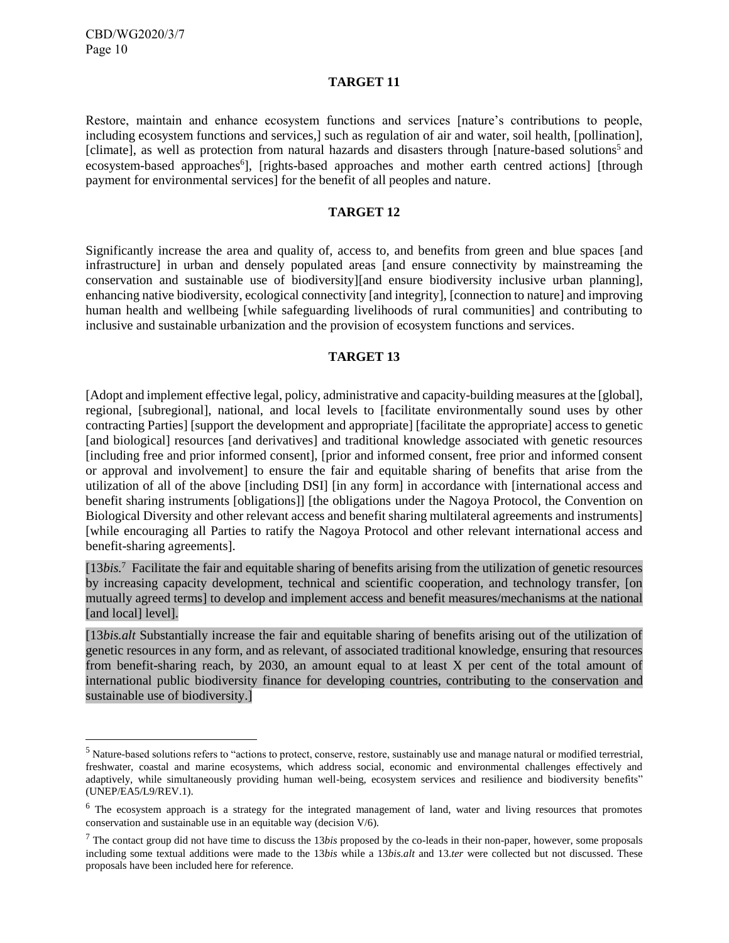l

#### **TARGET 11**

Restore, maintain and enhance ecosystem functions and services [nature's contributions to people, including ecosystem functions and services,] such as regulation of air and water, soil health, [pollination], [climate], as well as protection from natural hazards and disasters through [nature-based solutions<sup>5</sup> and ecosystem-based approaches<sup>6</sup>], [rights-based approaches and mother earth centred actions] [through payment for environmental services] for the benefit of all peoples and nature.

### **TARGET 12**

Significantly increase the area and quality of, access to, and benefits from green and blue spaces [and infrastructure] in urban and densely populated areas [and ensure connectivity by mainstreaming the conservation and sustainable use of biodiversity][and ensure biodiversity inclusive urban planning], enhancing native biodiversity, ecological connectivity [and integrity], [connection to nature] and improving human health and wellbeing [while safeguarding livelihoods of rural communities] and contributing to inclusive and sustainable urbanization and the provision of ecosystem functions and services.

### **TARGET 13**

[Adopt and implement effective legal, policy, administrative and capacity-building measures at the [global], regional, [subregional], national, and local levels to [facilitate environmentally sound uses by other contracting Parties] [support the development and appropriate] [facilitate the appropriate] access to genetic [and biological] resources [and derivatives] and traditional knowledge associated with genetic resources [including free and prior informed consent], [prior and informed consent, free prior and informed consent or approval and involvement] to ensure the fair and equitable sharing of benefits that arise from the utilization of all of the above [including DSI] [in any form] in accordance with [international access and benefit sharing instruments [obligations]] [the obligations under the Nagoya Protocol, the Convention on Biological Diversity and other relevant access and benefit sharing multilateral agreements and instruments] [while encouraging all Parties to ratify the Nagoya Protocol and other relevant international access and benefit-sharing agreements].

[13*bis.*<sup>7</sup> Facilitate the fair and equitable sharing of benefits arising from the utilization of genetic resources by increasing capacity development, technical and scientific cooperation, and technology transfer, [on mutually agreed terms] to develop and implement access and benefit measures/mechanisms at the national [and local] level].

[13*bis.alt* Substantially increase the fair and equitable sharing of benefits arising out of the utilization of genetic resources in any form, and as relevant, of associated traditional knowledge, ensuring that resources from benefit-sharing reach, by 2030, an amount equal to at least X per cent of the total amount of international public biodiversity finance for developing countries, contributing to the conservation and sustainable use of biodiversity.]

<sup>&</sup>lt;sup>5</sup> Nature-based solutions refers to "actions to protect, conserve, restore, sustainably use and manage natural or modified terrestrial, freshwater, coastal and marine ecosystems, which address social, economic and environmental challenges effectively and adaptively, while simultaneously providing human well-being, ecosystem services and resilience and biodiversity benefits" (UNEP/EA5/L9/REV.1).

 $6$  The ecosystem approach is a strategy for the integrated management of land, water and living resources that promotes conservation and sustainable use in an equitable way (decision V/6).

<sup>7</sup> The contact group did not have time to discuss the 13*bis* proposed by the co-leads in their non-paper, however, some proposals including some textual additions were made to the 13*bis* while a 13*bis.alt* and 13.*ter* were collected but not discussed. These proposals have been included here for reference.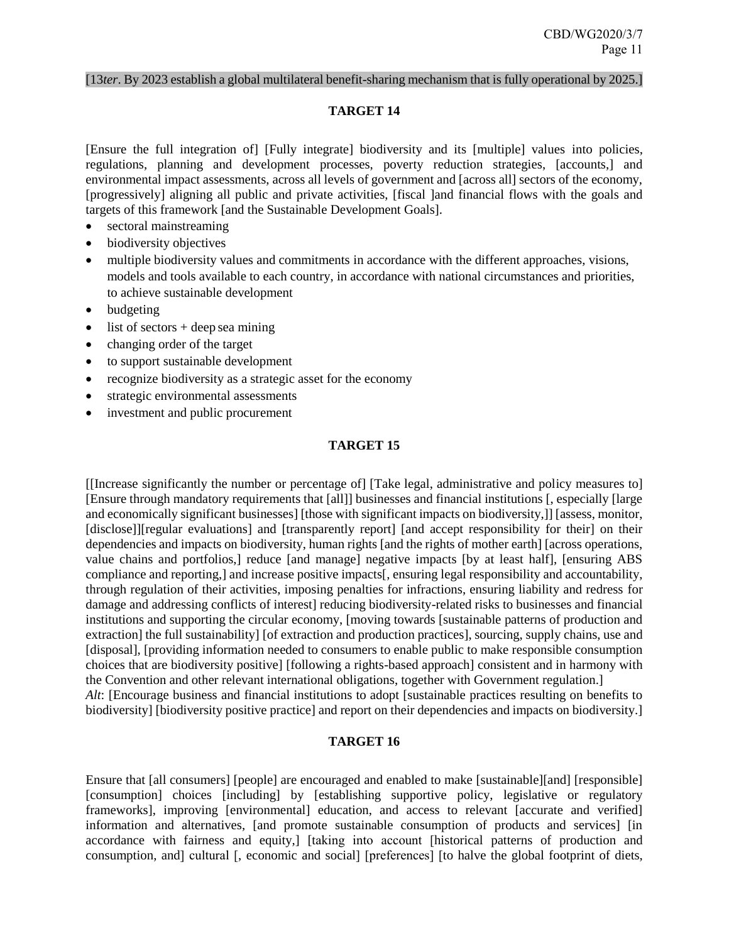### [13*ter*. By 2023 establish a global multilateral benefit-sharing mechanism that is fully operational by 2025.]

#### **TARGET 14**

[Ensure the full integration of] [Fully integrate] biodiversity and its [multiple] values into policies, regulations, planning and development processes, poverty reduction strategies, [accounts,] and environmental impact assessments, across all levels of government and [across all] sectors of the economy, [progressively] aligning all public and private activities, [fiscal ]and financial flows with the goals and targets of this framework [and the Sustainable Development Goals].

- sectoral mainstreaming
- biodiversity objectives
- multiple biodiversity values and commitments in accordance with the different approaches, visions, models and tools available to each country, in accordance with national circumstances and priorities, to achieve sustainable development
- budgeting
- list of sectors + deep sea mining
- changing order of the target
- to support sustainable development
- recognize biodiversity as a strategic asset for the economy
- strategic environmental assessments
- investment and public procurement

# **TARGET 15**

[[Increase significantly the number or percentage of] [Take legal, administrative and policy measures to] [Ensure through mandatory requirements that [all]] businesses and financial institutions [, especially [large and economically significant businesses] [those with significant impacts on biodiversity,]] [assess, monitor, [disclose]][regular evaluations] and [transparently report] [and accept responsibility for their] on their dependencies and impacts on biodiversity, human rights [and the rights of mother earth] [across operations, value chains and portfolios,] reduce [and manage] negative impacts [by at least half], [ensuring ABS compliance and reporting,] and increase positive impacts[, ensuring legal responsibility and accountability, through regulation of their activities, imposing penalties for infractions, ensuring liability and redress for damage and addressing conflicts of interest] reducing biodiversity-related risks to businesses and financial institutions and supporting the circular economy, [moving towards [sustainable patterns of production and extraction] the full sustainability] [of extraction and production practices], sourcing, supply chains, use and [disposal], [providing information needed to consumers to enable public to make responsible consumption choices that are biodiversity positive] [following a rights-based approach] consistent and in harmony with the Convention and other relevant international obligations, together with Government regulation.] *Alt*: [Encourage business and financial institutions to adopt [sustainable practices resulting on benefits to biodiversity] [biodiversity positive practice] and report on their dependencies and impacts on biodiversity.]

#### **TARGET 16**

Ensure that [all consumers] [people] are encouraged and enabled to make [sustainable][and] [responsible] [consumption] choices [including] by [establishing supportive policy, legislative or regulatory frameworks], improving [environmental] education, and access to relevant [accurate and verified] information and alternatives, [and promote sustainable consumption of products and services] [in accordance with fairness and equity,] [taking into account [historical patterns of production and consumption, and] cultural [, economic and social] [preferences] [to halve the global footprint of diets,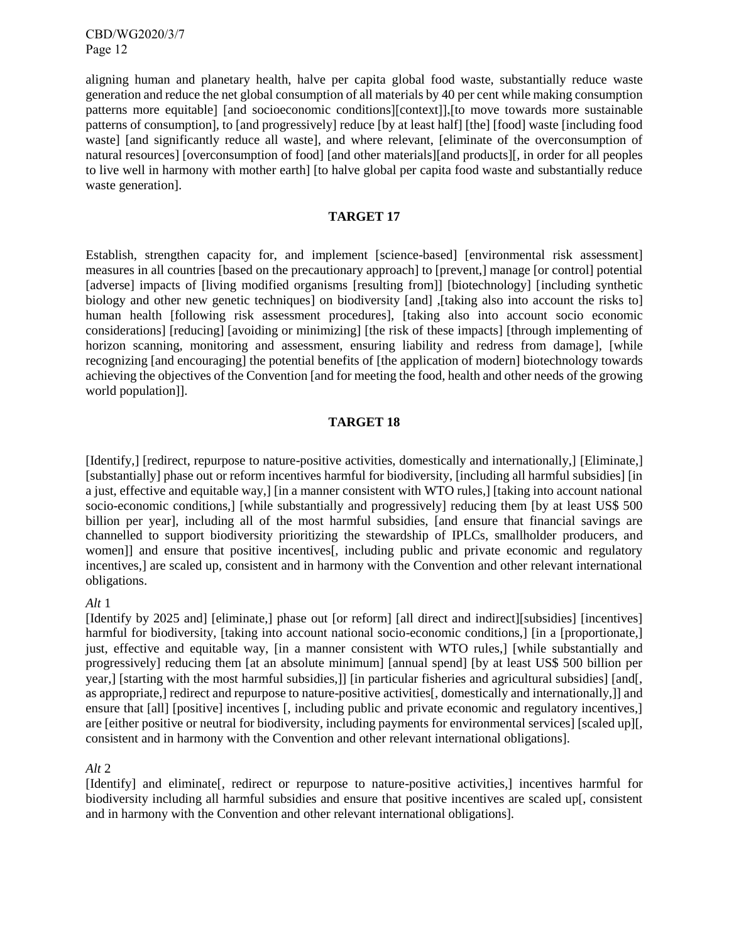aligning human and planetary health, halve per capita global food waste, substantially reduce waste generation and reduce the net global consumption of all materials by 40 per cent while making consumption patterns more equitable] [and socioeconomic conditions][context]],[to move towards more sustainable patterns of consumption], to [and progressively] reduce [by at least half] [the] [food] waste [including food waste] [and significantly reduce all waste], and where relevant, [eliminate of the overconsumption of natural resources] [overconsumption of food] [and other materials][and products][, in order for all peoples to live well in harmony with mother earth] [to halve global per capita food waste and substantially reduce waste generation].

#### **TARGET 17**

Establish, strengthen capacity for, and implement [science-based] [environmental risk assessment] measures in all countries [based on the precautionary approach] to [prevent,] manage [or control] potential [adverse] impacts of [living modified organisms [resulting from]] [biotechnology] [including synthetic biology and other new genetic techniques] on biodiversity [and] ,[taking also into account the risks to] human health [following risk assessment procedures], [taking also into account socio economic considerations] [reducing] [avoiding or minimizing] [the risk of these impacts] [through implementing of horizon scanning, monitoring and assessment, ensuring liability and redress from damage], [while recognizing [and encouraging] the potential benefits of [the application of modern] biotechnology towards achieving the objectives of the Convention [and for meeting the food, health and other needs of the growing world population]].

#### **TARGET 18**

[Identify,] [redirect, repurpose to nature-positive activities, domestically and internationally,] [Eliminate,] [substantially] phase out or reform incentives harmful for biodiversity, [including all harmful subsidies] [in a just, effective and equitable way,] [in a manner consistent with WTO rules,] [taking into account national socio-economic conditions,] [while substantially and progressively] reducing them [by at least US\$ 500 billion per year], including all of the most harmful subsidies, [and ensure that financial savings are channelled to support biodiversity prioritizing the stewardship of IPLCs, smallholder producers, and women]] and ensure that positive incentives[, including public and private economic and regulatory incentives,] are scaled up, consistent and in harmony with the Convention and other relevant international obligations.

#### *Alt* 1

[Identify by 2025 and] [eliminate,] phase out [or reform] [all direct and indirect][subsidies] [incentives] harmful for biodiversity, [taking into account national socio-economic conditions,] [in a [proportionate,] just, effective and equitable way, [in a manner consistent with WTO rules,] [while substantially and progressively] reducing them [at an absolute minimum] [annual spend] [by at least US\$ 500 billion per year,] [starting with the most harmful subsidies,]] [in particular fisheries and agricultural subsidies] [and[, as appropriate,] redirect and repurpose to nature-positive activities[, domestically and internationally,]] and ensure that [all] [positive] incentives [, including public and private economic and regulatory incentives,] are [either positive or neutral for biodiversity, including payments for environmental services] [scaled up][, consistent and in harmony with the Convention and other relevant international obligations].

#### *Alt* 2

[Identify] and eliminate[, redirect or repurpose to nature-positive activities,] incentives harmful for biodiversity including all harmful subsidies and ensure that positive incentives are scaled up[, consistent and in harmony with the Convention and other relevant international obligations].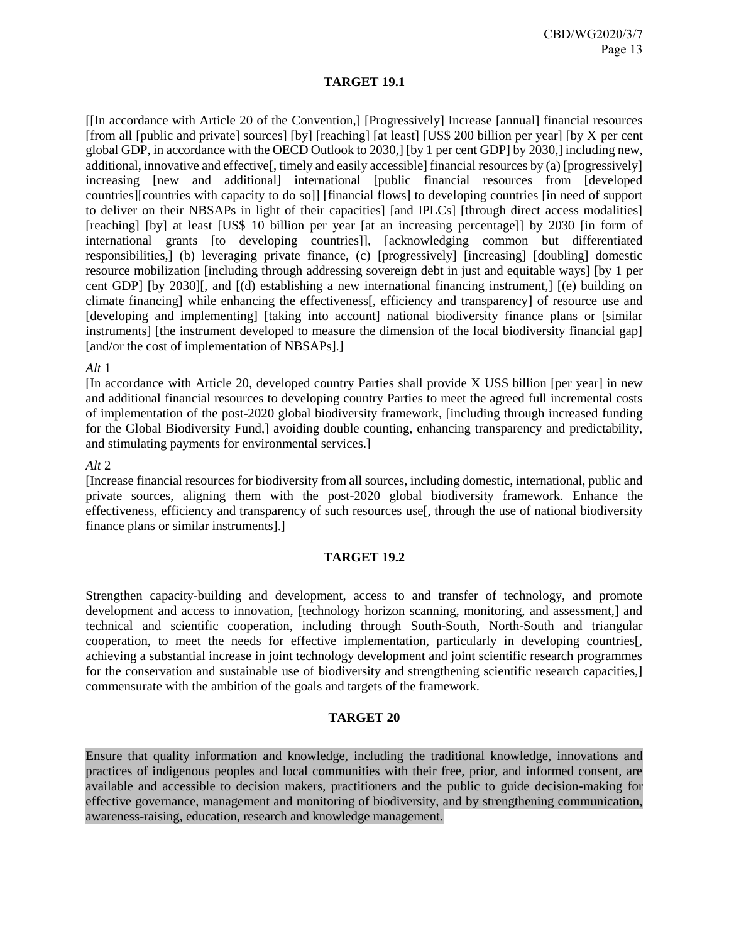### **TARGET 19.1**

[[In accordance with Article 20 of the Convention,] [Progressively] Increase [annual] financial resources [from all [public and private] sources] [by] [reaching] [at least] [US\$ 200 billion per year] [by X per cent global GDP, in accordance with the OECD Outlook to 2030,] [by 1 per cent GDP] by 2030,] including new, additional, innovative and effective[, timely and easily accessible] financial resources by (a) [progressively] increasing [new and additional] international [public financial resources from [developed countries][countries with capacity to do so]] [financial flows] to developing countries [in need of support to deliver on their NBSAPs in light of their capacities] [and IPLCs] [through direct access modalities] [reaching] [by] at least [US\$ 10 billion per year [at an increasing percentage]] by 2030 [in form of international grants [to developing countries]], [acknowledging common but differentiated responsibilities,] (b) leveraging private finance, (c) [progressively] [increasing] [doubling] domestic resource mobilization [including through addressing sovereign debt in just and equitable ways] [by 1 per cent GDP] [by 2030][, and [(d) establishing a new international financing instrument,] [(e) building on climate financing] while enhancing the effectiveness[, efficiency and transparency] of resource use and [developing and implementing] [taking into account] national biodiversity finance plans or [similar] instruments] [the instrument developed to measure the dimension of the local biodiversity financial gap] [and/or the cost of implementation of NBSAPs].]

### *Alt* 1

[In accordance with Article 20, developed country Parties shall provide X US\$ billion [per year] in new and additional financial resources to developing country Parties to meet the agreed full incremental costs of implementation of the post-2020 global biodiversity framework, [including through increased funding for the Global Biodiversity Fund,] avoiding double counting, enhancing transparency and predictability, and stimulating payments for environmental services.]

### *Alt* 2

[Increase financial resources for biodiversity from all sources, including domestic, international, public and private sources, aligning them with the post-2020 global biodiversity framework. Enhance the effectiveness, efficiency and transparency of such resources use[, through the use of national biodiversity finance plans or similar instruments].]

### **TARGET 19.2**

Strengthen capacity-building and development, access to and transfer of technology, and promote development and access to innovation, [technology horizon scanning, monitoring, and assessment,] and technical and scientific cooperation, including through South-South, North-South and triangular cooperation, to meet the needs for effective implementation, particularly in developing countries[, achieving a substantial increase in joint technology development and joint scientific research programmes for the conservation and sustainable use of biodiversity and strengthening scientific research capacities,] commensurate with the ambition of the goals and targets of the framework.

#### **TARGET 20**

Ensure that quality information and knowledge, including the traditional knowledge, innovations and practices of indigenous peoples and local communities with their free, prior, and informed consent, are available and accessible to decision makers, practitioners and the public to guide decision-making for effective governance, management and monitoring of biodiversity, and by strengthening communication, awareness-raising, education, research and knowledge management.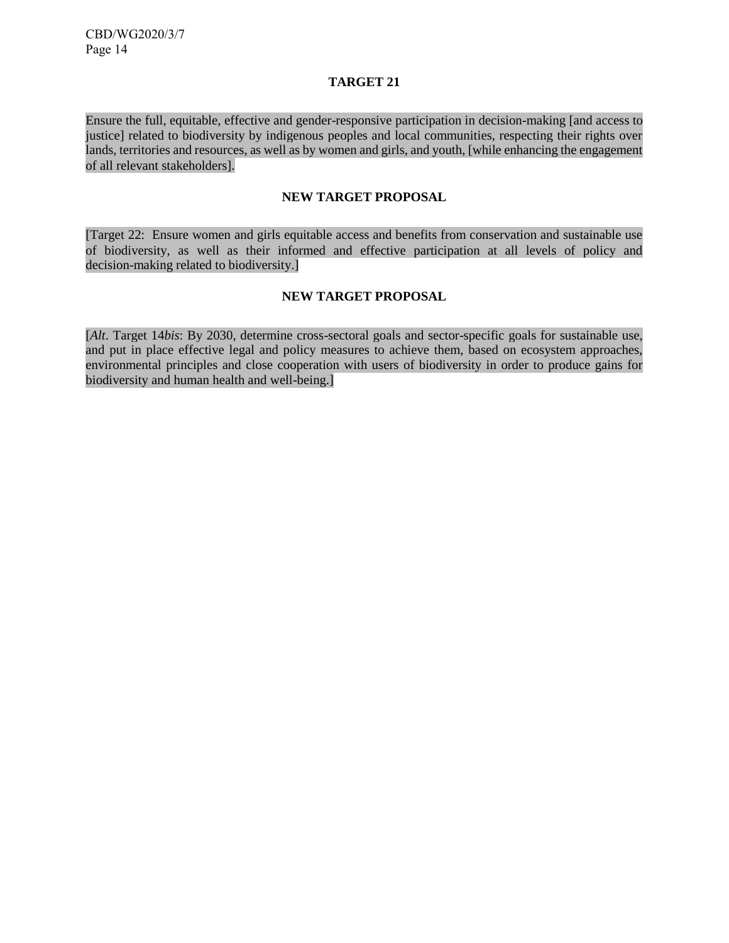# **TARGET 21**

Ensure the full, equitable, effective and gender-responsive participation in decision-making [and access to justice] related to biodiversity by indigenous peoples and local communities, respecting their rights over lands, territories and resources, as well as by women and girls, and youth, [while enhancing the engagement of all relevant stakeholders].

# **NEW TARGET PROPOSAL**

[Target 22: Ensure women and girls equitable access and benefits from conservation and sustainable use of biodiversity, as well as their informed and effective participation at all levels of policy and decision-making related to biodiversity.]

# **NEW TARGET PROPOSAL**

[*Alt*. Target 14*bis*: By 2030, determine cross-sectoral goals and sector-specific goals for sustainable use, and put in place effective legal and policy measures to achieve them, based on ecosystem approaches, environmental principles and close cooperation with users of biodiversity in order to produce gains for biodiversity and human health and well-being.]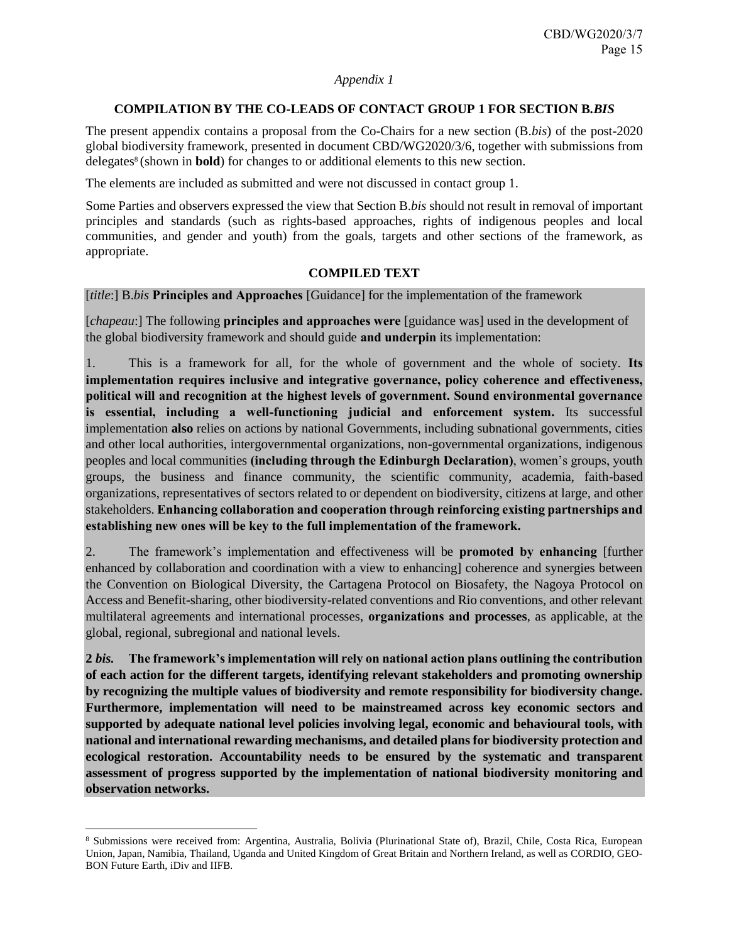### *Appendix 1*

# **COMPILATION BY THE CO-LEADS OF CONTACT GROUP 1 FOR SECTION B***.BIS*

The present appendix contains a proposal from the Co-Chairs for a new section (B.*bis*) of the post-2020 global biodiversity framework, presented in document CBD/WG2020/3/6, together with submissions from delegates<sup>8</sup> (shown in **bold**) for changes to or additional elements to this new section.

The elements are included as submitted and were not discussed in contact group 1.

Some Parties and observers expressed the view that Section B.*bis* should not result in removal of important principles and standards (such as rights-based approaches, rights of indigenous peoples and local communities, and gender and youth) from the goals, targets and other sections of the framework, as appropriate.

# **COMPILED TEXT**

[*title*:] B.*bis* **Principles and Approaches** [Guidance] for the implementation of the framework

[*chapeau*:] The following **principles and approaches were** [guidance was] used in the development of the global biodiversity framework and should guide **and underpin** its implementation:

1. This is a framework for all, for the whole of government and the whole of society. **Its implementation requires inclusive and integrative governance, policy coherence and effectiveness, political will and recognition at the highest levels of government. Sound environmental governance is essential, including a well-functioning judicial and enforcement system.** Its successful implementation **also** relies on actions by national Governments, including subnational governments, cities and other local authorities, intergovernmental organizations, non-governmental organizations, indigenous peoples and local communities **(including through the Edinburgh Declaration)**, women's groups, youth groups, the business and finance community, the scientific community, academia, faith-based organizations, representatives of sectors related to or dependent on biodiversity, citizens at large, and other stakeholders. **Enhancing collaboration and cooperation through reinforcing existing partnerships and establishing new ones will be key to the full implementation of the framework.**

2. The framework's implementation and effectiveness will be **promoted by enhancing** [further enhanced by collaboration and coordination with a view to enhancing] coherence and synergies between the Convention on Biological Diversity, the Cartagena Protocol on Biosafety, the Nagoya Protocol on Access and Benefit-sharing, other biodiversity-related conventions and Rio conventions, and other relevant multilateral agreements and international processes, **organizations and processes**, as applicable, at the global, regional, subregional and national levels.

**2** *bis.* **The framework's implementation will rely on national action plans outlining the contribution of each action for the different targets, identifying relevant stakeholders and promoting ownership by recognizing the multiple values of biodiversity and remote responsibility for biodiversity change. Furthermore, implementation will need to be mainstreamed across key economic sectors and supported by adequate national level policies involving legal, economic and behavioural tools, with national and international rewarding mechanisms, and detailed plans for biodiversity protection and ecological restoration. Accountability needs to be ensured by the systematic and transparent assessment of progress supported by the implementation of national biodiversity monitoring and observation networks.**

l

<sup>8</sup> Submissions were received from: Argentina, Australia, Bolivia (Plurinational State of), Brazil, Chile, Costa Rica, European Union, Japan, Namibia, Thailand, Uganda and United Kingdom of Great Britain and Northern Ireland, as well as CORDIO, GEO-BON Future Earth, iDiv and IIFB.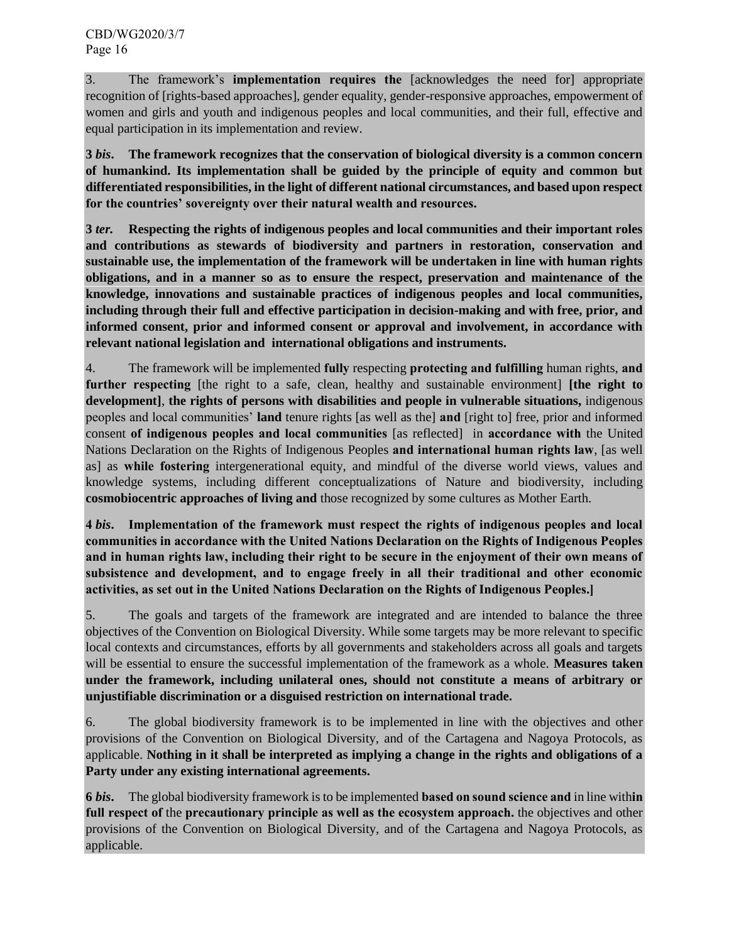3. The framework's **implementation requires the** [acknowledges the need for] appropriate recognition of [rights-based approaches], gender equality, gender-responsive approaches, empowerment of women and girls and youth and indigenous peoples and local communities, and their full, effective and equal participation in its implementation and review.

**3** *bis***. The framework recognizes that the conservation of biological diversity is a common concern of humankind. Its implementation shall be guided by the principle of equity and common but differentiated responsibilities, in the light of different national circumstances, and based upon respect for the countries' sovereignty over their natural wealth and resources.**

**3** *ter.* **Respecting the rights of indigenous peoples and local communities and their important roles and contributions as stewards of biodiversity and partners in restoration, conservation and sustainable use, the implementation of the framework will be undertaken in line with human rights obligations, and in a manner so as to ensure the respect, preservation and maintenance of the knowledge, innovations and sustainable practices of indigenous peoples and local communities, including through their full and effective participation in decision-making and with free, prior, and informed consent, prior and informed consent or approval and involvement, in accordance with relevant national legislation and international obligations and instruments.**

4. The framework will be implemented **fully** respecting **protecting and fulfilling** human rights, **and further respecting** [the right to a safe, clean, healthy and sustainable environment] **[the right to development]**, **the rights of persons with disabilities and people in vulnerable situations,** indigenous peoples and local communities' **land** tenure rights [as well as the] **and** [right to] free, prior and informed consent **of indigenous peoples and local communities** [as reflected] in **accordance with** the United Nations Declaration on the Rights of Indigenous Peoples **and international human rights law**, [as well as] as **while fostering** intergenerational equity, and mindful of the diverse world views, values and knowledge systems, including different conceptualizations of Nature and biodiversity, including **cosmobiocentric approaches of living and** those recognized by some cultures as Mother Earth.

**4** *bis***. Implementation of the framework must respect the rights of indigenous peoples and local communities in accordance with the United Nations Declaration on the Rights of Indigenous Peoples and in human rights law, including their right to be secure in the enjoyment of their own means of subsistence and development, and to engage freely in all their traditional and other economic activities, as set out in the United Nations Declaration on the Rights of Indigenous Peoples.]**

5. The goals and targets of the framework are integrated and are intended to balance the three objectives of the Convention on Biological Diversity. While some targets may be more relevant to specific local contexts and circumstances, efforts by all governments and stakeholders across all goals and targets will be essential to ensure the successful implementation of the framework as a whole. **Measures taken under the framework, including unilateral ones, should not constitute a means of arbitrary or unjustifiable discrimination or a disguised restriction on international trade.**

6. The global biodiversity framework is to be implemented in line with the objectives and other provisions of the Convention on Biological Diversity, and of the Cartagena and Nagoya Protocols, as applicable. **Nothing in it shall be interpreted as implying a change in the rights and obligations of a Party under any existing international agreements.**

**6** *bis***.** The global biodiversity framework is to be implemented **based on sound science and** in line with**in full respect of** the **precautionary principle as well as the ecosystem approach.** the objectives and other provisions of the Convention on Biological Diversity, and of the Cartagena and Nagoya Protocols, as applicable.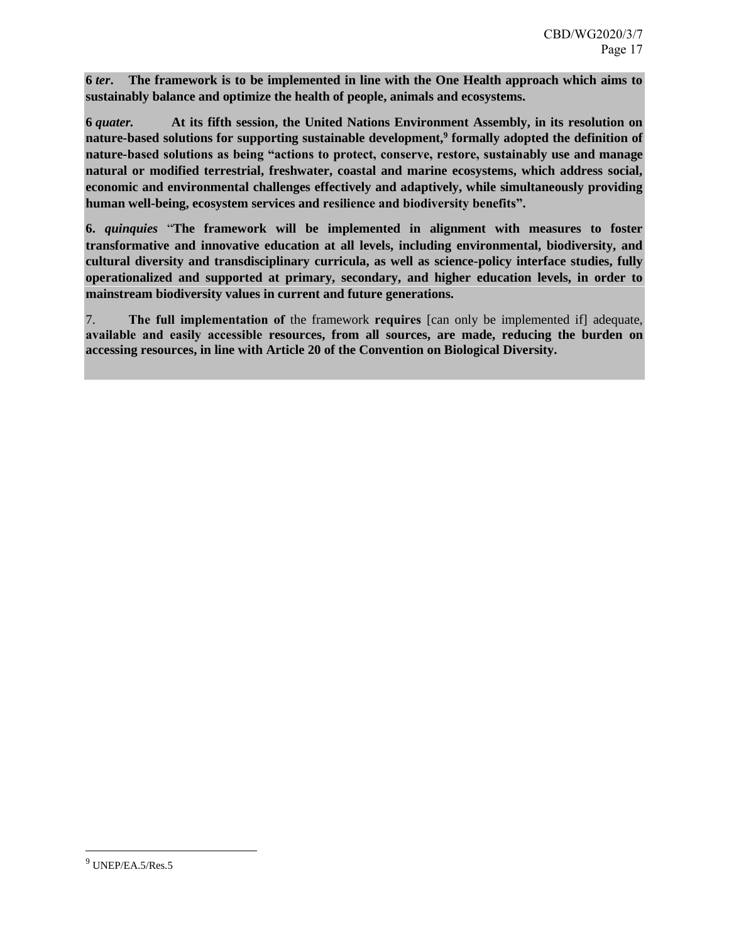**6** *ter***. The framework is to be implemented in line with the One Health approach which aims to sustainably balance and optimize the health of people, animals and ecosystems.** 

**6** *quater.* **At its fifth session, the United Nations Environment Assembly, in its resolution on nature-based solutions for supporting sustainable development,<sup>9</sup> formally adopted the definition of nature-based solutions as being "actions to protect, conserve, restore, sustainably use and manage natural or modified terrestrial, freshwater, coastal and marine ecosystems, which address social, economic and environmental challenges effectively and adaptively, while simultaneously providing human well-being, ecosystem services and resilience and biodiversity benefits".**

**6.** *quinquies* "**The framework will be implemented in alignment with measures to foster transformative and innovative education at all levels, including environmental, biodiversity, and cultural diversity and transdisciplinary curricula, as well as science-policy interface studies, fully operationalized and supported at primary, secondary, and higher education levels, in order to mainstream biodiversity values in current and future generations.**

7. **The full implementation of** the framework **requires** [can only be implemented if] adequate, **available and easily accessible resources, from all sources, are made, reducing the burden on accessing resources, in line with Article 20 of the Convention on Biological Diversity.**

 $\overline{a}$ 

 $9$  UNEP/EA.5/Res.5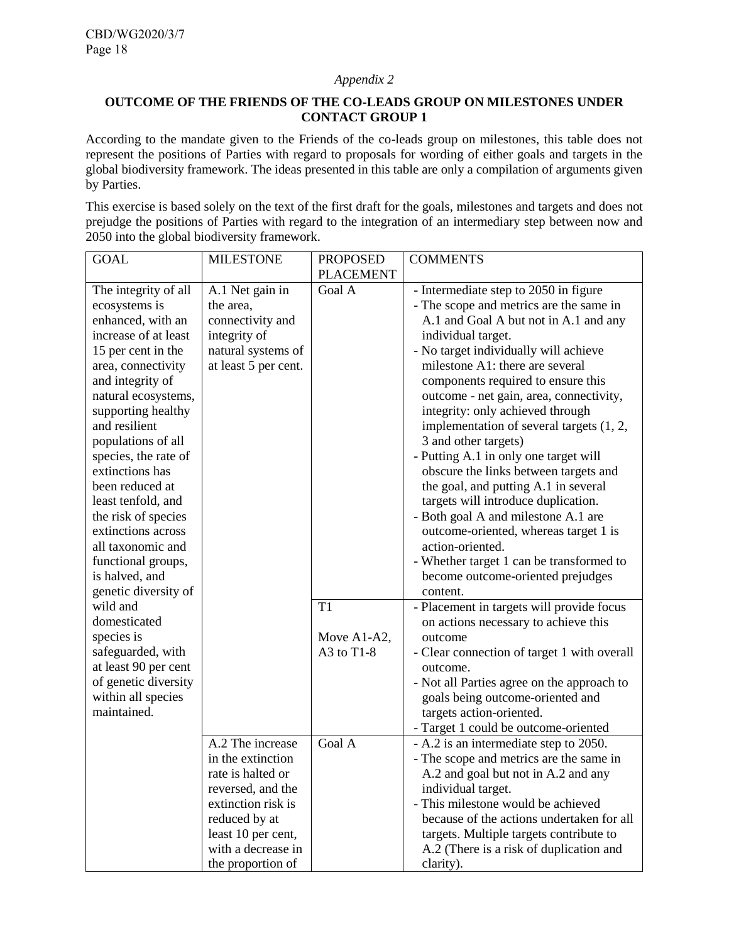# *Appendix 2*

# **OUTCOME OF THE FRIENDS OF THE CO-LEADS GROUP ON MILESTONES UNDER CONTACT GROUP 1**

According to the mandate given to the Friends of the co-leads group on milestones, this table does not represent the positions of Parties with regard to proposals for wording of either goals and targets in the global biodiversity framework. The ideas presented in this table are only a compilation of arguments given by Parties.

This exercise is based solely on the text of the first draft for the goals, milestones and targets and does not prejudge the positions of Parties with regard to the integration of an intermediary step between now and 2050 into the global biodiversity framework.

| <b>GOAL</b>          | <b>MILESTONE</b>     | <b>PROPOSED</b>  | <b>COMMENTS</b>                             |
|----------------------|----------------------|------------------|---------------------------------------------|
|                      |                      | <b>PLACEMENT</b> |                                             |
| The integrity of all | A.1 Net gain in      | Goal A           | - Intermediate step to 2050 in figure       |
| ecosystems is        | the area,            |                  | - The scope and metrics are the same in     |
| enhanced, with an    | connectivity and     |                  | A.1 and Goal A but not in A.1 and any       |
| increase of at least | integrity of         |                  | individual target.                          |
| 15 per cent in the   | natural systems of   |                  | - No target individually will achieve       |
| area, connectivity   | at least 5 per cent. |                  | milestone A1: there are several             |
| and integrity of     |                      |                  | components required to ensure this          |
| natural ecosystems,  |                      |                  | outcome - net gain, area, connectivity,     |
| supporting healthy   |                      |                  | integrity: only achieved through            |
| and resilient        |                      |                  | implementation of several targets (1, 2,    |
| populations of all   |                      |                  | 3 and other targets)                        |
| species, the rate of |                      |                  | - Putting A.1 in only one target will       |
| extinctions has      |                      |                  | obscure the links between targets and       |
| been reduced at      |                      |                  | the goal, and putting A.1 in several        |
| least tenfold, and   |                      |                  | targets will introduce duplication.         |
| the risk of species  |                      |                  | - Both goal A and milestone A.1 are         |
| extinctions across   |                      |                  | outcome-oriented, whereas target 1 is       |
| all taxonomic and    |                      |                  | action-oriented.                            |
| functional groups,   |                      |                  | - Whether target 1 can be transformed to    |
| is halved, and       |                      |                  | become outcome-oriented prejudges           |
| genetic diversity of |                      |                  | content.                                    |
| wild and             |                      | T1               | - Placement in targets will provide focus   |
| domesticated         |                      |                  | on actions necessary to achieve this        |
| species is           |                      | Move A1-A2,      | outcome                                     |
| safeguarded, with    |                      | A3 to $T1-8$     | - Clear connection of target 1 with overall |
| at least 90 per cent |                      |                  | outcome.                                    |
| of genetic diversity |                      |                  | - Not all Parties agree on the approach to  |
| within all species   |                      |                  | goals being outcome-oriented and            |
| maintained.          |                      |                  | targets action-oriented.                    |
|                      |                      |                  | - Target 1 could be outcome-oriented        |
|                      | A.2 The increase     | Goal A           | - A.2 is an intermediate step to 2050.      |
|                      | in the extinction    |                  | - The scope and metrics are the same in     |
|                      | rate is halted or    |                  | A.2 and goal but not in A.2 and any         |
|                      | reversed, and the    |                  | individual target.                          |
|                      | extinction risk is   |                  | - This milestone would be achieved          |
|                      | reduced by at        |                  | because of the actions undertaken for all   |
|                      | least 10 per cent,   |                  | targets. Multiple targets contribute to     |
|                      | with a decrease in   |                  | A.2 (There is a risk of duplication and     |
|                      | the proportion of    |                  | clarity).                                   |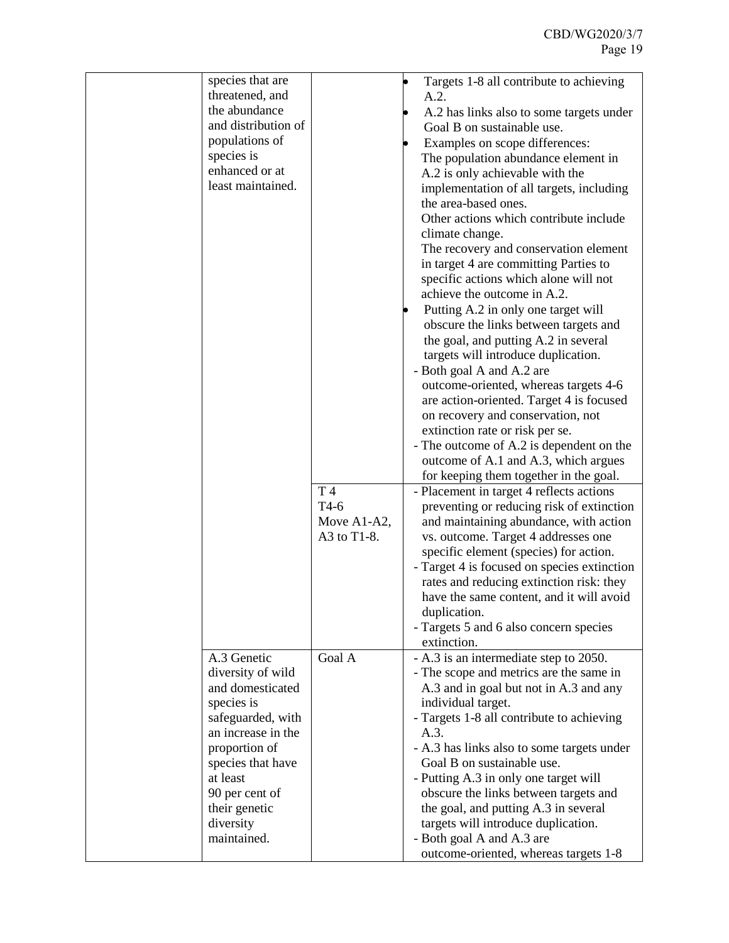| species that are<br>threatened, and<br>the abundance<br>and distribution of<br>populations of<br>species is<br>enhanced or at<br>least maintained. | T 4<br>$T4-6$<br>Move A1-A2,<br>A3 to T1-8. | Targets 1-8 all contribute to achieving<br>A.2.<br>A.2 has links also to some targets under<br>Goal B on sustainable use.<br>Examples on scope differences:<br>The population abundance element in<br>A.2 is only achievable with the<br>implementation of all targets, including<br>the area-based ones.<br>Other actions which contribute include<br>climate change.<br>The recovery and conservation element<br>in target 4 are committing Parties to<br>specific actions which alone will not<br>achieve the outcome in A.2.<br>Putting A.2 in only one target will<br>obscure the links between targets and<br>the goal, and putting A.2 in several<br>targets will introduce duplication.<br>- Both goal A and A.2 are<br>outcome-oriented, whereas targets 4-6<br>are action-oriented. Target 4 is focused<br>on recovery and conservation, not<br>extinction rate or risk per se.<br>- The outcome of A.2 is dependent on the<br>outcome of A.1 and A.3, which argues<br>for keeping them together in the goal.<br>- Placement in target 4 reflects actions<br>preventing or reducing risk of extinction<br>and maintaining abundance, with action<br>vs. outcome. Target 4 addresses one<br>specific element (species) for action.<br>- Target 4 is focused on species extinction<br>rates and reducing extinction risk: they<br>have the same content, and it will avoid<br>duplication. |
|----------------------------------------------------------------------------------------------------------------------------------------------------|---------------------------------------------|----------------------------------------------------------------------------------------------------------------------------------------------------------------------------------------------------------------------------------------------------------------------------------------------------------------------------------------------------------------------------------------------------------------------------------------------------------------------------------------------------------------------------------------------------------------------------------------------------------------------------------------------------------------------------------------------------------------------------------------------------------------------------------------------------------------------------------------------------------------------------------------------------------------------------------------------------------------------------------------------------------------------------------------------------------------------------------------------------------------------------------------------------------------------------------------------------------------------------------------------------------------------------------------------------------------------------------------------------------------------------------------------------|
|                                                                                                                                                    |                                             |                                                                                                                                                                                                                                                                                                                                                                                                                                                                                                                                                                                                                                                                                                                                                                                                                                                                                                                                                                                                                                                                                                                                                                                                                                                                                                                                                                                                    |
|                                                                                                                                                    |                                             |                                                                                                                                                                                                                                                                                                                                                                                                                                                                                                                                                                                                                                                                                                                                                                                                                                                                                                                                                                                                                                                                                                                                                                                                                                                                                                                                                                                                    |
|                                                                                                                                                    |                                             |                                                                                                                                                                                                                                                                                                                                                                                                                                                                                                                                                                                                                                                                                                                                                                                                                                                                                                                                                                                                                                                                                                                                                                                                                                                                                                                                                                                                    |
|                                                                                                                                                    |                                             |                                                                                                                                                                                                                                                                                                                                                                                                                                                                                                                                                                                                                                                                                                                                                                                                                                                                                                                                                                                                                                                                                                                                                                                                                                                                                                                                                                                                    |
|                                                                                                                                                    |                                             |                                                                                                                                                                                                                                                                                                                                                                                                                                                                                                                                                                                                                                                                                                                                                                                                                                                                                                                                                                                                                                                                                                                                                                                                                                                                                                                                                                                                    |
|                                                                                                                                                    |                                             |                                                                                                                                                                                                                                                                                                                                                                                                                                                                                                                                                                                                                                                                                                                                                                                                                                                                                                                                                                                                                                                                                                                                                                                                                                                                                                                                                                                                    |
|                                                                                                                                                    |                                             |                                                                                                                                                                                                                                                                                                                                                                                                                                                                                                                                                                                                                                                                                                                                                                                                                                                                                                                                                                                                                                                                                                                                                                                                                                                                                                                                                                                                    |
|                                                                                                                                                    |                                             |                                                                                                                                                                                                                                                                                                                                                                                                                                                                                                                                                                                                                                                                                                                                                                                                                                                                                                                                                                                                                                                                                                                                                                                                                                                                                                                                                                                                    |
|                                                                                                                                                    |                                             |                                                                                                                                                                                                                                                                                                                                                                                                                                                                                                                                                                                                                                                                                                                                                                                                                                                                                                                                                                                                                                                                                                                                                                                                                                                                                                                                                                                                    |
|                                                                                                                                                    |                                             |                                                                                                                                                                                                                                                                                                                                                                                                                                                                                                                                                                                                                                                                                                                                                                                                                                                                                                                                                                                                                                                                                                                                                                                                                                                                                                                                                                                                    |
|                                                                                                                                                    |                                             |                                                                                                                                                                                                                                                                                                                                                                                                                                                                                                                                                                                                                                                                                                                                                                                                                                                                                                                                                                                                                                                                                                                                                                                                                                                                                                                                                                                                    |
|                                                                                                                                                    |                                             |                                                                                                                                                                                                                                                                                                                                                                                                                                                                                                                                                                                                                                                                                                                                                                                                                                                                                                                                                                                                                                                                                                                                                                                                                                                                                                                                                                                                    |
|                                                                                                                                                    |                                             |                                                                                                                                                                                                                                                                                                                                                                                                                                                                                                                                                                                                                                                                                                                                                                                                                                                                                                                                                                                                                                                                                                                                                                                                                                                                                                                                                                                                    |
|                                                                                                                                                    |                                             |                                                                                                                                                                                                                                                                                                                                                                                                                                                                                                                                                                                                                                                                                                                                                                                                                                                                                                                                                                                                                                                                                                                                                                                                                                                                                                                                                                                                    |
|                                                                                                                                                    |                                             | - Targets 5 and 6 also concern species                                                                                                                                                                                                                                                                                                                                                                                                                                                                                                                                                                                                                                                                                                                                                                                                                                                                                                                                                                                                                                                                                                                                                                                                                                                                                                                                                             |
|                                                                                                                                                    |                                             | extinction.                                                                                                                                                                                                                                                                                                                                                                                                                                                                                                                                                                                                                                                                                                                                                                                                                                                                                                                                                                                                                                                                                                                                                                                                                                                                                                                                                                                        |
| A.3 Genetic                                                                                                                                        | Goal A                                      | - A.3 is an intermediate step to 2050.                                                                                                                                                                                                                                                                                                                                                                                                                                                                                                                                                                                                                                                                                                                                                                                                                                                                                                                                                                                                                                                                                                                                                                                                                                                                                                                                                             |
| diversity of wild                                                                                                                                  |                                             | - The scope and metrics are the same in                                                                                                                                                                                                                                                                                                                                                                                                                                                                                                                                                                                                                                                                                                                                                                                                                                                                                                                                                                                                                                                                                                                                                                                                                                                                                                                                                            |
| and domesticated                                                                                                                                   |                                             | A.3 and in goal but not in A.3 and any                                                                                                                                                                                                                                                                                                                                                                                                                                                                                                                                                                                                                                                                                                                                                                                                                                                                                                                                                                                                                                                                                                                                                                                                                                                                                                                                                             |
| species is<br>safeguarded, with                                                                                                                    |                                             | individual target.<br>- Targets 1-8 all contribute to achieving                                                                                                                                                                                                                                                                                                                                                                                                                                                                                                                                                                                                                                                                                                                                                                                                                                                                                                                                                                                                                                                                                                                                                                                                                                                                                                                                    |
| an increase in the                                                                                                                                 |                                             | A.3.                                                                                                                                                                                                                                                                                                                                                                                                                                                                                                                                                                                                                                                                                                                                                                                                                                                                                                                                                                                                                                                                                                                                                                                                                                                                                                                                                                                               |
| proportion of                                                                                                                                      |                                             | - A.3 has links also to some targets under                                                                                                                                                                                                                                                                                                                                                                                                                                                                                                                                                                                                                                                                                                                                                                                                                                                                                                                                                                                                                                                                                                                                                                                                                                                                                                                                                         |
| species that have                                                                                                                                  |                                             | Goal B on sustainable use.                                                                                                                                                                                                                                                                                                                                                                                                                                                                                                                                                                                                                                                                                                                                                                                                                                                                                                                                                                                                                                                                                                                                                                                                                                                                                                                                                                         |
| at least                                                                                                                                           |                                             | - Putting A.3 in only one target will                                                                                                                                                                                                                                                                                                                                                                                                                                                                                                                                                                                                                                                                                                                                                                                                                                                                                                                                                                                                                                                                                                                                                                                                                                                                                                                                                              |
| 90 per cent of                                                                                                                                     |                                             | obscure the links between targets and                                                                                                                                                                                                                                                                                                                                                                                                                                                                                                                                                                                                                                                                                                                                                                                                                                                                                                                                                                                                                                                                                                                                                                                                                                                                                                                                                              |
| their genetic                                                                                                                                      |                                             | the goal, and putting A.3 in several                                                                                                                                                                                                                                                                                                                                                                                                                                                                                                                                                                                                                                                                                                                                                                                                                                                                                                                                                                                                                                                                                                                                                                                                                                                                                                                                                               |
| diversity                                                                                                                                          |                                             | targets will introduce duplication.                                                                                                                                                                                                                                                                                                                                                                                                                                                                                                                                                                                                                                                                                                                                                                                                                                                                                                                                                                                                                                                                                                                                                                                                                                                                                                                                                                |
| maintained.                                                                                                                                        |                                             | - Both goal A and A.3 are                                                                                                                                                                                                                                                                                                                                                                                                                                                                                                                                                                                                                                                                                                                                                                                                                                                                                                                                                                                                                                                                                                                                                                                                                                                                                                                                                                          |
|                                                                                                                                                    |                                             | outcome-oriented, whereas targets 1-8                                                                                                                                                                                                                                                                                                                                                                                                                                                                                                                                                                                                                                                                                                                                                                                                                                                                                                                                                                                                                                                                                                                                                                                                                                                                                                                                                              |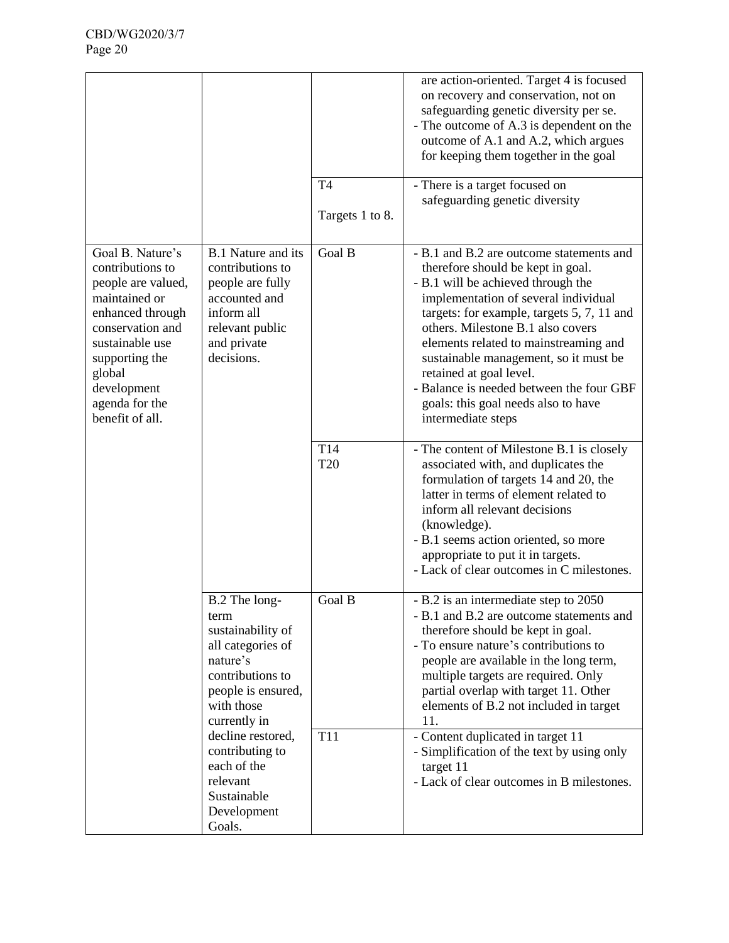|                                                                                                                                                                                                                        |                                                                                                                                                     | T <sub>4</sub><br>Targets 1 to 8. | are action-oriented. Target 4 is focused<br>on recovery and conservation, not on<br>safeguarding genetic diversity per se.<br>- The outcome of A.3 is dependent on the<br>outcome of A.1 and A.2, which argues<br>for keeping them together in the goal<br>- There is a target focused on<br>safeguarding genetic diversity                                                                                                                                          |
|------------------------------------------------------------------------------------------------------------------------------------------------------------------------------------------------------------------------|-----------------------------------------------------------------------------------------------------------------------------------------------------|-----------------------------------|----------------------------------------------------------------------------------------------------------------------------------------------------------------------------------------------------------------------------------------------------------------------------------------------------------------------------------------------------------------------------------------------------------------------------------------------------------------------|
| Goal B. Nature's<br>contributions to<br>people are valued,<br>maintained or<br>enhanced through<br>conservation and<br>sustainable use<br>supporting the<br>global<br>development<br>agenda for the<br>benefit of all. | <b>B.1</b> Nature and its<br>contributions to<br>people are fully<br>accounted and<br>inform all<br>relevant public<br>and private<br>decisions.    | Goal B                            | - B.1 and B.2 are outcome statements and<br>therefore should be kept in goal.<br>- B.1 will be achieved through the<br>implementation of several individual<br>targets: for example, targets 5, 7, 11 and<br>others. Milestone B.1 also covers<br>elements related to mainstreaming and<br>sustainable management, so it must be<br>retained at goal level.<br>- Balance is needed between the four GBF<br>goals: this goal needs also to have<br>intermediate steps |
|                                                                                                                                                                                                                        |                                                                                                                                                     | T14<br><b>T20</b>                 | - The content of Milestone B.1 is closely<br>associated with, and duplicates the<br>formulation of targets 14 and 20, the<br>latter in terms of element related to<br>inform all relevant decisions<br>(knowledge).<br>- B.1 seems action oriented, so more<br>appropriate to put it in targets.<br>- Lack of clear outcomes in C milestones.                                                                                                                        |
|                                                                                                                                                                                                                        | B.2 The long-<br>term<br>sustainability of<br>all categories of<br>nature's<br>contributions to<br>people is ensured,<br>with those<br>currently in | Goal B                            | - B.2 is an intermediate step to 2050<br>- B.1 and B.2 are outcome statements and<br>therefore should be kept in goal.<br>- To ensure nature's contributions to<br>people are available in the long term,<br>multiple targets are required. Only<br>partial overlap with target 11. Other<br>elements of B.2 not included in target<br>11.                                                                                                                           |
|                                                                                                                                                                                                                        | decline restored,<br>contributing to<br>each of the<br>relevant<br>Sustainable<br>Development<br>Goals.                                             | T <sub>11</sub>                   | - Content duplicated in target 11<br>- Simplification of the text by using only<br>target 11<br>- Lack of clear outcomes in B milestones.                                                                                                                                                                                                                                                                                                                            |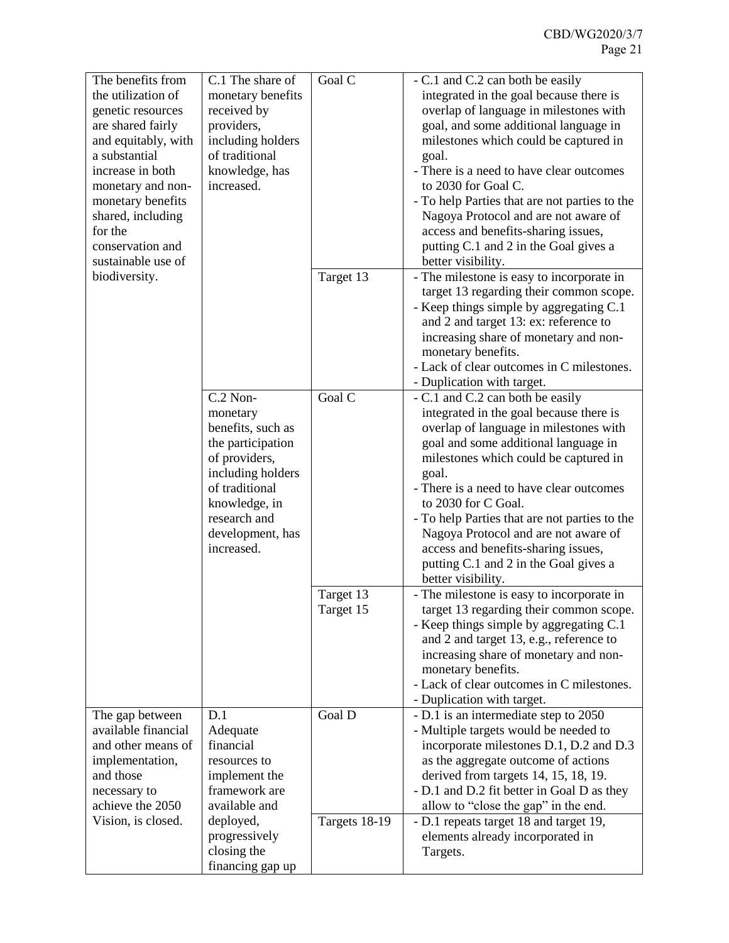| The benefits from   | C.1 The share of               | Goal C        | - C.1 and C.2 can both be easily              |
|---------------------|--------------------------------|---------------|-----------------------------------------------|
| the utilization of  | monetary benefits              |               | integrated in the goal because there is       |
| genetic resources   | received by                    |               | overlap of language in milestones with        |
| are shared fairly   | providers,                     |               | goal, and some additional language in         |
| and equitably, with | including holders              |               | milestones which could be captured in         |
| a substantial       | of traditional                 |               | goal.                                         |
| increase in both    | knowledge, has                 |               | - There is a need to have clear outcomes      |
|                     | increased.                     |               | to 2030 for Goal C.                           |
| monetary and non-   |                                |               |                                               |
| monetary benefits   |                                |               | - To help Parties that are not parties to the |
| shared, including   |                                |               | Nagoya Protocol and are not aware of          |
| for the             |                                |               | access and benefits-sharing issues,           |
| conservation and    |                                |               | putting C.1 and 2 in the Goal gives a         |
| sustainable use of  |                                |               | better visibility.                            |
| biodiversity.       |                                | Target 13     | - The milestone is easy to incorporate in     |
|                     |                                |               | target 13 regarding their common scope.       |
|                     |                                |               | - Keep things simple by aggregating C.1       |
|                     |                                |               | and 2 and target 13: ex: reference to         |
|                     |                                |               | increasing share of monetary and non-         |
|                     |                                |               | monetary benefits.                            |
|                     |                                |               | - Lack of clear outcomes in C milestones.     |
|                     |                                |               | - Duplication with target.                    |
|                     | $C.2$ Non-                     | Goal C        | - C.1 and C.2 can both be easily              |
|                     | monetary                       |               | integrated in the goal because there is       |
|                     | benefits, such as              |               | overlap of language in milestones with        |
|                     | the participation              |               | goal and some additional language in          |
|                     | of providers,                  |               | milestones which could be captured in         |
|                     | including holders              |               | goal.                                         |
|                     | of traditional                 |               | - There is a need to have clear outcomes      |
|                     | knowledge, in                  |               | to 2030 for C Goal.                           |
|                     | research and                   |               | - To help Parties that are not parties to the |
|                     |                                |               |                                               |
|                     | development, has<br>increased. |               | Nagoya Protocol and are not aware of          |
|                     |                                |               | access and benefits-sharing issues,           |
|                     |                                |               | putting C.1 and 2 in the Goal gives a         |
|                     |                                |               | better visibility.                            |
|                     |                                | Target 13     | - The milestone is easy to incorporate in     |
|                     |                                | Target 15     | target 13 regarding their common scope.       |
|                     |                                |               | - Keep things simple by aggregating C.1       |
|                     |                                |               | and 2 and target 13, e.g., reference to       |
|                     |                                |               | increasing share of monetary and non-         |
|                     |                                |               | monetary benefits.                            |
|                     |                                |               | - Lack of clear outcomes in C milestones.     |
|                     |                                |               | - Duplication with target.                    |
| The gap between     | D.1                            | Goal D        | - D.1 is an intermediate step to 2050         |
| available financial | Adequate                       |               | - Multiple targets would be needed to         |
| and other means of  | financial                      |               | incorporate milestones D.1, D.2 and D.3       |
| implementation,     | resources to                   |               | as the aggregate outcome of actions           |
| and those           | implement the                  |               | derived from targets 14, 15, 18, 19.          |
| necessary to        | framework are                  |               | - D.1 and D.2 fit better in Goal D as they    |
| achieve the 2050    | available and                  |               | allow to "close the gap" in the end.          |
| Vision, is closed.  | deployed,                      | Targets 18-19 | - D.1 repeats target 18 and target 19,        |
|                     | progressively                  |               | elements already incorporated in              |
|                     | closing the                    |               |                                               |
|                     |                                |               | Targets.                                      |
|                     | financing gap up               |               |                                               |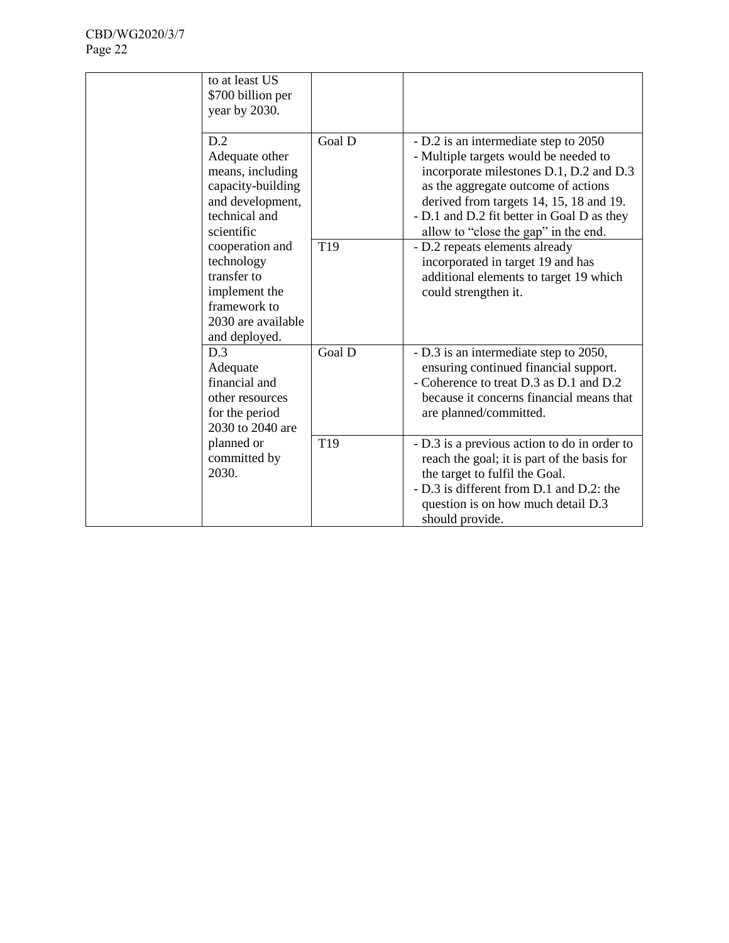| to at least US<br>\$700 billion per<br>year by 2030.                                                                 |                 |                                                                                                                                                                                                                                                                                                   |
|----------------------------------------------------------------------------------------------------------------------|-----------------|---------------------------------------------------------------------------------------------------------------------------------------------------------------------------------------------------------------------------------------------------------------------------------------------------|
| D.2<br>Adequate other<br>means, including<br>capacity-building<br>and development,<br>technical and<br>scientific    | Goal D          | - D.2 is an intermediate step to 2050<br>- Multiple targets would be needed to<br>incorporate milestones D.1, D.2 and D.3<br>as the aggregate outcome of actions<br>derived from targets 14, 15, 18 and 19.<br>- D.1 and D.2 fit better in Goal D as they<br>allow to "close the gap" in the end. |
| cooperation and<br>technology<br>transfer to<br>implement the<br>framework to<br>2030 are available<br>and deployed. | T <sub>19</sub> | - D.2 repeats elements already<br>incorporated in target 19 and has<br>additional elements to target 19 which<br>could strengthen it.                                                                                                                                                             |
| D.3<br>Adequate<br>financial and<br>other resources<br>for the period<br>2030 to 2040 are                            | Goal D          | - D.3 is an intermediate step to 2050,<br>ensuring continued financial support.<br>- Coherence to treat D.3 as D.1 and D.2<br>because it concerns financial means that<br>are planned/committed.                                                                                                  |
| planned or<br>committed by<br>2030.                                                                                  | T <sub>19</sub> | - D.3 is a previous action to do in order to<br>reach the goal; it is part of the basis for<br>the target to fulfil the Goal.<br>- D.3 is different from D.1 and D.2: the<br>question is on how much detail D.3<br>should provide.                                                                |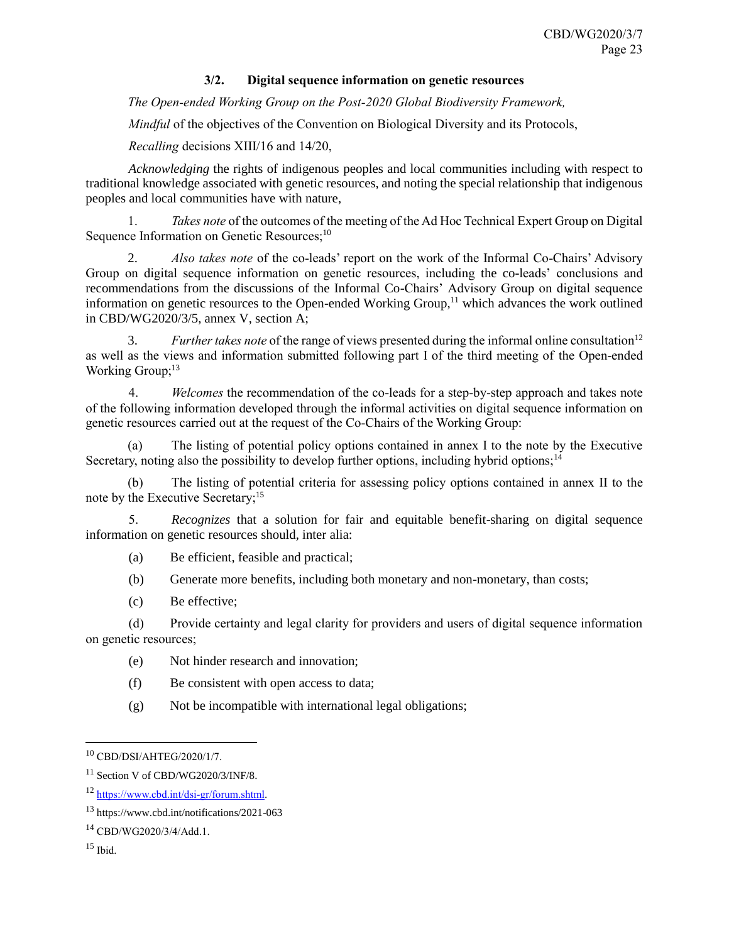# **3/2. Digital sequence information on genetic resources**

<span id="page-22-0"></span>*The Open-ended Working Group on the Post-2020 Global Biodiversity Framework,*

*Mindful* of the objectives of the Convention on Biological Diversity and its Protocols,

*Recalling* decisions XIII/16 and 14/20,

*Acknowledging* the rights of indigenous peoples and local communities including with respect to traditional knowledge associated with genetic resources, and noting the special relationship that indigenous peoples and local communities have with nature,

1. *Takes note* of the outcomes of the meeting of the Ad Hoc Technical Expert Group on Digital Sequence Information on Genetic Resources;<sup>10</sup>

2. *Also takes note* of the co-leads' report on the work of the Informal Co-Chairs' Advisory Group on digital sequence information on genetic resources, including the co-leads' conclusions and recommendations from the discussions of the Informal Co-Chairs' Advisory Group on digital sequence information on genetic resources to the Open-ended Working Group, $<sup>11</sup>$  which advances the work outlined</sup> in CBD/WG2020/3/5, annex V, section A;

3. *Further takes note* of the range of views presented during the informal online consultation<sup>12</sup> as well as the views and information submitted following part I of the third meeting of the Open-ended Working Group;<sup>13</sup>

4. *Welcomes* the recommendation of the co-leads for a step-by-step approach and takes note of the following information developed through the informal activities on digital sequence information on genetic resources carried out at the request of the Co-Chairs of the Working Group:

(a) The listing of potential policy options contained in annex I to the note by the Executive Secretary, noting also the possibility to develop further options, including hybrid options;<sup>14</sup>

(b) The listing of potential criteria for assessing policy options contained in annex II to the note by the Executive Secretary;<sup>15</sup>

5. *Recognizes* that a solution for fair and equitable benefit-sharing on digital sequence information on genetic resources should, inter alia:

(a) Be efficient, feasible and practical;

(b) Generate more benefits, including both monetary and non-monetary, than costs;

(c) Be effective;

(d) Provide certainty and legal clarity for providers and users of digital sequence information on genetic resources;

- (e) Not hinder research and innovation;
- (f) Be consistent with open access to data;
- (g) Not be incompatible with international legal obligations;

l

<sup>10</sup> CBD/DSI/AHTEG/2020/1/7.

<sup>&</sup>lt;sup>11</sup> Section V of CBD/WG2020/3/INF/8.

<sup>12</sup> [https://www.cbd.int/dsi-gr/forum.shtml.](https://www.cbd.int/dsi-gr/forum.shtml)

<sup>13</sup> https://www.cbd.int/notifications/2021-063

<sup>14</sup> CBD/WG2020/3/4/Add.1.

 $15$  Ibid.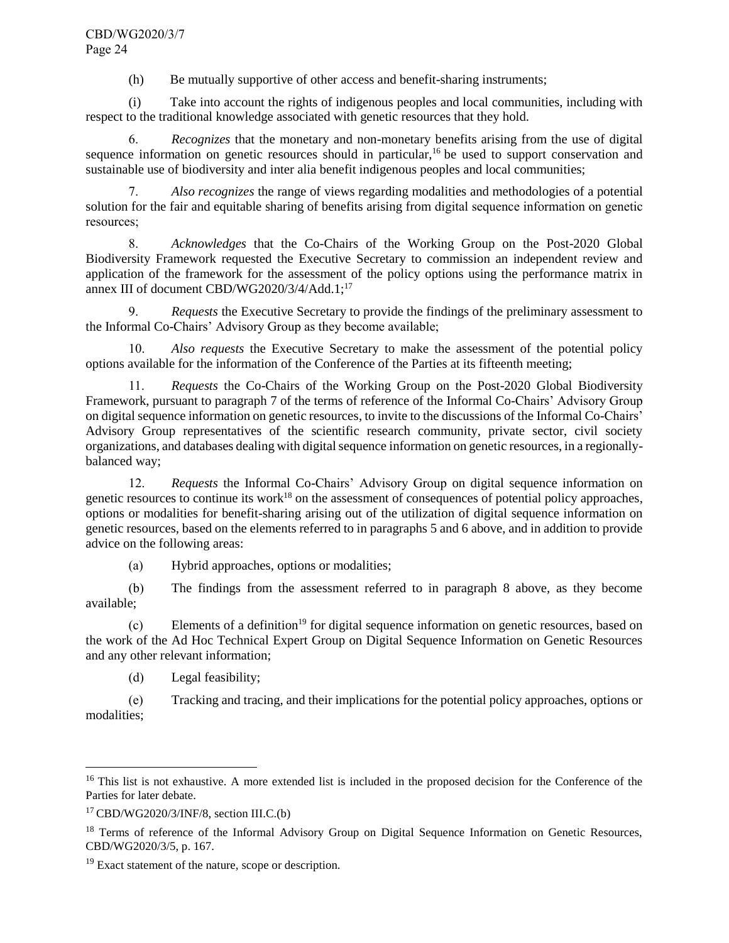(h) Be mutually supportive of other access and benefit-sharing instruments;

(i) Take into account the rights of indigenous peoples and local communities, including with respect to the traditional knowledge associated with genetic resources that they hold.

6. *Recognizes* that the monetary and non-monetary benefits arising from the use of digital sequence information on genetic resources should in particular,<sup>16</sup> be used to support conservation and sustainable use of biodiversity and inter alia benefit indigenous peoples and local communities;

7. *Also recognizes* the range of views regarding modalities and methodologies of a potential solution for the fair and equitable sharing of benefits arising from digital sequence information on genetic resources;

8. *Acknowledges* that the Co-Chairs of the Working Group on the Post-2020 Global Biodiversity Framework requested the Executive Secretary to commission an independent review and application of the framework for the assessment of the policy options using the performance matrix in annex III of document CBD/WG2020/3/4/Add.1;<sup>17</sup>

9. *Requests* the Executive Secretary to provide the findings of the preliminary assessment to the Informal Co-Chairs' Advisory Group as they become available;

Also requests the Executive Secretary to make the assessment of the potential policy options available for the information of the Conference of the Parties at its fifteenth meeting;

11. *Requests* the Co-Chairs of the Working Group on the Post-2020 Global Biodiversity Framework, pursuant to paragraph 7 of the terms of reference of the Informal Co-Chairs' Advisory Group on digital sequence information on genetic resources, to invite to the discussions of the Informal Co-Chairs' Advisory Group representatives of the scientific research community, private sector, civil society organizations, and databases dealing with digital sequence information on genetic resources, in a regionallybalanced way;

12. *Requests* the Informal Co-Chairs' Advisory Group on digital sequence information on genetic resources to continue its work<sup>18</sup> on the assessment of consequences of potential policy approaches, options or modalities for benefit-sharing arising out of the utilization of digital sequence information on genetic resources, based on the elements referred to in paragraphs 5 and 6 above, and in addition to provide advice on the following areas:

(a) Hybrid approaches, options or modalities;

(b) The findings from the assessment referred to in paragraph 8 above, as they become available;

 $(c)$  Elements of a definition<sup>19</sup> for digital sequence information on genetic resources, based on the work of the Ad Hoc Technical Expert Group on Digital Sequence Information on Genetic Resources and any other relevant information;

(d) Legal feasibility;

(e) Tracking and tracing, and their implications for the potential policy approaches, options or modalities;

l

<sup>&</sup>lt;sup>16</sup> This list is not exhaustive. A more extended list is included in the proposed decision for the Conference of the Parties for later debate.

 $17$  CBD/WG2020/3/INF/8, section III.C.(b)

<sup>&</sup>lt;sup>18</sup> Terms of reference of the Informal Advisory Group on Digital Sequence Information on Genetic Resources, CBD/WG2020/3/5, p. 167.

<sup>&</sup>lt;sup>19</sup> Exact statement of the nature, scope or description.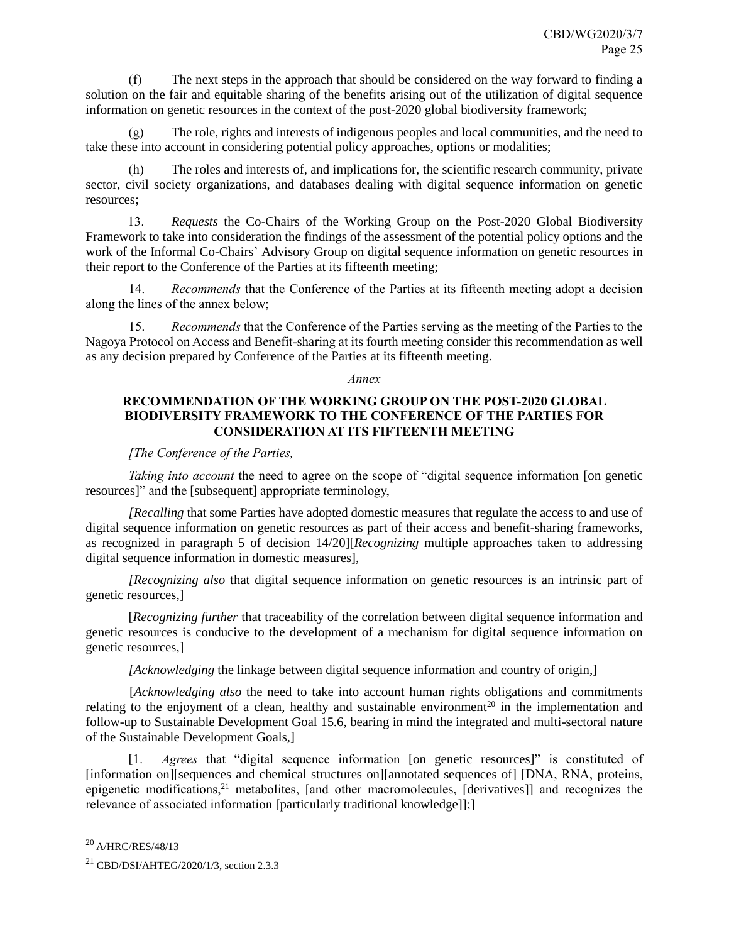(f) The next steps in the approach that should be considered on the way forward to finding a solution on the fair and equitable sharing of the benefits arising out of the utilization of digital sequence information on genetic resources in the context of the post-2020 global biodiversity framework;

(g) The role, rights and interests of indigenous peoples and local communities, and the need to take these into account in considering potential policy approaches, options or modalities;

The roles and interests of, and implications for, the scientific research community, private sector, civil society organizations, and databases dealing with digital sequence information on genetic resources;

13. *Requests* the Co-Chairs of the Working Group on the Post-2020 Global Biodiversity Framework to take into consideration the findings of the assessment of the potential policy options and the work of the Informal Co-Chairs' Advisory Group on digital sequence information on genetic resources in their report to the Conference of the Parties at its fifteenth meeting;

14. *Recommends* that the Conference of the Parties at its fifteenth meeting adopt a decision along the lines of the annex below;

15. *Recommends* that the Conference of the Parties serving as the meeting of the Parties to the Nagoya Protocol on Access and Benefit-sharing at its fourth meeting consider this recommendation as well as any decision prepared by Conference of the Parties at its fifteenth meeting.

#### *Annex*

# **RECOMMENDATION OF THE WORKING GROUP ON THE POST-2020 GLOBAL BIODIVERSITY FRAMEWORK TO THE CONFERENCE OF THE PARTIES FOR CONSIDERATION AT ITS FIFTEENTH MEETING**

### *[The Conference of the Parties,*

*Taking into account* the need to agree on the scope of "digital sequence information [on genetic resources]" and the [subsequent] appropriate terminology,

*[Recalling* that some Parties have adopted domestic measures that regulate the access to and use of digital sequence information on genetic resources as part of their access and benefit-sharing frameworks, as recognized in paragraph 5 of decision 14/20][*Recognizing* multiple approaches taken to addressing digital sequence information in domestic measures],

*[Recognizing also* that digital sequence information on genetic resources is an intrinsic part of genetic resources,]

[*Recognizing further* that traceability of the correlation between digital sequence information and genetic resources is conducive to the development of a mechanism for digital sequence information on genetic resources,]

*[Acknowledging* the linkage between digital sequence information and country of origin,]

[*Acknowledging also* the need to take into account human rights obligations and commitments relating to the enjoyment of a clean, healthy and sustainable environment<sup>20</sup> in the implementation and follow-up to Sustainable Development Goal 15.6, bearing in mind the integrated and multi-sectoral nature of the Sustainable Development Goals,]

[1. *Agrees* that "digital sequence information [on genetic resources]" is constituted of [information on][sequences and chemical structures on][annotated sequences of] [DNA, RNA, proteins, epigenetic modifications,<sup>21</sup> metabolites, [and other macromolecules, [derivatives]] and recognizes the relevance of associated information [particularly traditional knowledge]];]

 $\overline{a}$ 

<sup>20</sup> A/HRC/RES/48/13

<sup>21</sup> CBD/DSI/AHTEG/2020/1/3, section 2.3.3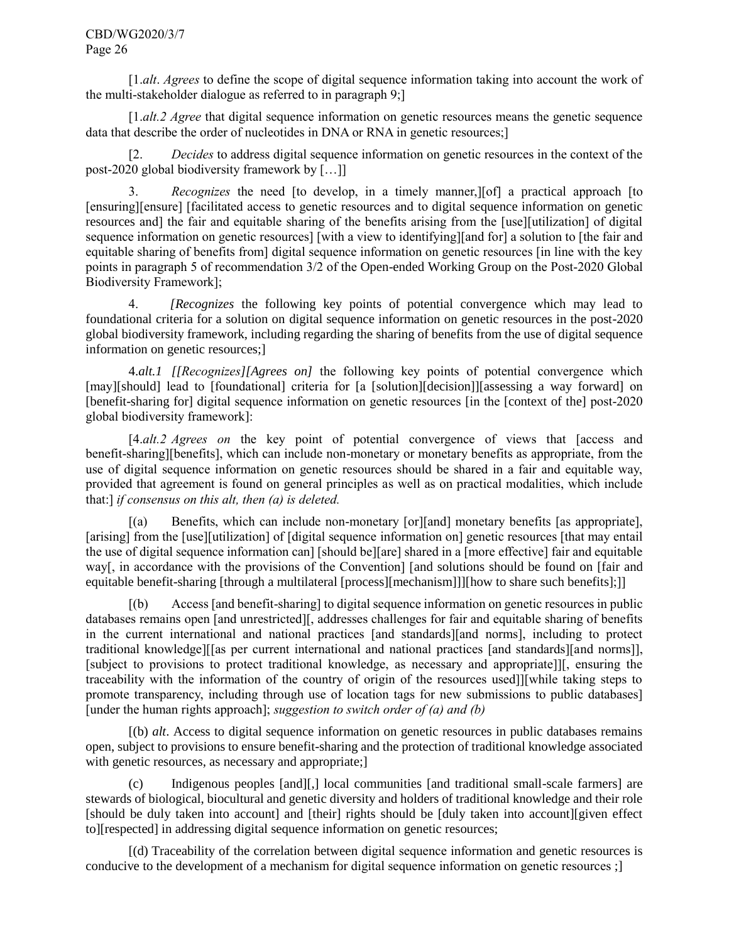[1.*alt*. *Agrees* to define the scope of digital sequence information taking into account the work of the multi-stakeholder dialogue as referred to in paragraph 9;]

[1.*alt.2 Agree* that digital sequence information on genetic resources means the genetic sequence data that describe the order of nucleotides in DNA or RNA in genetic resources;]

[2. *Decides* to address digital sequence information on genetic resources in the context of the post-2020 global biodiversity framework by […]]

3. *Recognizes* the need [to develop, in a timely manner,][of] a practical approach [to [ensuring][ensure] [facilitated access to genetic resources and to digital sequence information on genetic resources and] the fair and equitable sharing of the benefits arising from the [use][utilization] of digital sequence information on genetic resources] [with a view to identifying][and for] a solution to [the fair and equitable sharing of benefits from] digital sequence information on genetic resources [in line with the key points in paragraph 5 of recommendation 3/2 of the Open-ended Working Group on the Post-2020 Global Biodiversity Framework];

4. *[Recognizes* the following key points of potential convergence which may lead to foundational criteria for a solution on digital sequence information on genetic resources in the post-2020 global biodiversity framework, including regarding the sharing of benefits from the use of digital sequence information on genetic resources;]

4.*alt.1 [[Recognizes][Agrees on]* the following key points of potential convergence which [may][should] lead to [foundational] criteria for [a [solution][decision]][assessing a way forward] on [benefit-sharing for] digital sequence information on genetic resources [in the [context of the] post-2020 global biodiversity framework]:

[4.*alt.2 Agrees on* the key point of potential convergence of views that [access and benefit-sharing][benefits], which can include non-monetary or monetary benefits as appropriate, from the use of digital sequence information on genetic resources should be shared in a fair and equitable way, provided that agreement is found on general principles as well as on practical modalities, which include that:] *if consensus on this alt, then (a) is deleted.* 

[(a) Benefits, which can include non-monetary [or][and] monetary benefits [as appropriate], [arising] from the [use][utilization] of [digital sequence information on] genetic resources [that may entail the use of digital sequence information can] [should be][are] shared in a [more effective] fair and equitable way[, in accordance with the provisions of the Convention] [and solutions should be found on [fair and equitable benefit-sharing [through a multilateral [process][mechanism]]][how to share such benefits];]]

[(b) Access [and benefit-sharing] to digital sequence information on genetic resources in public databases remains open [and unrestricted][, addresses challenges for fair and equitable sharing of benefits in the current international and national practices [and standards][and norms], including to protect traditional knowledge][[as per current international and national practices [and standards][and norms]], [subject to provisions to protect traditional knowledge, as necessary and appropriate]][, ensuring the traceability with the information of the country of origin of the resources used]][while taking steps to promote transparency, including through use of location tags for new submissions to public databases] [under the human rights approach]; *suggestion to switch order of (a) and (b)*

[(b) *alt*. Access to digital sequence information on genetic resources in public databases remains open, subject to provisions to ensure benefit-sharing and the protection of traditional knowledge associated with genetic resources, as necessary and appropriate;

(c) Indigenous peoples [and][,] local communities [and traditional small-scale farmers] are stewards of biological, biocultural and genetic diversity and holders of traditional knowledge and their role [should be duly taken into account] and [their] rights should be [duly taken into account][given effect to][respected] in addressing digital sequence information on genetic resources;

[(d) Traceability of the correlation between digital sequence information and genetic resources is conducive to the development of a mechanism for digital sequence information on genetic resources ;]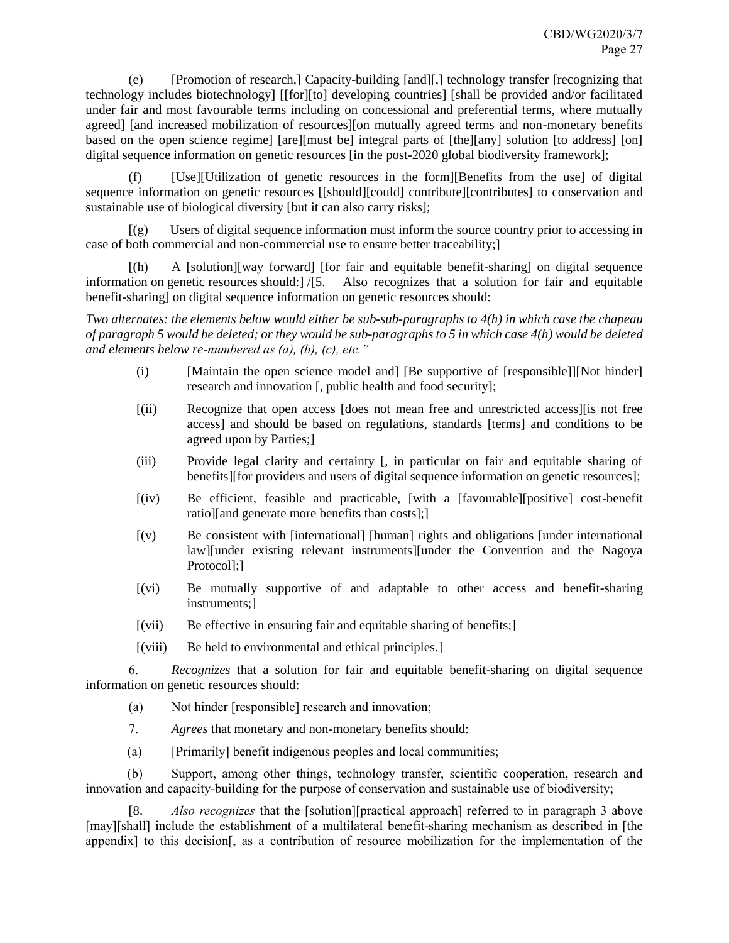(e) [Promotion of research,] Capacity-building [and][,] technology transfer [recognizing that technology includes biotechnology] [[for][to] developing countries] [shall be provided and/or facilitated under fair and most favourable terms including on concessional and preferential terms, where mutually agreed] [and increased mobilization of resources][on mutually agreed terms and non-monetary benefits based on the open science regime] [are][must be] integral parts of [the][any] solution [to address] [on] digital sequence information on genetic resources [in the post-2020 global biodiversity framework];

(f) [Use][Utilization of genetic resources in the form][Benefits from the use] of digital sequence information on genetic resources [[should][could] contribute][contributes] to conservation and sustainable use of biological diversity [but it can also carry risks];

[(g) Users of digital sequence information must inform the source country prior to accessing in case of both commercial and non-commercial use to ensure better traceability;]

[(h) A [solution][way forward] [for fair and equitable benefit-sharing] on digital sequence information on genetic resources should:] /[5. Also recognizes that a solution for fair and equitable benefit-sharing] on digital sequence information on genetic resources should:

*Two alternates: the elements below would either be sub-sub-paragraphs to 4(h) in which case the chapeau of paragraph 5 would be deleted; or they would be sub-paragraphs to 5 in which case 4(h) would be deleted and elements below re-numbered as (a), (b), (c), etc."*

- (i) [Maintain the open science model and] [Be supportive of [responsible]][Not hinder] research and innovation [, public health and food security];
- [(ii) Recognize that open access [does not mean free and unrestricted access][is not free access] and should be based on regulations, standards [terms] and conditions to be agreed upon by Parties;]
- (iii) Provide legal clarity and certainty [, in particular on fair and equitable sharing of benefits][for providers and users of digital sequence information on genetic resources];
- [(iv) Be efficient, feasible and practicable, [with a [favourable][positive] cost-benefit ratio][and generate more benefits than costs];]
- [(v) Be consistent with [international] [human] rights and obligations [under international law][under existing relevant instruments][under the Convention and the Nagoya Protocol];]
- [(vi) Be mutually supportive of and adaptable to other access and benefit-sharing instruments;]
- $[(vii)$  Be effective in ensuring fair and equitable sharing of benefits;
- [(viii) Be held to environmental and ethical principles.]

6. *Recognizes* that a solution for fair and equitable benefit-sharing on digital sequence information on genetic resources should:

- (a) Not hinder [responsible] research and innovation;
- 7. *Agrees* that monetary and non-monetary benefits should:
- (a) [Primarily] benefit indigenous peoples and local communities;

(b) Support, among other things, technology transfer, scientific cooperation, research and innovation and capacity-building for the purpose of conservation and sustainable use of biodiversity;

[8. *Also recognizes* that the [solution][practical approach] referred to in paragraph 3 above [may][shall] include the establishment of a multilateral benefit-sharing mechanism as described in [the appendix] to this decision[, as a contribution of resource mobilization for the implementation of the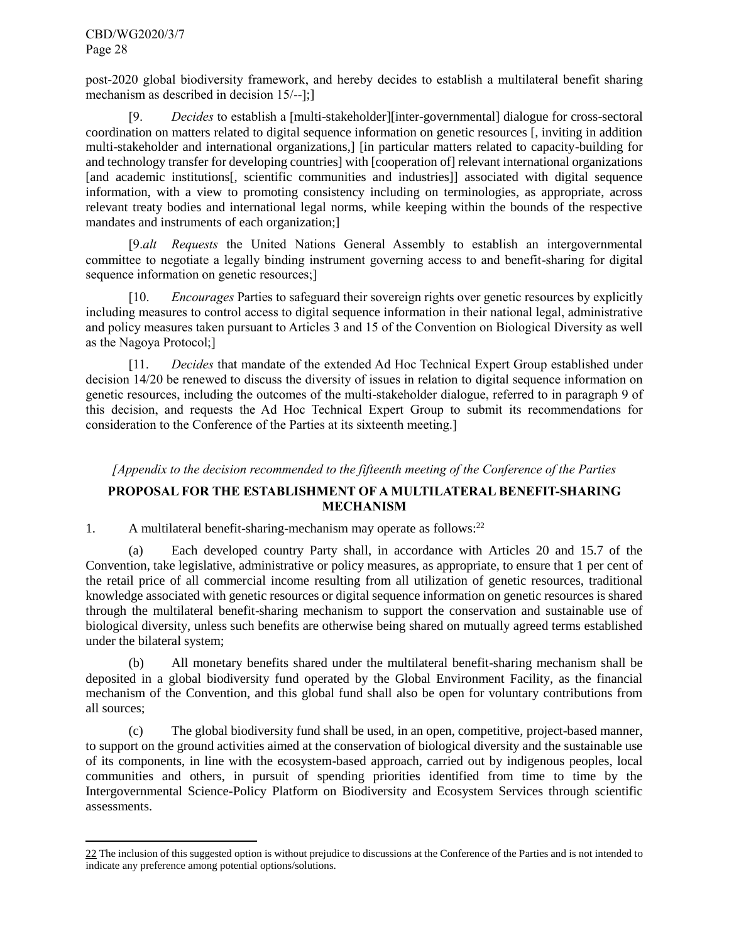l

post-2020 global biodiversity framework, and hereby decides to establish a multilateral benefit sharing mechanism as described in decision 15/--];]

[9. *Decides* to establish a [multi-stakeholder][inter-governmental] dialogue for cross-sectoral coordination on matters related to digital sequence information on genetic resources [, inviting in addition multi-stakeholder and international organizations,] [in particular matters related to capacity-building for and technology transfer for developing countries] with [cooperation of] relevant international organizations [and academic institutions], scientific communities and industries]] associated with digital sequence information, with a view to promoting consistency including on terminologies, as appropriate, across relevant treaty bodies and international legal norms, while keeping within the bounds of the respective mandates and instruments of each organization;]

[9.*alt Requests* the United Nations General Assembly to establish an intergovernmental committee to negotiate a legally binding instrument governing access to and benefit-sharing for digital sequence information on genetic resources;]

[10. *Encourages* Parties to safeguard their sovereign rights over genetic resources by explicitly including measures to control access to digital sequence information in their national legal, administrative and policy measures taken pursuant to Articles 3 and 15 of the Convention on Biological Diversity as well as the Nagoya Protocol;]

[11. *Decides* that mandate of the extended Ad Hoc Technical Expert Group established under decision 14/20 be renewed to discuss the diversity of issues in relation to digital sequence information on genetic resources, including the outcomes of the multi-stakeholder dialogue, referred to in paragraph 9 of this decision, and requests the Ad Hoc Technical Expert Group to submit its recommendations for consideration to the Conference of the Parties at its sixteenth meeting.]

# *[Appendix to the decision recommended to the fifteenth meeting of the Conference of the Parties*

# **PROPOSAL FOR THE ESTABLISHMENT OF A MULTILATERAL BENEFIT-SHARING MECHANISM**

1. A multilateral benefit-sharing-mechanism may operate as follows:<sup>22</sup>

(a) Each developed country Party shall, in accordance with Articles 20 and 15.7 of the Convention, take legislative, administrative or policy measures, as appropriate, to ensure that 1 per cent of the retail price of all commercial income resulting from all utilization of genetic resources, traditional knowledge associated with genetic resources or digital sequence information on genetic resources is shared through the multilateral benefit-sharing mechanism to support the conservation and sustainable use of biological diversity, unless such benefits are otherwise being shared on mutually agreed terms established under the bilateral system;

(b) All monetary benefits shared under the multilateral benefit-sharing mechanism shall be deposited in a global biodiversity fund operated by the Global Environment Facility, as the financial mechanism of the Convention, and this global fund shall also be open for voluntary contributions from all sources;

(c) The global biodiversity fund shall be used, in an open, competitive, project-based manner, to support on the ground activities aimed at the conservation of biological diversity and the sustainable use of its components, in line with the ecosystem-based approach, carried out by indigenous peoples, local communities and others, in pursuit of spending priorities identified from time to time by the Intergovernmental Science-Policy Platform on Biodiversity and Ecosystem Services through scientific assessments.

<sup>22</sup> The inclusion of this suggested option is without prejudice to discussions at the Conference of the Parties and is not intended to indicate any preference among potential options/solutions.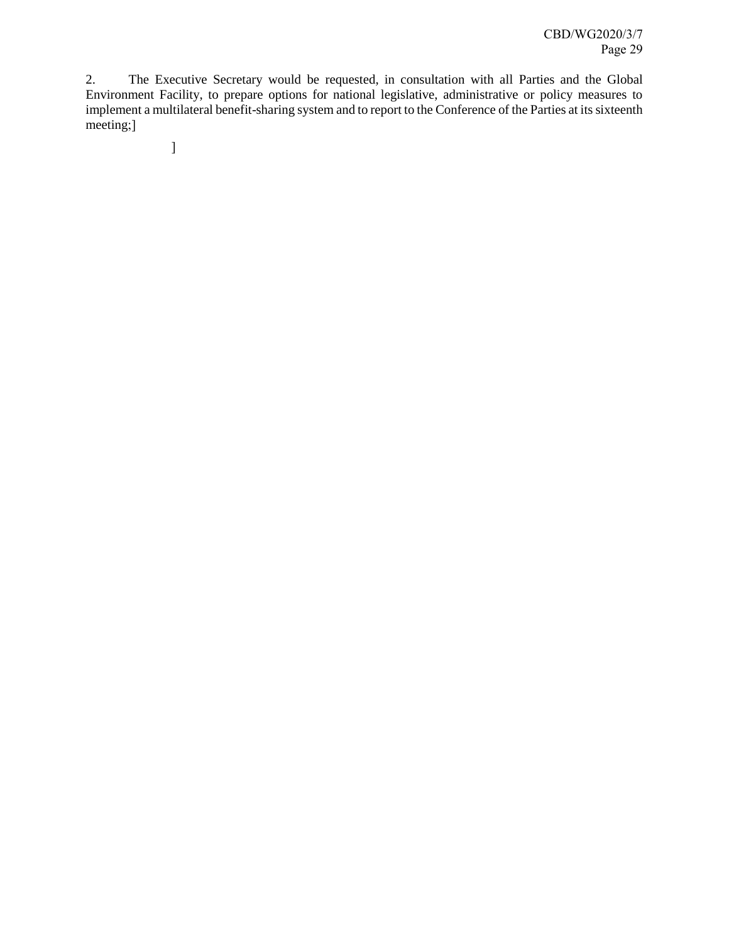2. The Executive Secretary would be requested, in consultation with all Parties and the Global Environment Facility, to prepare options for national legislative, administrative or policy measures to implement a multilateral benefit-sharing system and to report to the Conference of the Parties at its sixteenth meeting;]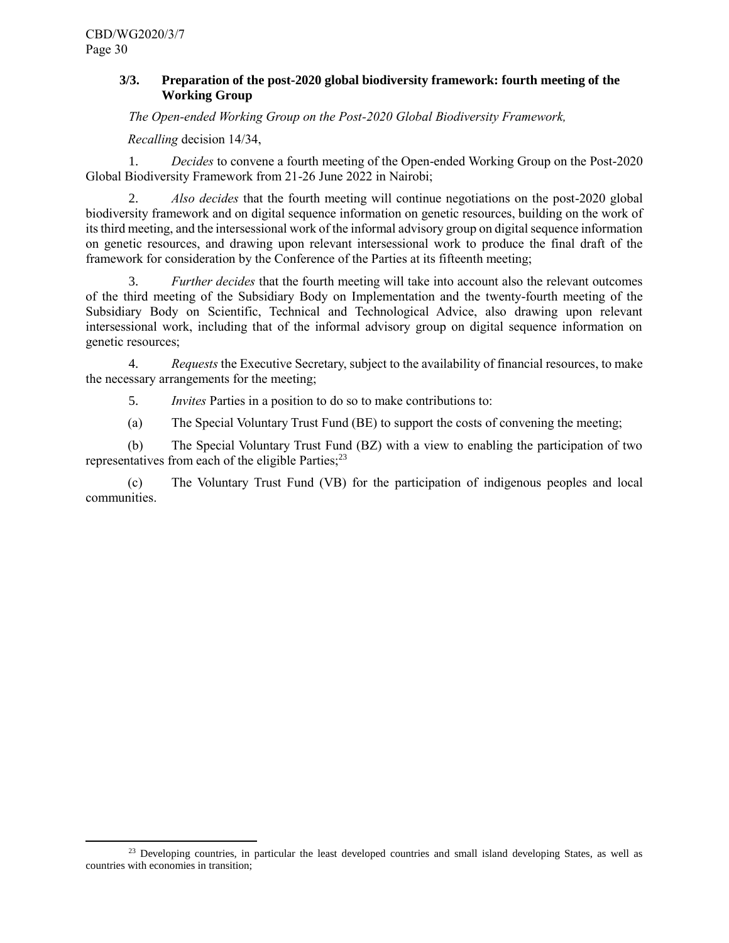l

# <span id="page-29-0"></span>**3/3. Preparation of the post-2020 global biodiversity framework: fourth meeting of the Working Group**

*The Open-ended Working Group on the Post-2020 Global Biodiversity Framework,*

*Recalling* decision 14/34,

1. *Decides* to convene a fourth meeting of the Open-ended Working Group on the Post-2020 Global Biodiversity Framework from 21-26 June 2022 in Nairobi;

2. *Also decides* that the fourth meeting will continue negotiations on the post-2020 global biodiversity framework and on digital sequence information on genetic resources, building on the work of its third meeting, and the intersessional work of the informal advisory group on digital sequence information on genetic resources, and drawing upon relevant intersessional work to produce the final draft of the framework for consideration by the Conference of the Parties at its fifteenth meeting;

3. *Further decides* that the fourth meeting will take into account also the relevant outcomes of the third meeting of the Subsidiary Body on Implementation and the twenty-fourth meeting of the Subsidiary Body on Scientific, Technical and Technological Advice, also drawing upon relevant intersessional work, including that of the informal advisory group on digital sequence information on genetic resources;

4. *Requests* the Executive Secretary, subject to the availability of financial resources, to make the necessary arrangements for the meeting;

5. *Invites* Parties in a position to do so to make contributions to:

(a) The Special Voluntary Trust Fund (BE) to support the costs of convening the meeting;

(b) The Special Voluntary Trust Fund (BZ) with a view to enabling the participation of two representatives from each of the eligible Parties; $^{23}$ 

(c) The Voluntary Trust Fund (VB) for the participation of indigenous peoples and local communities.

 $23$  Developing countries, in particular the least developed countries and small island developing States, as well as countries with economies in transition;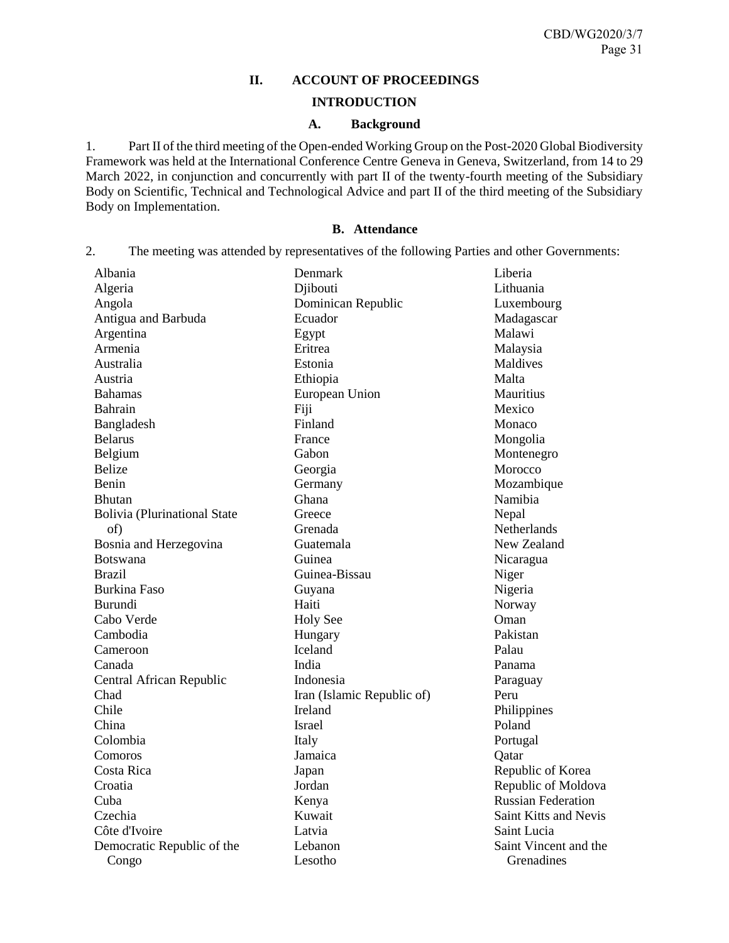# **II. ACCOUNT OF PROCEEDINGS**

### **INTRODUCTION**

## **A. Background**

<span id="page-30-2"></span><span id="page-30-1"></span><span id="page-30-0"></span>1. Part II of the third meeting of the Open-ended Working Group on the Post-2020 Global Biodiversity Framework was held at the International Conference Centre Geneva in Geneva, Switzerland, from 14 to 29 March 2022, in conjunction and concurrently with part II of the twenty-fourth meeting of the Subsidiary Body on Scientific, Technical and Technological Advice and part II of the third meeting of the Subsidiary Body on Implementation.

### **B. Attendance**

<span id="page-30-3"></span>2. The meeting was attended by representatives of the following Parties and other Governments:

| Albania                             | Denmark                    | Liberia                   |
|-------------------------------------|----------------------------|---------------------------|
| Algeria                             | Djibouti                   | Lithuania                 |
| Angola                              | Dominican Republic         | Luxembourg                |
| Antigua and Barbuda                 | Ecuador                    | Madagascar                |
| Argentina                           | Egypt                      | Malawi                    |
| Armenia                             | Eritrea                    | Malaysia                  |
| Australia                           | Estonia                    | Maldives                  |
| Austria                             | Ethiopia                   | Malta                     |
| <b>Bahamas</b>                      | European Union             | Mauritius                 |
| Bahrain                             | Fiji                       | Mexico                    |
| Bangladesh                          | Finland                    | Monaco                    |
| <b>Belarus</b>                      | France                     | Mongolia                  |
| Belgium                             | Gabon                      | Montenegro                |
| <b>Belize</b>                       | Georgia                    | Morocco                   |
| Benin                               | Germany                    | Mozambique                |
| <b>Bhutan</b>                       | Ghana                      | Namibia                   |
| <b>Bolivia</b> (Plurinational State | Greece                     | Nepal                     |
| of)                                 | Grenada                    | Netherlands               |
| Bosnia and Herzegovina              | Guatemala                  | New Zealand               |
| <b>Botswana</b>                     | Guinea                     | Nicaragua                 |
| <b>Brazil</b>                       | Guinea-Bissau              | Niger                     |
| <b>Burkina Faso</b>                 | Guyana                     | Nigeria                   |
| <b>Burundi</b>                      | Haiti                      | Norway                    |
| Cabo Verde                          | <b>Holy See</b>            | Oman                      |
| Cambodia                            | Hungary                    | Pakistan                  |
| Cameroon                            | Iceland                    | Palau                     |
| Canada                              | India                      | Panama                    |
| Central African Republic            | Indonesia                  | Paraguay                  |
| Chad                                | Iran (Islamic Republic of) | Peru                      |
| Chile                               | Ireland                    | Philippines               |
| China                               | <b>Israel</b>              | Poland                    |
| Colombia                            | Italy                      | Portugal                  |
| Comoros                             | Jamaica                    | Qatar                     |
| Costa Rica                          | Japan                      | Republic of Korea         |
| Croatia                             | Jordan                     | Republic of Moldova       |
| Cuba                                | Kenya                      | <b>Russian Federation</b> |
| Czechia                             | Kuwait                     | Saint Kitts and Nevis     |
| Côte d'Ivoire                       | Latvia                     | Saint Lucia               |
| Democratic Republic of the          | Lebanon                    | Saint Vincent and the     |
| Congo                               | Lesotho                    | Grenadines                |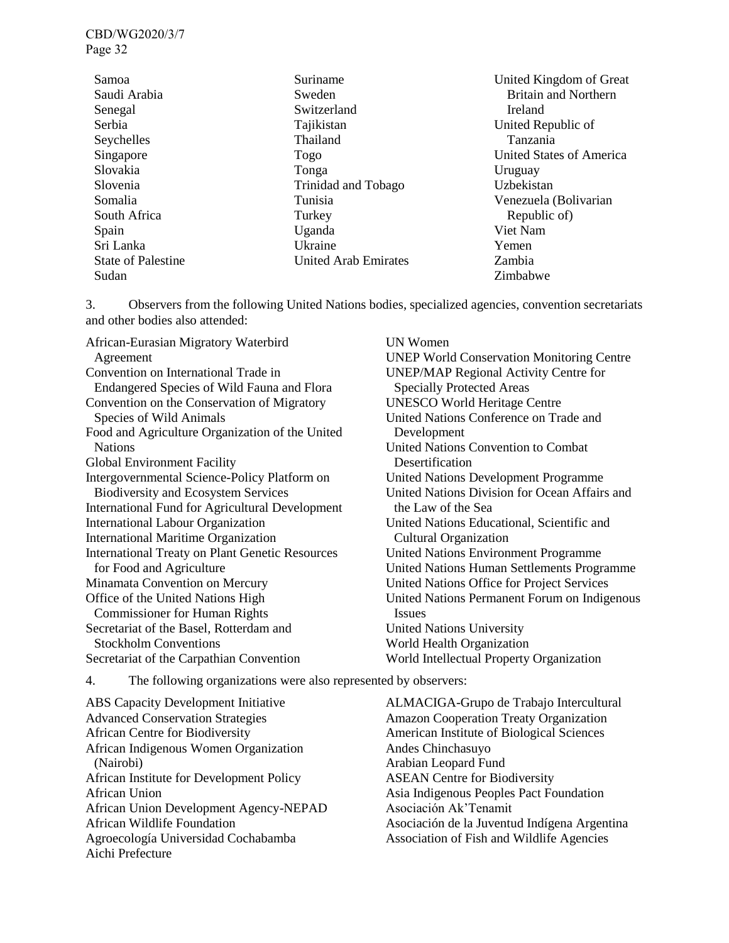| Samoa                     | Suriname                    |
|---------------------------|-----------------------------|
| Saudi Arabia              | Sweden                      |
| Senegal                   | Switzerland                 |
| Serbia                    | Tajikistan                  |
| Seychelles                | Thailand                    |
| Singapore                 | Togo                        |
| Slovakia                  | Tonga                       |
| Slovenia                  | Trinidad and Tobago         |
| Somalia                   | Tunisia                     |
| South Africa              | Turkey                      |
| Spain                     | Uganda                      |
| Sri Lanka                 | Ukraine                     |
| <b>State of Palestine</b> | <b>United Arab Emirates</b> |
| Sudan                     |                             |

United Kingdom of Great Britain and Northern Ireland United Republic of Tanzania United States of America Uruguay Uzbekistan Venezuela (Bolivarian Republic of) Viet Nam Yemen Zambia Zimbabwe

3. Observers from the following United Nations bodies, specialized agencies, convention secretariats and other bodies also attended:

African-Eurasian Migratory Waterbird Agreement Convention on International Trade in Endangered Species of Wild Fauna and Flora Convention on the Conservation of Migratory Species of Wild Animals Food and Agriculture Organization of the United Nations Global Environment Facility Intergovernmental Science-Policy Platform on Biodiversity and Ecosystem Services International Fund for Agricultural Development International Labour Organization International Maritime Organization International Treaty on Plant Genetic Resources for Food and Agriculture Minamata Convention on Mercury Office of the United Nations High Commissioner for Human Rights Secretariat of the Basel, Rotterdam and Stockholm Conventions Secretariat of the Carpathian Convention

UN Women UNEP World Conservation Monitoring Centre UNEP/MAP Regional Activity Centre for Specially Protected Areas UNESCO World Heritage Centre United Nations Conference on Trade and Development United Nations Convention to Combat **Desertification** United Nations Development Programme United Nations Division for Ocean Affairs and the Law of the Sea United Nations Educational, Scientific and Cultural Organization United Nations Environment Programme United Nations Human Settlements Programme United Nations Office for Project Services United Nations Permanent Forum on Indigenous Issues United Nations University World Health Organization World Intellectual Property Organization

4. The following organizations were also represented by observers:

ABS Capacity Development Initiative Advanced Conservation Strategies African Centre for Biodiversity African Indigenous Women Organization (Nairobi) African Institute for Development Policy African Union African Union Development Agency-NEPAD African Wildlife Foundation Agroecología Universidad Cochabamba Aichi Prefecture

ALMACIGA-Grupo de Trabajo Intercultural Amazon Cooperation Treaty Organization American Institute of Biological Sciences Andes Chinchasuyo Arabian Leopard Fund ASEAN Centre for Biodiversity Asia Indigenous Peoples Pact Foundation Asociación Ak'Tenamit Asociación de la Juventud Indígena Argentina Association of Fish and Wildlife Agencies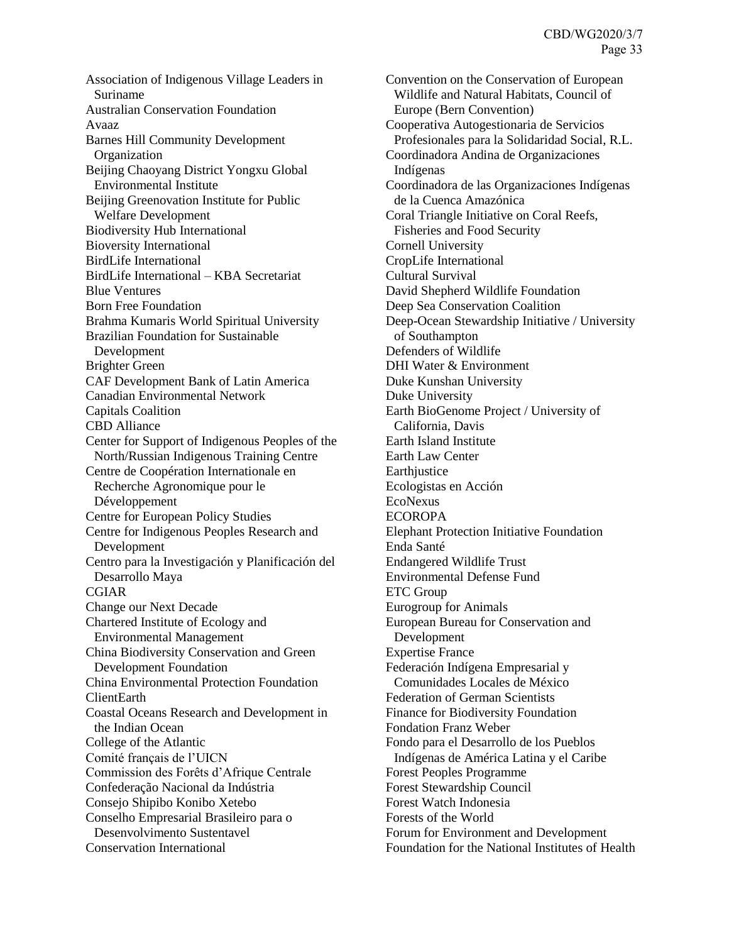Association of Indigenous Village Leaders in Suriname Australian Conservation Foundation Avaaz Barnes Hill Community Development **Organization** Beijing Chaoyang District Yongxu Global Environmental Institute Beijing Greenovation Institute for Public Welfare Development Biodiversity Hub International Bioversity International BirdLife International BirdLife International – KBA Secretariat Blue Ventures Born Free Foundation Brahma Kumaris World Spiritual University Brazilian Foundation for Sustainable Development Brighter Green CAF Development Bank of Latin America Canadian Environmental Network Capitals Coalition CBD Alliance Center for Support of Indigenous Peoples of the North/Russian Indigenous Training Centre Centre de Coopération Internationale en Recherche Agronomique pour le Développement Centre for European Policy Studies Centre for Indigenous Peoples Research and Development Centro para la Investigación y Planificación del Desarrollo Maya CGIAR Change our Next Decade Chartered Institute of Ecology and Environmental Management China Biodiversity Conservation and Green Development Foundation China Environmental Protection Foundation ClientEarth Coastal Oceans Research and Development in the Indian Ocean College of the Atlantic Comité français de l'UICN Commission des Forêts d'Afrique Centrale Confederação Nacional da Indústria Consejo Shipibo Konibo Xetebo Conselho Empresarial Brasileiro para o Desenvolvimento Sustentavel Conservation International

Convention on the Conservation of European Wildlife and Natural Habitats, Council of Europe (Bern Convention) Cooperativa Autogestionaria de Servicios Profesionales para la Solidaridad Social, R.L. Coordinadora Andina de Organizaciones Indígenas Coordinadora de las Organizaciones Indígenas de la Cuenca Amazónica Coral Triangle Initiative on Coral Reefs, Fisheries and Food Security Cornell University CropLife International Cultural Survival David Shepherd Wildlife Foundation Deep Sea Conservation Coalition Deep-Ocean Stewardship Initiative / University of Southampton Defenders of Wildlife DHI Water & Environment Duke Kunshan University Duke University Earth BioGenome Project / University of California, Davis Earth Island Institute Earth Law Center **Earthjustice** Ecologistas en Acción EcoNexus **ECOROPA** Elephant Protection Initiative Foundation Enda Santé Endangered Wildlife Trust Environmental Defense Fund ETC Group Eurogroup for Animals European Bureau for Conservation and Development Expertise France Federación Indígena Empresarial y Comunidades Locales de México Federation of German Scientists Finance for Biodiversity Foundation Fondation Franz Weber Fondo para el Desarrollo de los Pueblos Indígenas de América Latina y el Caribe Forest Peoples Programme Forest Stewardship Council Forest Watch Indonesia Forests of the World Forum for Environment and Development Foundation for the National Institutes of Health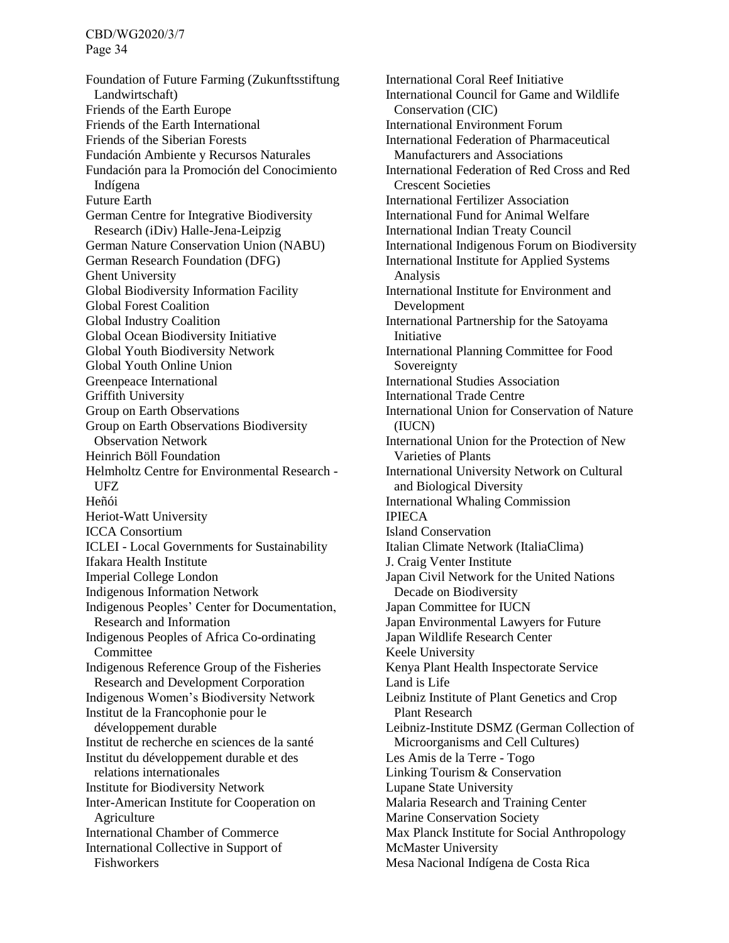Foundation of Future Farming (Zukunftsstiftung Landwirtschaft) Friends of the Earth Europe Friends of the Earth International Friends of the Siberian Forests Fundación Ambiente y Recursos Naturales Fundación para la Promoción del Conocimiento Indígena Future Earth German Centre for Integrative Biodiversity Research (iDiv) Halle-Jena-Leipzig German Nature Conservation Union (NABU) German Research Foundation (DFG) Ghent University Global Biodiversity Information Facility Global Forest Coalition Global Industry Coalition Global Ocean Biodiversity Initiative Global Youth Biodiversity Network Global Youth Online Union Greenpeace International Griffith University Group on Earth Observations Group on Earth Observations Biodiversity Observation Network Heinrich Böll Foundation Helmholtz Centre for Environmental Research - UFZ Heñói Heriot-Watt University ICCA Consortium ICLEI - Local Governments for Sustainability Ifakara Health Institute Imperial College London Indigenous Information Network Indigenous Peoples' Center for Documentation, Research and Information Indigenous Peoples of Africa Co-ordinating Committee Indigenous Reference Group of the Fisheries Research and Development Corporation Indigenous Women's Biodiversity Network Institut de la Francophonie pour le développement durable Institut de recherche en sciences de la santé Institut du développement durable et des relations internationales Institute for Biodiversity Network Inter-American Institute for Cooperation on Agriculture International Chamber of Commerce International Collective in Support of Fishworkers

International Coral Reef Initiative International Council for Game and Wildlife Conservation (CIC) International Environment Forum International Federation of Pharmaceutical Manufacturers and Associations International Federation of Red Cross and Red Crescent Societies International Fertilizer Association International Fund for Animal Welfare International Indian Treaty Council International Indigenous Forum on Biodiversity International Institute for Applied Systems Analysis International Institute for Environment and Development International Partnership for the Satoyama Initiative International Planning Committee for Food Sovereignty International Studies Association International Trade Centre International Union for Conservation of Nature (IUCN) International Union for the Protection of New Varieties of Plants International University Network on Cultural and Biological Diversity International Whaling Commission IPIECA Island Conservation Italian Climate Network (ItaliaClima) J. Craig Venter Institute Japan Civil Network for the United Nations Decade on Biodiversity Japan Committee for IUCN Japan Environmental Lawyers for Future Japan Wildlife Research Center Keele University Kenya Plant Health Inspectorate Service Land is Life Leibniz Institute of Plant Genetics and Crop Plant Research Leibniz-Institute DSMZ (German Collection of Microorganisms and Cell Cultures) Les Amis de la Terre - Togo Linking Tourism & Conservation Lupane State University Malaria Research and Training Center Marine Conservation Society Max Planck Institute for Social Anthropology McMaster University Mesa Nacional Indígena de Costa Rica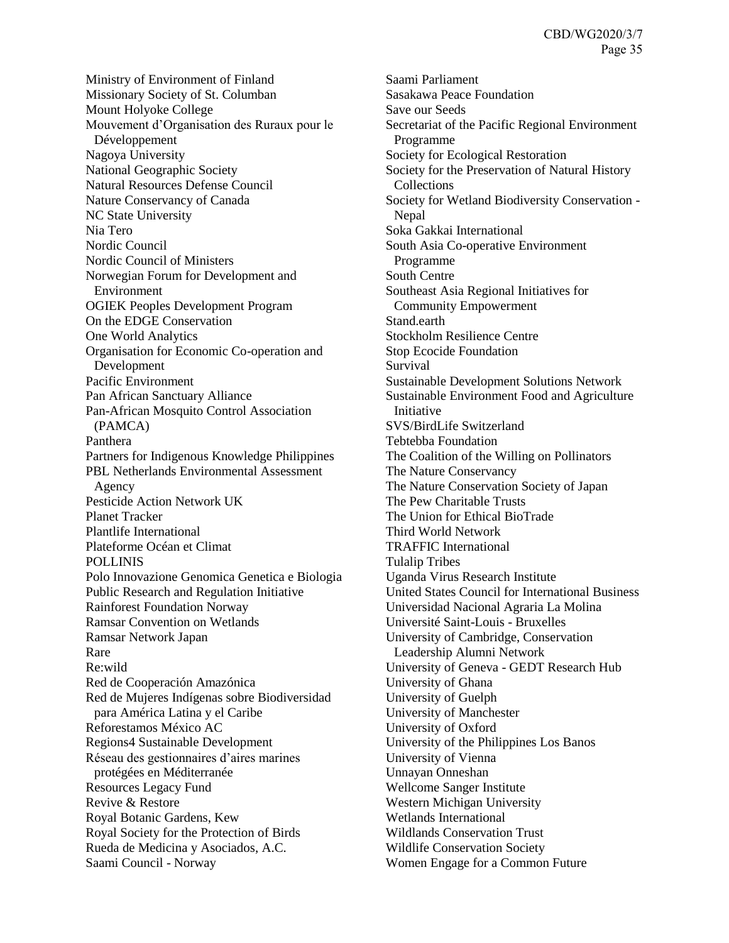Ministry of Environment of Finland Missionary Society of St. Columban Mount Holyoke College Mouvement d'Organisation des Ruraux pour le Développement Nagoya University National Geographic Society Natural Resources Defense Council Nature Conservancy of Canada NC State University Nia Tero Nordic Council Nordic Council of Ministers Norwegian Forum for Development and Environment OGIEK Peoples Development Program On the EDGE Conservation One World Analytics Organisation for Economic Co-operation and Development Pacific Environment Pan African Sanctuary Alliance Pan-African Mosquito Control Association (PAMCA) Panthera Partners for Indigenous Knowledge Philippines PBL Netherlands Environmental Assessment Agency Pesticide Action Network UK Planet Tracker Plantlife International Plateforme Océan et Climat POLLINIS Polo Innovazione Genomica Genetica e Biologia Public Research and Regulation Initiative Rainforest Foundation Norway Ramsar Convention on Wetlands Ramsar Network Japan Rare Re:wild Red de Cooperación Amazónica Red de Mujeres Indígenas sobre Biodiversidad para América Latina y el Caribe Reforestamos México AC Regions4 Sustainable Development Réseau des gestionnaires d'aires marines protégées en Méditerranée Resources Legacy Fund Revive & Restore Royal Botanic Gardens, Kew Royal Society for the Protection of Birds Rueda de Medicina y Asociados, A.C. Saami Council - Norway

Saami Parliament Sasakawa Peace Foundation Save our Seeds Secretariat of the Pacific Regional Environment Programme Society for Ecological Restoration Society for the Preservation of Natural History Collections Society for Wetland Biodiversity Conservation - Nepal Soka Gakkai International South Asia Co-operative Environment Programme South Centre Southeast Asia Regional Initiatives for Community Empowerment Stand.earth Stockholm Resilience Centre Stop Ecocide Foundation Survival Sustainable Development Solutions Network Sustainable Environment Food and Agriculture Initiative SVS/BirdLife Switzerland Tebtebba Foundation The Coalition of the Willing on Pollinators The Nature Conservancy The Nature Conservation Society of Japan The Pew Charitable Trusts The Union for Ethical BioTrade Third World Network TRAFFIC International Tulalip Tribes Uganda Virus Research Institute United States Council for International Business Universidad Nacional Agraria La Molina Université Saint-Louis - Bruxelles University of Cambridge, Conservation Leadership Alumni Network University of Geneva - GEDT Research Hub University of Ghana University of Guelph University of Manchester University of Oxford University of the Philippines Los Banos University of Vienna Unnayan Onneshan Wellcome Sanger Institute Western Michigan University Wetlands International Wildlands Conservation Trust Wildlife Conservation Society Women Engage for a Common Future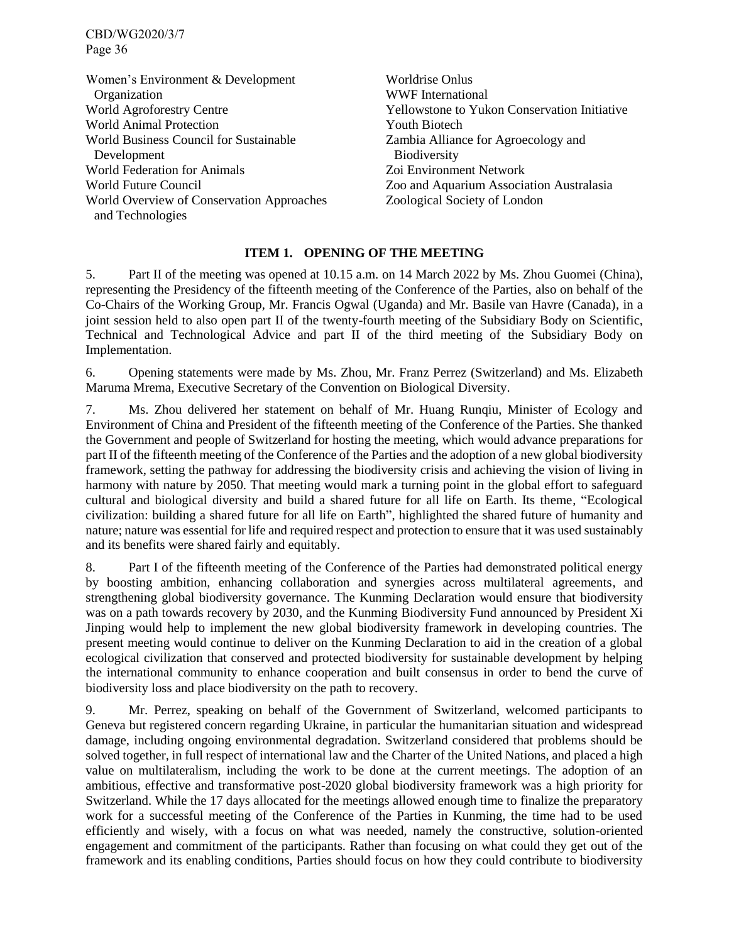Women's Environment & Development **Organization** World Agroforestry Centre World Animal Protection World Business Council for Sustainable Development World Federation for Animals World Future Council World Overview of Conservation Approaches and Technologies Worldrise Onlus WWF International Yellowstone to Yukon Conservation Initiative Youth Biotech Zambia Alliance for Agroecology and Biodiversity Zoi Environment Network Zoo and Aquarium Association Australasia Zoological Society of London

# **ITEM 1. OPENING OF THE MEETING**

<span id="page-35-0"></span>5. Part II of the meeting was opened at 10.15 a.m. on 14 March 2022 by Ms. Zhou Guomei (China), representing the Presidency of the fifteenth meeting of the Conference of the Parties, also on behalf of the Co-Chairs of the Working Group, Mr. Francis Ogwal (Uganda) and Mr. Basile van Havre (Canada), in a joint session held to also open part II of the twenty-fourth meeting of the Subsidiary Body on Scientific, Technical and Technological Advice and part II of the third meeting of the Subsidiary Body on Implementation.

6. Opening statements were made by Ms. Zhou, Mr. Franz Perrez (Switzerland) and Ms. Elizabeth Maruma Mrema, Executive Secretary of the Convention on Biological Diversity.

7. Ms. Zhou delivered her statement on behalf of Mr. Huang Runqiu, Minister of Ecology and Environment of China and President of the fifteenth meeting of the Conference of the Parties. She thanked the Government and people of Switzerland for hosting the meeting, which would advance preparations for part II of the fifteenth meeting of the Conference of the Parties and the adoption of a new global biodiversity framework, setting the pathway for addressing the biodiversity crisis and achieving the vision of living in harmony with nature by 2050. That meeting would mark a turning point in the global effort to safeguard cultural and biological diversity and build a shared future for all life on Earth. Its theme, "Ecological civilization: building a shared future for all life on Earth", highlighted the shared future of humanity and nature; nature was essential for life and required respect and protection to ensure that it was used sustainably and its benefits were shared fairly and equitably.

8. Part I of the fifteenth meeting of the Conference of the Parties had demonstrated political energy by boosting ambition, enhancing collaboration and synergies across multilateral agreements, and strengthening global biodiversity governance. The Kunming Declaration would ensure that biodiversity was on a path towards recovery by 2030, and the Kunming Biodiversity Fund announced by President Xi Jinping would help to implement the new global biodiversity framework in developing countries. The present meeting would continue to deliver on the Kunming Declaration to aid in the creation of a global ecological civilization that conserved and protected biodiversity for sustainable development by helping the international community to enhance cooperation and built consensus in order to bend the curve of biodiversity loss and place biodiversity on the path to recovery.

9. Mr. Perrez, speaking on behalf of the Government of Switzerland, welcomed participants to Geneva but registered concern regarding Ukraine, in particular the humanitarian situation and widespread damage, including ongoing environmental degradation. Switzerland considered that problems should be solved together, in full respect of international law and the Charter of the United Nations, and placed a high value on multilateralism, including the work to be done at the current meetings. The adoption of an ambitious, effective and transformative post-2020 global biodiversity framework was a high priority for Switzerland. While the 17 days allocated for the meetings allowed enough time to finalize the preparatory work for a successful meeting of the Conference of the Parties in Kunming, the time had to be used efficiently and wisely, with a focus on what was needed, namely the constructive, solution-oriented engagement and commitment of the participants. Rather than focusing on what could they get out of the framework and its enabling conditions, Parties should focus on how they could contribute to biodiversity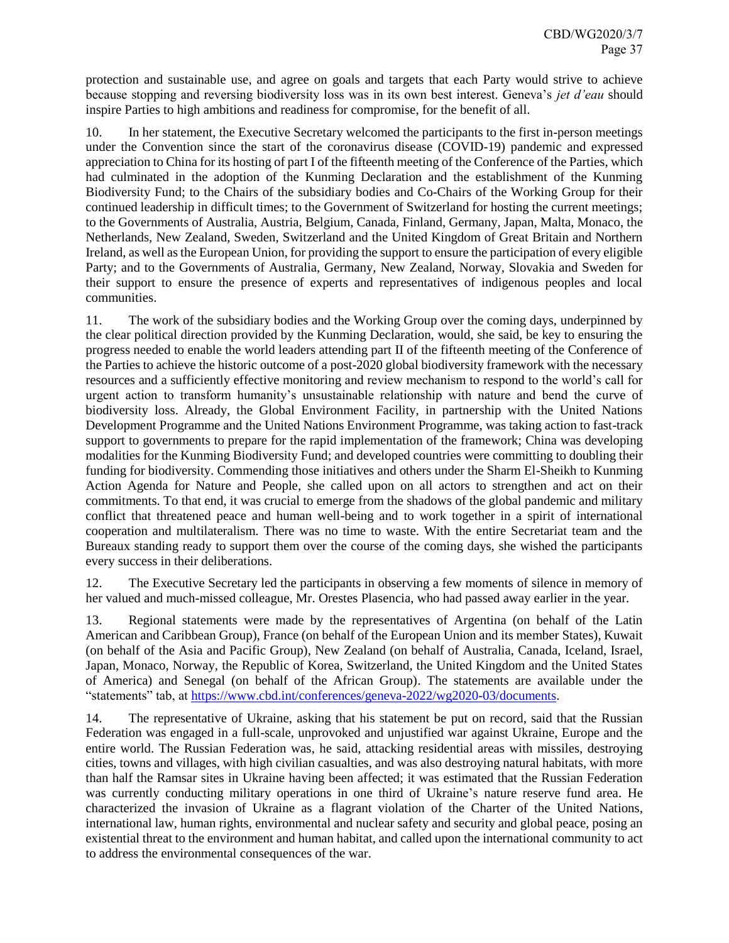protection and sustainable use, and agree on goals and targets that each Party would strive to achieve because stopping and reversing biodiversity loss was in its own best interest. Geneva's *jet d'eau* should inspire Parties to high ambitions and readiness for compromise, for the benefit of all.

10. In her statement, the Executive Secretary welcomed the participants to the first in-person meetings under the Convention since the start of the coronavirus disease (COVID-19) pandemic and expressed appreciation to China for its hosting of part I of the fifteenth meeting of the Conference of the Parties, which had culminated in the adoption of the Kunming Declaration and the establishment of the Kunming Biodiversity Fund; to the Chairs of the subsidiary bodies and Co-Chairs of the Working Group for their continued leadership in difficult times; to the Government of Switzerland for hosting the current meetings; to the Governments of Australia, Austria, Belgium, Canada, Finland, Germany, Japan, Malta, Monaco, the Netherlands, New Zealand, Sweden, Switzerland and the United Kingdom of Great Britain and Northern Ireland, as well as the European Union, for providing the support to ensure the participation of every eligible Party; and to the Governments of Australia, Germany, New Zealand, Norway, Slovakia and Sweden for their support to ensure the presence of experts and representatives of indigenous peoples and local communities.

11. The work of the subsidiary bodies and the Working Group over the coming days, underpinned by the clear political direction provided by the Kunming Declaration, would, she said, be key to ensuring the progress needed to enable the world leaders attending part II of the fifteenth meeting of the Conference of the Parties to achieve the historic outcome of a post-2020 global biodiversity framework with the necessary resources and a sufficiently effective monitoring and review mechanism to respond to the world's call for urgent action to transform humanity's unsustainable relationship with nature and bend the curve of biodiversity loss. Already, the Global Environment Facility, in partnership with the United Nations Development Programme and the United Nations Environment Programme, was taking action to fast-track support to governments to prepare for the rapid implementation of the framework; China was developing modalities for the Kunming Biodiversity Fund; and developed countries were committing to doubling their funding for biodiversity. Commending those initiatives and others under the Sharm El-Sheikh to Kunming Action Agenda for Nature and People, she called upon on all actors to strengthen and act on their commitments. To that end, it was crucial to emerge from the shadows of the global pandemic and military conflict that threatened peace and human well-being and to work together in a spirit of international cooperation and multilateralism. There was no time to waste. With the entire Secretariat team and the Bureaux standing ready to support them over the course of the coming days, she wished the participants every success in their deliberations.

12. The Executive Secretary led the participants in observing a few moments of silence in memory of her valued and much-missed colleague, Mr. Orestes Plasencia, who had passed away earlier in the year.

13. Regional statements were made by the representatives of Argentina (on behalf of the Latin American and Caribbean Group), France (on behalf of the European Union and its member States), Kuwait (on behalf of the Asia and Pacific Group), New Zealand (on behalf of Australia, Canada, Iceland, Israel, Japan, Monaco, Norway, the Republic of Korea, Switzerland, the United Kingdom and the United States of America) and Senegal (on behalf of the African Group). The statements are available under the "statements" tab, at [https://www.cbd.int/conferences/geneva-2022/wg2020-03/documents.](https://www.cbd.int/conferences/geneva-2022/wg2020-03/documents)

14. The representative of Ukraine, asking that his statement be put on record, said that the Russian Federation was engaged in a full-scale, unprovoked and unjustified war against Ukraine, Europe and the entire world. The Russian Federation was, he said, attacking residential areas with missiles, destroying cities, towns and villages, with high civilian casualties, and was also destroying natural habitats, with more than half the Ramsar sites in Ukraine having been affected; it was estimated that the Russian Federation was currently conducting military operations in one third of Ukraine's nature reserve fund area. He characterized the invasion of Ukraine as a flagrant violation of the Charter of the United Nations, international law, human rights, environmental and nuclear safety and security and global peace, posing an existential threat to the environment and human habitat, and called upon the international community to act to address the environmental consequences of the war.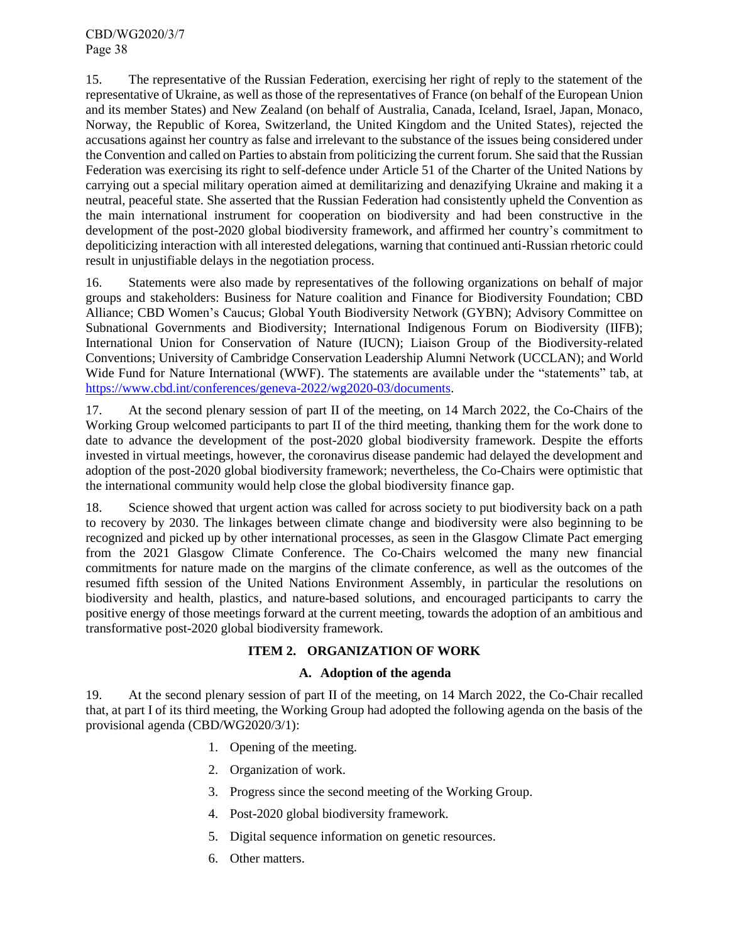15. The representative of the Russian Federation, exercising her right of reply to the statement of the representative of Ukraine, as well as those of the representatives of France (on behalf of the European Union and its member States) and New Zealand (on behalf of Australia, Canada, Iceland, Israel, Japan, Monaco, Norway, the Republic of Korea, Switzerland, the United Kingdom and the United States), rejected the accusations against her country as false and irrelevant to the substance of the issues being considered under the Convention and called on Parties to abstain from politicizing the current forum. She said that the Russian Federation was exercising its right to self-defence under Article 51 of the Charter of the United Nations by carrying out a special military operation aimed at demilitarizing and denazifying Ukraine and making it a neutral, peaceful state. She asserted that the Russian Federation had consistently upheld the Convention as the main international instrument for cooperation on biodiversity and had been constructive in the development of the post-2020 global biodiversity framework, and affirmed her country's commitment to depoliticizing interaction with all interested delegations, warning that continued anti-Russian rhetoric could result in unjustifiable delays in the negotiation process.

16. Statements were also made by representatives of the following organizations on behalf of major groups and stakeholders: Business for Nature coalition and Finance for Biodiversity Foundation; CBD Alliance; CBD Women's Caucus; Global Youth Biodiversity Network (GYBN); Advisory Committee on Subnational Governments and Biodiversity; International Indigenous Forum on Biodiversity (IIFB); International Union for Conservation of Nature (IUCN); Liaison Group of the Biodiversity-related Conventions; University of Cambridge Conservation Leadership Alumni Network (UCCLAN); and World Wide Fund for Nature International (WWF). The statements are available under the "statements" tab, at [https://www.cbd.int/conferences/geneva-2022/wg2020-03/documents.](https://www.cbd.int/conferences/geneva-2022/wg2020-03/documents)

17. At the second plenary session of part II of the meeting, on 14 March 2022, the Co-Chairs of the Working Group welcomed participants to part II of the third meeting, thanking them for the work done to date to advance the development of the post-2020 global biodiversity framework. Despite the efforts invested in virtual meetings, however, the coronavirus disease pandemic had delayed the development and adoption of the post-2020 global biodiversity framework; nevertheless, the Co-Chairs were optimistic that the international community would help close the global biodiversity finance gap.

18. Science showed that urgent action was called for across society to put biodiversity back on a path to recovery by 2030. The linkages between climate change and biodiversity were also beginning to be recognized and picked up by other international processes, as seen in the Glasgow Climate Pact emerging from the 2021 Glasgow Climate Conference. The Co-Chairs welcomed the many new financial commitments for nature made on the margins of the climate conference, as well as the outcomes of the resumed fifth session of the United Nations Environment Assembly, in particular the resolutions on biodiversity and health, plastics, and nature-based solutions, and encouraged participants to carry the positive energy of those meetings forward at the current meeting, towards the adoption of an ambitious and transformative post-2020 global biodiversity framework.

# **ITEM 2. ORGANIZATION OF WORK**

# **A. Adoption of the agenda**

<span id="page-37-1"></span><span id="page-37-0"></span>19. At the second plenary session of part II of the meeting, on 14 March 2022, the Co-Chair recalled that, at part I of its third meeting, the Working Group had adopted the following agenda on the basis of the provisional agenda (CBD/WG2020/3/1):

- 1. Opening of the meeting.
- 2. Organization of work.
- 3. Progress since the second meeting of the Working Group.
- 4. Post-2020 global biodiversity framework.
- 5. Digital sequence information on genetic resources.
- 6. Other matters.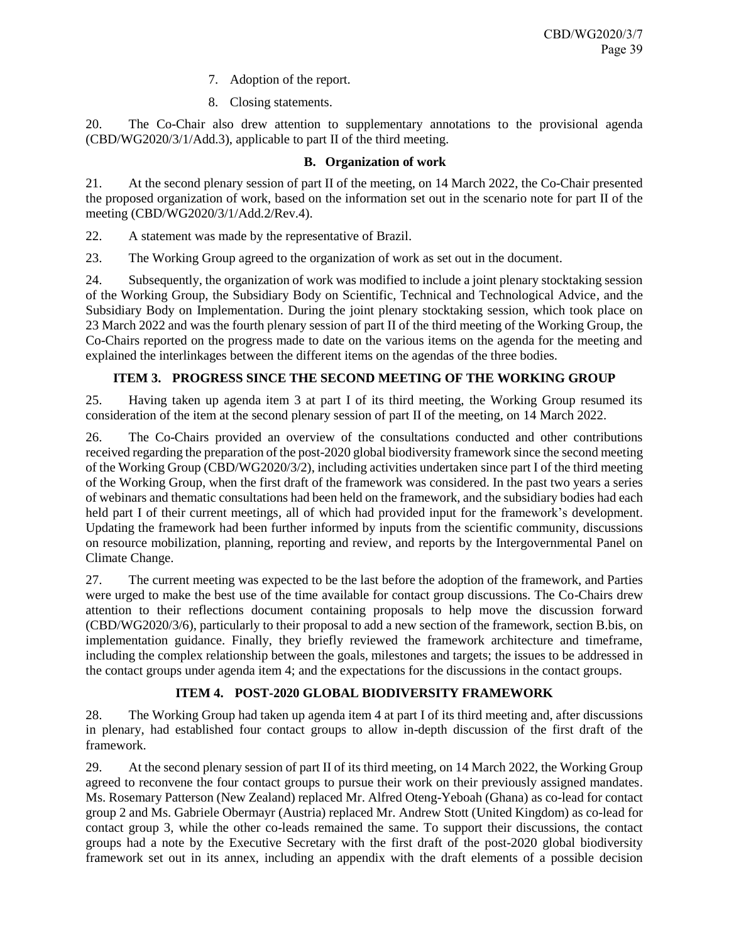- 7. Adoption of the report.
- 8. Closing statements.

20. The Co-Chair also drew attention to supplementary annotations to the provisional agenda (CBD/WG2020/3/1/Add.3), applicable to part II of the third meeting.

# **B. Organization of work**

<span id="page-38-0"></span>21. At the second plenary session of part II of the meeting, on 14 March 2022, the Co-Chair presented the proposed organization of work, based on the information set out in the scenario note for part II of the meeting (CBD/WG2020/3/1/Add.2/Rev.4).

22. A statement was made by the representative of Brazil.

23. The Working Group agreed to the organization of work as set out in the document.

24. Subsequently, the organization of work was modified to include a joint plenary stocktaking session of the Working Group, the Subsidiary Body on Scientific, Technical and Technological Advice, and the Subsidiary Body on Implementation. During the joint plenary stocktaking session, which took place on 23 March 2022 and was the fourth plenary session of part II of the third meeting of the Working Group, the Co-Chairs reported on the progress made to date on the various items on the agenda for the meeting and explained the interlinkages between the different items on the agendas of the three bodies.

# **ITEM 3. PROGRESS SINCE THE SECOND MEETING OF THE WORKING GROUP**

<span id="page-38-1"></span>25. Having taken up agenda item 3 at part I of its third meeting, the Working Group resumed its consideration of the item at the second plenary session of part II of the meeting, on 14 March 2022.

26. The Co-Chairs provided an overview of the consultations conducted and other contributions received regarding the preparation of the post-2020 global biodiversity framework since the second meeting of the Working Group (CBD/WG2020/3/2), including activities undertaken since part I of the third meeting of the Working Group, when the first draft of the framework was considered. In the past two years a series of webinars and thematic consultations had been held on the framework, and the subsidiary bodies had each held part I of their current meetings, all of which had provided input for the framework's development. Updating the framework had been further informed by inputs from the scientific community, discussions on resource mobilization, planning, reporting and review, and reports by the Intergovernmental Panel on Climate Change.

27. The current meeting was expected to be the last before the adoption of the framework, and Parties were urged to make the best use of the time available for contact group discussions. The Co-Chairs drew attention to their reflections document containing proposals to help move the discussion forward (CBD/WG2020/3/6), particularly to their proposal to add a new section of the framework, section B.bis, on implementation guidance. Finally, they briefly reviewed the framework architecture and timeframe, including the complex relationship between the goals, milestones and targets; the issues to be addressed in the contact groups under agenda item 4; and the expectations for the discussions in the contact groups.

# **ITEM 4. POST-2020 GLOBAL BIODIVERSITY FRAMEWORK**

<span id="page-38-2"></span>28. The Working Group had taken up agenda item 4 at part I of its third meeting and, after discussions in plenary, had established four contact groups to allow in-depth discussion of the first draft of the framework.

29. At the second plenary session of part II of its third meeting, on 14 March 2022, the Working Group agreed to reconvene the four contact groups to pursue their work on their previously assigned mandates. Ms. Rosemary Patterson (New Zealand) replaced Mr. Alfred Oteng-Yeboah (Ghana) as co-lead for contact group 2 and Ms. Gabriele Obermayr (Austria) replaced Mr. Andrew Stott (United Kingdom) as co-lead for contact group 3, while the other co-leads remained the same. To support their discussions, the contact groups had a note by the Executive Secretary with the first draft of the post-2020 global biodiversity framework set out in its annex, including an appendix with the draft elements of a possible decision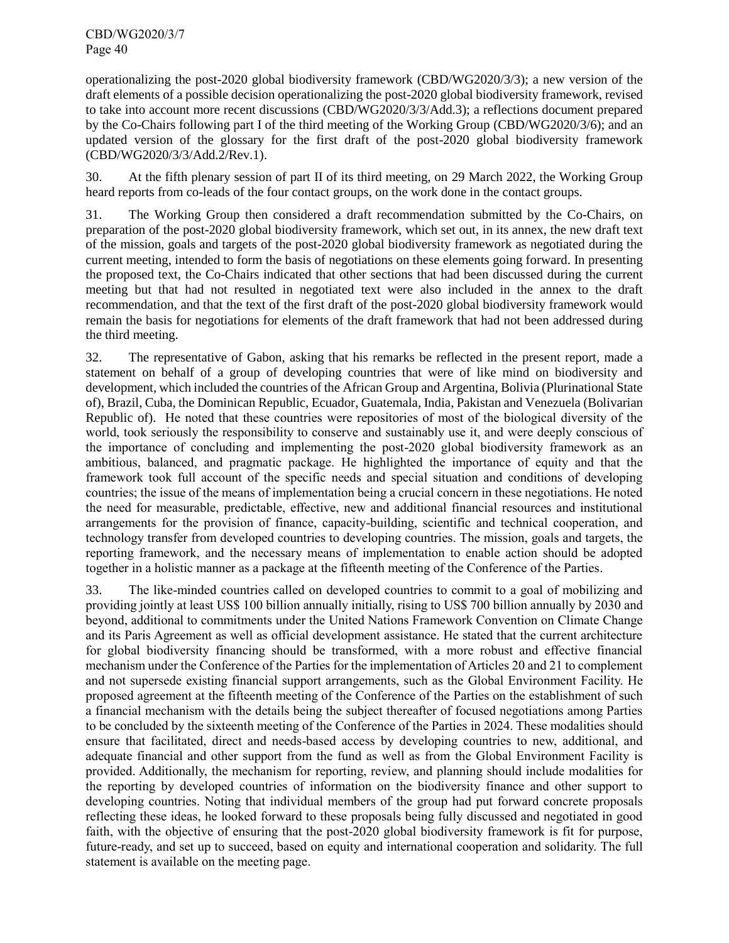operationalizing the post-2020 global biodiversity framework (CBD/WG2020/3/3); a new version of the draft elements of a possible decision operationalizing the post-2020 global biodiversity framework, revised to take into account more recent discussions (CBD/WG2020/3/3/Add.3); a reflections document prepared by the Co-Chairs following part I of the third meeting of the Working Group (CBD/WG2020/3/6); and an updated version of the glossary for the first draft of the post-2020 global biodiversity framework (CBD/WG2020/3/3/Add.2/Rev.1).

30. At the fifth plenary session of part II of its third meeting, on 29 March 2022, the Working Group heard reports from co-leads of the four contact groups, on the work done in the contact groups.

31. The Working Group then considered a draft recommendation submitted by the Co-Chairs, on preparation of the post-2020 global biodiversity framework, which set out, in its annex, the new draft text of the mission, goals and targets of the post-2020 global biodiversity framework as negotiated during the current meeting, intended to form the basis of negotiations on these elements going forward. In presenting the proposed text, the Co-Chairs indicated that other sections that had been discussed during the current meeting but that had not resulted in negotiated text were also included in the annex to the draft recommendation, and that the text of the first draft of the post-2020 global biodiversity framework would remain the basis for negotiations for elements of the draft framework that had not been addressed during the third meeting.

32. The representative of Gabon, asking that his remarks be reflected in the present report, made a statement on behalf of a group of developing countries that were of like mind on biodiversity and development, which included the countries of the African Group and Argentina, Bolivia (Plurinational State of), Brazil, Cuba, the Dominican Republic, Ecuador, Guatemala, India, Pakistan and Venezuela (Bolivarian Republic of). He noted that these countries were repositories of most of the biological diversity of the world, took seriously the responsibility to conserve and sustainably use it, and were deeply conscious of the importance of concluding and implementing the post-2020 global biodiversity framework as an ambitious, balanced, and pragmatic package. He highlighted the importance of equity and that the framework took full account of the specific needs and special situation and conditions of developing countries; the issue of the means of implementation being a crucial concern in these negotiations. He noted the need for measurable, predictable, effective, new and additional financial resources and institutional arrangements for the provision of finance, capacity-building, scientific and technical cooperation, and technology transfer from developed countries to developing countries. The mission, goals and targets, the reporting framework, and the necessary means of implementation to enable action should be adopted together in a holistic manner as a package at the fifteenth meeting of the Conference of the Parties.

33. The like-minded countries called on developed countries to commit to a goal of mobilizing and providing jointly at least US\$ 100 billion annually initially, rising to US\$ 700 billion annually by 2030 and beyond, additional to commitments under the United Nations Framework Convention on Climate Change and its Paris Agreement as well as official development assistance. He stated that the current architecture for global biodiversity financing should be transformed, with a more robust and effective financial mechanism under the Conference of the Parties for the implementation of Articles 20 and 21 to complement and not supersede existing financial support arrangements, such as the Global Environment Facility. He proposed agreement at the fifteenth meeting of the Conference of the Parties on the establishment of such a financial mechanism with the details being the subject thereafter of focused negotiations among Parties to be concluded by the sixteenth meeting of the Conference of the Parties in 2024. These modalities should ensure that facilitated, direct and needs-based access by developing countries to new, additional, and adequate financial and other support from the fund as well as from the Global Environment Facility is provided. Additionally, the mechanism for reporting, review, and planning should include modalities for the reporting by developed countries of information on the biodiversity finance and other support to developing countries. Noting that individual members of the group had put forward concrete proposals reflecting these ideas, he looked forward to these proposals being fully discussed and negotiated in good faith, with the objective of ensuring that the post-2020 global biodiversity framework is fit for purpose, future-ready, and set up to succeed, based on equity and international cooperation and solidarity. The full statement is available on the meeting page.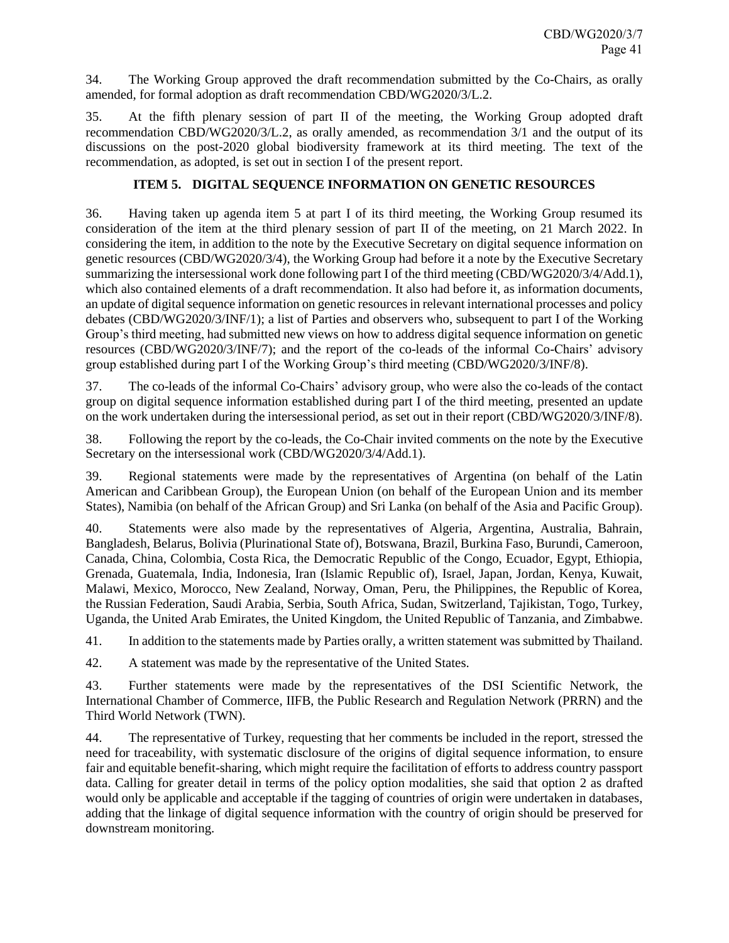34. The Working Group approved the draft recommendation submitted by the Co-Chairs, as orally amended, for formal adoption as draft recommendation CBD/WG2020/3/L.2.

35. At the fifth plenary session of part II of the meeting, the Working Group adopted draft recommendation CBD/WG2020/3/L.2, as orally amended, as recommendation 3/1 and the output of its discussions on the post-2020 global biodiversity framework at its third meeting. The text of the recommendation, as adopted, is set out in section I of the present report.

# **ITEM 5. DIGITAL SEQUENCE INFORMATION ON GENETIC RESOURCES**

<span id="page-40-0"></span>36. Having taken up agenda item 5 at part I of its third meeting, the Working Group resumed its consideration of the item at the third plenary session of part II of the meeting, on 21 March 2022. In considering the item, in addition to the note by the Executive Secretary on digital sequence information on genetic resources (CBD/WG2020/3/4), the Working Group had before it a note by the Executive Secretary summarizing the intersessional work done following part I of the third meeting (CBD/WG2020/3/4/Add.1), which also contained elements of a draft recommendation. It also had before it, as information documents, an update of digital sequence information on genetic resources in relevant international processes and policy debates (CBD/WG2020/3/INF/1); a list of Parties and observers who, subsequent to part I of the Working Group's third meeting, had submitted new views on how to address digital sequence information on genetic resources (CBD/WG2020/3/INF/7); and the report of the co-leads of the informal Co-Chairs' advisory group established during part I of the Working Group's third meeting (CBD/WG2020/3/INF/8).

37. The co-leads of the informal Co-Chairs' advisory group, who were also the co-leads of the contact group on digital sequence information established during part I of the third meeting, presented an update on the work undertaken during the intersessional period, as set out in their report (CBD/WG2020/3/INF/8).

38. Following the report by the co-leads, the Co-Chair invited comments on the note by the Executive Secretary on the intersessional work (CBD/WG2020/3/4/Add.1).

39. Regional statements were made by the representatives of Argentina (on behalf of the Latin American and Caribbean Group), the European Union (on behalf of the European Union and its member States), Namibia (on behalf of the African Group) and Sri Lanka (on behalf of the Asia and Pacific Group).

40. Statements were also made by the representatives of Algeria, Argentina, Australia, Bahrain, Bangladesh, Belarus, Bolivia (Plurinational State of), Botswana, Brazil, Burkina Faso, Burundi, Cameroon, Canada, China, Colombia, Costa Rica, the Democratic Republic of the Congo, Ecuador, Egypt, Ethiopia, Grenada, Guatemala, India, Indonesia, Iran (Islamic Republic of), Israel, Japan, Jordan, Kenya, Kuwait, Malawi, Mexico, Morocco, New Zealand, Norway, Oman, Peru, the Philippines, the Republic of Korea, the Russian Federation, Saudi Arabia, Serbia, South Africa, Sudan, Switzerland, Tajikistan, Togo, Turkey, Uganda, the United Arab Emirates, the United Kingdom, the United Republic of Tanzania, and Zimbabwe.

41. In addition to the statements made by Parties orally, a written statement was submitted by Thailand.

42. A statement was made by the representative of the United States.

43. Further statements were made by the representatives of the DSI Scientific Network, the International Chamber of Commerce, IIFB, the Public Research and Regulation Network (PRRN) and the Third World Network (TWN).

44. The representative of Turkey, requesting that her comments be included in the report, stressed the need for traceability, with systematic disclosure of the origins of digital sequence information, to ensure fair and equitable benefit-sharing, which might require the facilitation of efforts to address country passport data. Calling for greater detail in terms of the policy option modalities, she said that option 2 as drafted would only be applicable and acceptable if the tagging of countries of origin were undertaken in databases, adding that the linkage of digital sequence information with the country of origin should be preserved for downstream monitoring.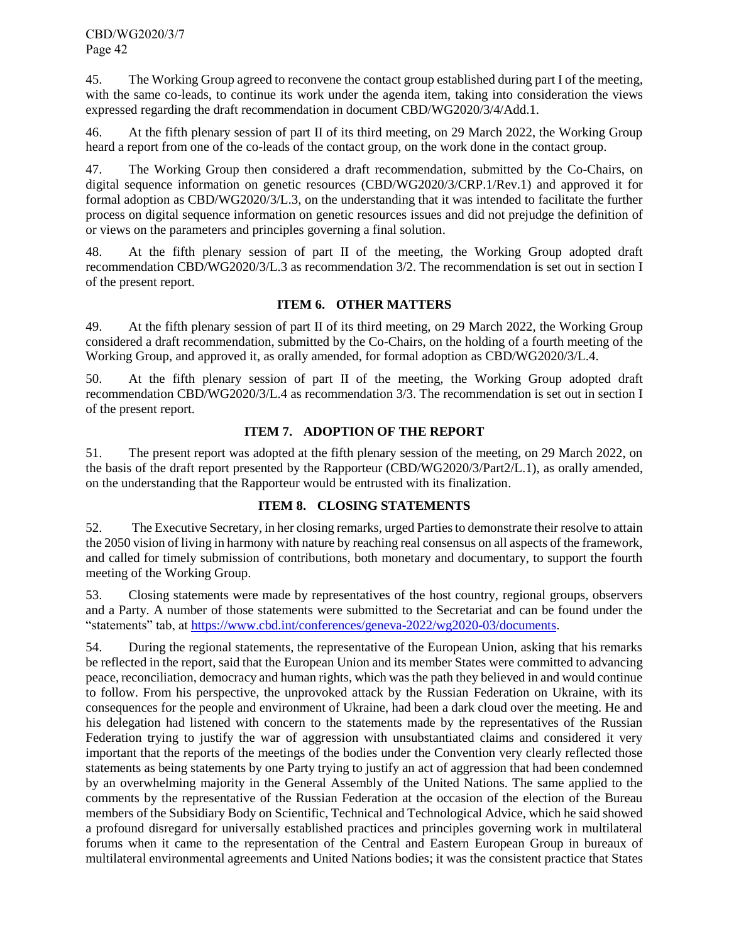45. The Working Group agreed to reconvene the contact group established during part I of the meeting, with the same co-leads, to continue its work under the agenda item, taking into consideration the views expressed regarding the draft recommendation in document CBD/WG2020/3/4/Add.1.

46. At the fifth plenary session of part II of its third meeting, on 29 March 2022, the Working Group heard a report from one of the co-leads of the contact group, on the work done in the contact group.

47. The Working Group then considered a draft recommendation, submitted by the Co-Chairs, on digital sequence information on genetic resources (CBD/WG2020/3/CRP.1/Rev.1) and approved it for formal adoption as CBD/WG2020/3/L.3, on the understanding that it was intended to facilitate the further process on digital sequence information on genetic resources issues and did not prejudge the definition of or views on the parameters and principles governing a final solution.

48. At the fifth plenary session of part II of the meeting, the Working Group adopted draft recommendation CBD/WG2020/3/L.3 as recommendation 3/2. The recommendation is set out in section I of the present report.

# **ITEM 6. OTHER MATTERS**

<span id="page-41-0"></span>49. At the fifth plenary session of part II of its third meeting, on 29 March 2022, the Working Group considered a draft recommendation, submitted by the Co-Chairs, on the holding of a fourth meeting of the Working Group, and approved it, as orally amended, for formal adoption as CBD/WG2020/3/L.4.

50. At the fifth plenary session of part II of the meeting, the Working Group adopted draft recommendation CBD/WG2020/3/L.4 as recommendation 3/3. The recommendation is set out in section I of the present report.

# **ITEM 7. ADOPTION OF THE REPORT**

<span id="page-41-1"></span>51. The present report was adopted at the fifth plenary session of the meeting, on 29 March 2022, on the basis of the draft report presented by the Rapporteur (CBD/WG2020/3/Part2/L.1), as orally amended, on the understanding that the Rapporteur would be entrusted with its finalization.

# **ITEM 8. CLOSING STATEMENTS**

<span id="page-41-2"></span>52. The Executive Secretary, in her closing remarks, urged Parties to demonstrate their resolve to attain the 2050 vision of living in harmony with nature by reaching real consensus on all aspects of the framework, and called for timely submission of contributions, both monetary and documentary, to support the fourth meeting of the Working Group.

53. Closing statements were made by representatives of the host country, regional groups, observers and a Party. A number of those statements were submitted to the Secretariat and can be found under the "statements" tab, at [https://www.cbd.int/conferences/geneva-2022/wg2020-03/documents.](https://www.cbd.int/conferences/geneva-2022/wg2020-03/documents)

54. During the regional statements, the representative of the European Union, asking that his remarks be reflected in the report, said that the European Union and its member States were committed to advancing peace, reconciliation, democracy and human rights, which was the path they believed in and would continue to follow. From his perspective, the unprovoked attack by the Russian Federation on Ukraine, with its consequences for the people and environment of Ukraine, had been a dark cloud over the meeting. He and his delegation had listened with concern to the statements made by the representatives of the Russian Federation trying to justify the war of aggression with unsubstantiated claims and considered it very important that the reports of the meetings of the bodies under the Convention very clearly reflected those statements as being statements by one Party trying to justify an act of aggression that had been condemned by an overwhelming majority in the General Assembly of the United Nations. The same applied to the comments by the representative of the Russian Federation at the occasion of the election of the Bureau members of the Subsidiary Body on Scientific, Technical and Technological Advice, which he said showed a profound disregard for universally established practices and principles governing work in multilateral forums when it came to the representation of the Central and Eastern European Group in bureaux of multilateral environmental agreements and United Nations bodies; it was the consistent practice that States